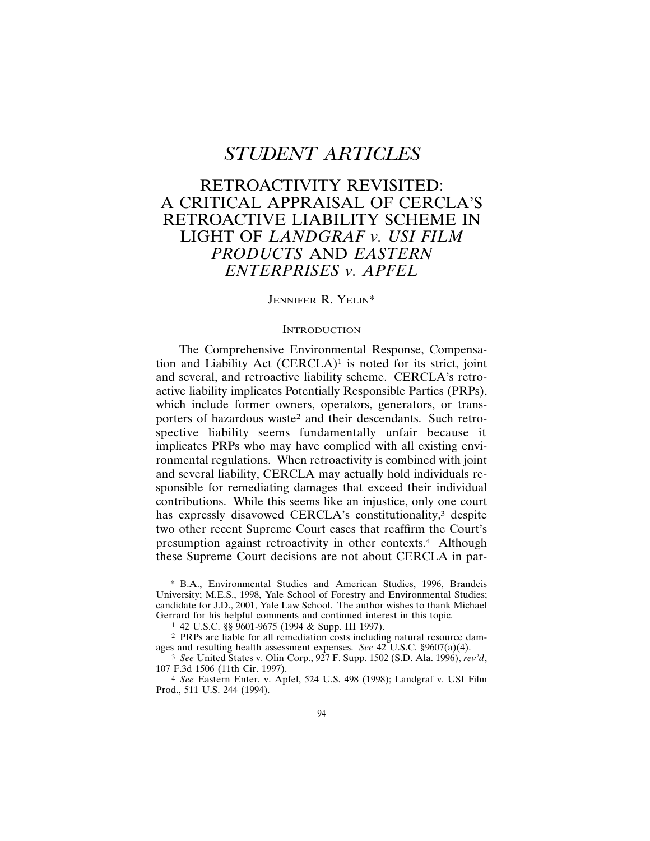# *STUDENT ARTICLES*

# RETROACTIVITY REVISITED: A CRITICAL APPRAISAL OF CERCLA'S RETROACTIVE LIABILITY SCHEME IN LIGHT OF *LANDGRAF v. USI FILM PRODUCTS* AND *EASTERN ENTERPRISES v. APFEL*

#### JENNIFER R. YELIN<sup>\*</sup>

#### **INTRODUCTION**

The Comprehensive Environmental Response, Compensation and Liability Act  $(CERCLA)^1$  is noted for its strict, joint and several, and retroactive liability scheme. CERCLA's retroactive liability implicates Potentially Responsible Parties (PRPs), which include former owners, operators, generators, or transporters of hazardous waste<sup>2</sup> and their descendants. Such retrospective liability seems fundamentally unfair because it implicates PRPs who may have complied with all existing environmental regulations. When retroactivity is combined with joint and several liability, CERCLA may actually hold individuals responsible for remediating damages that exceed their individual contributions. While this seems like an injustice, only one court has expressly disavowed CERCLA's constitutionality,<sup>3</sup> despite two other recent Supreme Court cases that reaffirm the Court's presumption against retroactivity in other contexts.4 Although these Supreme Court decisions are not about CERCLA in par-

<sup>\*</sup> B.A., Environmental Studies and American Studies, 1996, Brandeis University; M.E.S., 1998, Yale School of Forestry and Environmental Studies; candidate for J.D., 2001, Yale Law School. The author wishes to thank Michael Gerrard for his helpful comments and continued interest in this topic.

<sup>1</sup> 42 U.S.C. §§ 9601-9675 (1994 & Supp. III 1997).

<sup>2</sup> PRPs are liable for all remediation costs including natural resource damages and resulting health assessment expenses. *See* 42 U.S.C. §9607(a)(4).

<sup>3</sup> *See* United States v. Olin Corp., 927 F. Supp. 1502 (S.D. Ala. 1996), *rev'd*, 107 F.3d 1506 (11th Cir. 1997).

<sup>4</sup> *See* Eastern Enter. v. Apfel, 524 U.S. 498 (1998); Landgraf v. USI Film Prod., 511 U.S. 244 (1994).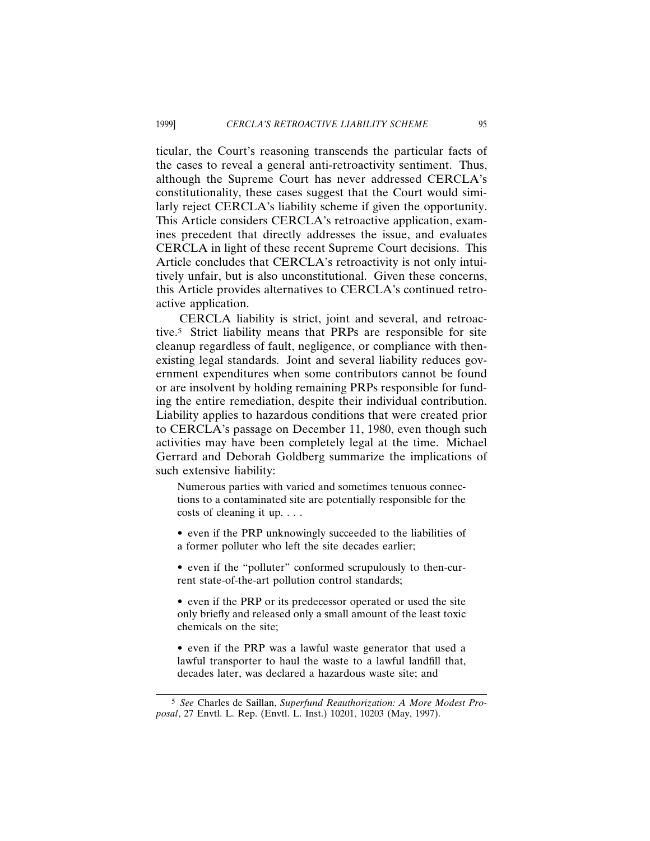ticular, the Court's reasoning transcends the particular facts of the cases to reveal a general anti-retroactivity sentiment. Thus, although the Supreme Court has never addressed CERCLA's constitutionality, these cases suggest that the Court would similarly reject CERCLA's liability scheme if given the opportunity. This Article considers CERCLA's retroactive application, examines precedent that directly addresses the issue, and evaluates CERCLA in light of these recent Supreme Court decisions. This Article concludes that CERCLA's retroactivity is not only intuitively unfair, but is also unconstitutional. Given these concerns, this Article provides alternatives to CERCLA's continued retroactive application.

CERCLA liability is strict, joint and several, and retroactive.5 Strict liability means that PRPs are responsible for site cleanup regardless of fault, negligence, or compliance with thenexisting legal standards. Joint and several liability reduces government expenditures when some contributors cannot be found or are insolvent by holding remaining PRPs responsible for funding the entire remediation, despite their individual contribution. Liability applies to hazardous conditions that were created prior to CERCLA's passage on December 11, 1980, even though such activities may have been completely legal at the time. Michael Gerrard and Deborah Goldberg summarize the implications of such extensive liability:

Numerous parties with varied and sometimes tenuous connections to a contaminated site are potentially responsible for the costs of cleaning it up. . . .

- even if the PRP unknowingly succeeded to the liabilities of a former polluter who left the site decades earlier;
- even if the "polluter" conformed scrupulously to then-current state-of-the-art pollution control standards;
- even if the PRP or its predecessor operated or used the site only briefly and released only a small amount of the least toxic chemicals on the site;
- even if the PRP was a lawful waste generator that used a lawful transporter to haul the waste to a lawful landfill that, decades later, was declared a hazardous waste site; and

<sup>5</sup> *See* Charles de Saillan, *Superfund Reauthorization: A More Modest Proposal*, 27 Envtl. L. Rep. (Envtl. L. Inst.) 10201, 10203 (May, 1997).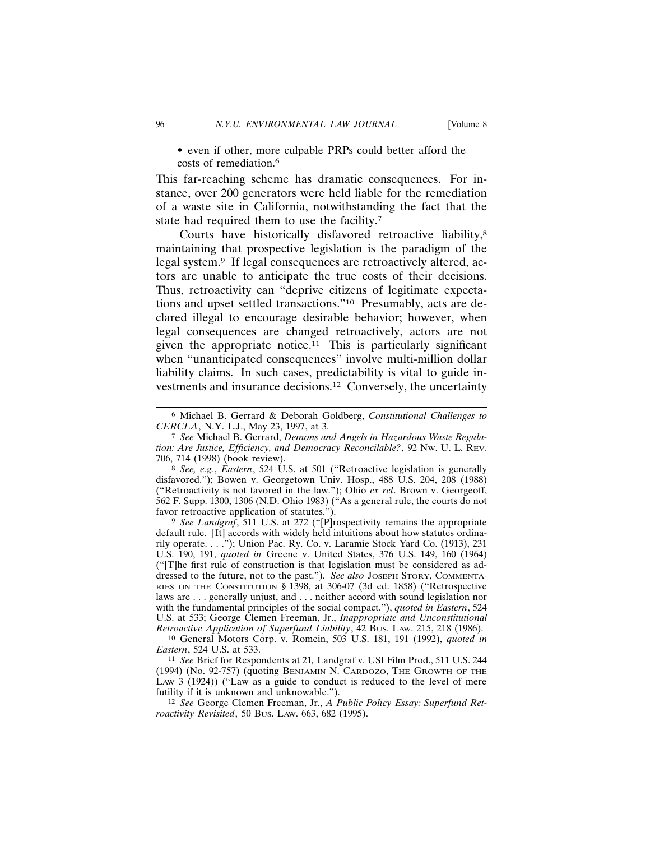• even if other, more culpable PRPs could better afford the costs of remediation.<sup>6</sup>

This far-reaching scheme has dramatic consequences. For instance, over 200 generators were held liable for the remediation of a waste site in California, notwithstanding the fact that the state had required them to use the facility.7

Courts have historically disfavored retroactive liability,<sup>8</sup> maintaining that prospective legislation is the paradigm of the legal system.<sup>9</sup> If legal consequences are retroactively altered, actors are unable to anticipate the true costs of their decisions. Thus, retroactivity can "deprive citizens of legitimate expectations and upset settled transactions."10 Presumably, acts are declared illegal to encourage desirable behavior; however, when legal consequences are changed retroactively, actors are not given the appropriate notice.<sup>11</sup> This is particularly significant when "unanticipated consequences" involve multi-million dollar liability claims. In such cases, predictability is vital to guide investments and insurance decisions.12 Conversely, the uncertainty

9 *See Landgraf*, 511 U.S. at 272 ("[P]rospectivity remains the appropriate default rule. [It] accords with widely held intuitions about how statutes ordinarily operate. . . ."); Union Pac. Ry. Co. v. Laramie Stock Yard Co. (1913), 231 U.S. 190, 191, *quoted in* Greene v. United States, 376 U.S. 149, 160 (1964) ("[T]he first rule of construction is that legislation must be considered as addressed to the future, not to the past."). *See also* JOSEPH STORY, COMMENTA-RIES ON THE CONSTITUTION § 1398, at 306-07 (3d ed. 1858) ("Retrospective laws are . . . generally unjust, and . . . neither accord with sound legislation nor with the fundamental principles of the social compact."), *quoted in Eastern*, 524 U.S. at 533; George Clemen Freeman, Jr., *Inappropriate and Unconstitutional Retroactive Application of Superfund Liability*, 42 BUS. LAW. 215, 218 (1986).

10 General Motors Corp. v. Romein, 503 U.S. 181, 191 (1992), *quoted in Eastern*, 524 U.S. at 533.

11 *See* Brief for Respondents at 21*,* Landgraf v. USI Film Prod., 511 U.S. 244 (1994) (No. 92-757) (quoting BENJAMIN N. CARDOZO, THE GROWTH OF THE LAW 3 (1924)) ("Law as a guide to conduct is reduced to the level of mere futility if it is unknown and unknowable.").

12 *See* George Clemen Freeman, Jr., *A Public Policy Essay: Superfund Retroactivity Revisited*, 50 BUS. LAW. 663, 682 (1995).

<sup>6</sup> Michael B. Gerrard & Deborah Goldberg, *Constitutional Challenges to CERCLA*, N.Y. L.J., May 23, 1997, at 3.

<sup>7</sup> *See* Michael B. Gerrard, *Demons and Angels in Hazardous Waste Regulation: Are Justice, Efficiency, and Democracy Reconcilable?*, 92 NW. U. L. REV. 706, 714 (1998) (book review).

<sup>8</sup> *See, e.g.*, *Eastern*, 524 U.S. at 501 ("Retroactive legislation is generally disfavored."); Bowen v. Georgetown Univ. Hosp., 488 U.S. 204, 208 (1988) ("Retroactivity is not favored in the law."); Ohio *ex rel*. Brown v. Georgeoff, 562 F. Supp. 1300, 1306 (N.D. Ohio 1983) ("As a general rule, the courts do not favor retroactive application of statutes.").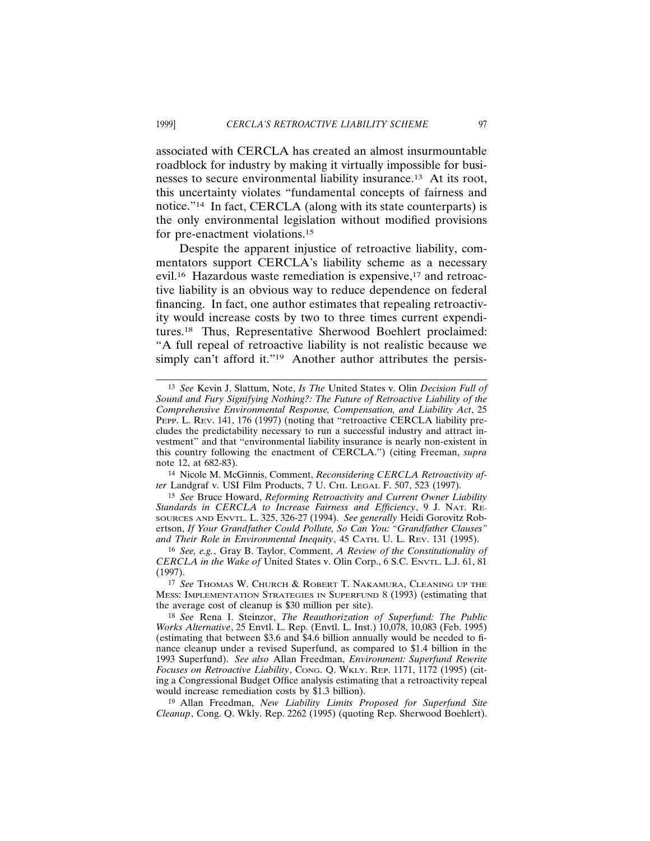associated with CERCLA has created an almost insurmountable roadblock for industry by making it virtually impossible for businesses to secure environmental liability insurance.13 At its root, this uncertainty violates "fundamental concepts of fairness and notice."14 In fact, CERCLA (along with its state counterparts) is the only environmental legislation without modified provisions for pre-enactment violations.15

Despite the apparent injustice of retroactive liability, commentators support CERCLA's liability scheme as a necessary evil.16 Hazardous waste remediation is expensive,17 and retroactive liability is an obvious way to reduce dependence on federal financing. In fact, one author estimates that repealing retroactivity would increase costs by two to three times current expenditures.18 Thus, Representative Sherwood Boehlert proclaimed: "A full repeal of retroactive liability is not realistic because we simply can't afford it."<sup>19</sup> Another author attributes the persis-

14 Nicole M. McGinnis, Comment, *Reconsidering CERCLA Retroactivity after Landgraf v. USI Film Products, 7 U. CHI. LEGAL F. 507, 523 (1997).* 

15 *See* Bruce Howard, *Reforming Retroactivity and Current Owner Liability Standards in CERCLA to Increase Fairness and Efficiency*, 9 J. NAT. RE-SOURCES AND ENVTL. L. 325, 326-27 (1994). *See generally* Heidi Gorovitz Robertson, *If Your Grandfather Could Pollute, So Can You: "Grandfather Clauses" and Their Role in Environmental Inequity*, 45 CATH. U. L. REV. 131 (1995).

16 *See, e.g.*, Gray B. Taylor, Comment, *A Review of the Constitutionality of CERCLA in the Wake of* United States v. Olin Corp., 6 S.C. ENVTL. L.J. 61, 81 (1997).

17 *See* THOMAS W. CHURCH & ROBERT T. NAKAMURA, CLEANING UP THE MESS: IMPLEMENTATION STRATEGIES IN SUPERFUND 8 (1993) (estimating that the average cost of cleanup is \$30 million per site).

18 *See* Rena I. Steinzor, *The Reauthorization of Superfund: The Public Works Alternative*, 25 Envtl. L. Rep. (Envtl. L. Inst.) 10,078, 10,083 (Feb. 1995) (estimating that between \$3.6 and \$4.6 billion annually would be needed to finance cleanup under a revised Superfund, as compared to \$1.4 billion in the 1993 Superfund). *See also* Allan Freedman, *Environment: Superfund Rewrite Focuses on Retroactive Liability*, CONG. Q. WKLY. REP. 1171, 1172 (1995) (citing a Congressional Budget Office analysis estimating that a retroactivity repeal would increase remediation costs by \$1.3 billion).

19 Allan Freedman, *New Liability Limits Proposed for Superfund Site Cleanup*, Cong. Q. Wkly. Rep. 2262 (1995) (quoting Rep. Sherwood Boehlert).

<sup>13</sup> *See* Kevin J. Slattum, Note, *Is The* United States v. Olin *Decision Full of Sound and Fury Signifying Nothing?: The Future of Retroactive Liability of the Comprehensive Environmental Response, Compensation, and Liability Act*, 25 PEPP. L. REV. 141, 176 (1997) (noting that "retroactive CERCLA liability precludes the predictability necessary to run a successful industry and attract investment" and that "environmental liability insurance is nearly non-existent in this country following the enactment of CERCLA.") (citing Freeman, *supra* note 12, at 682-83).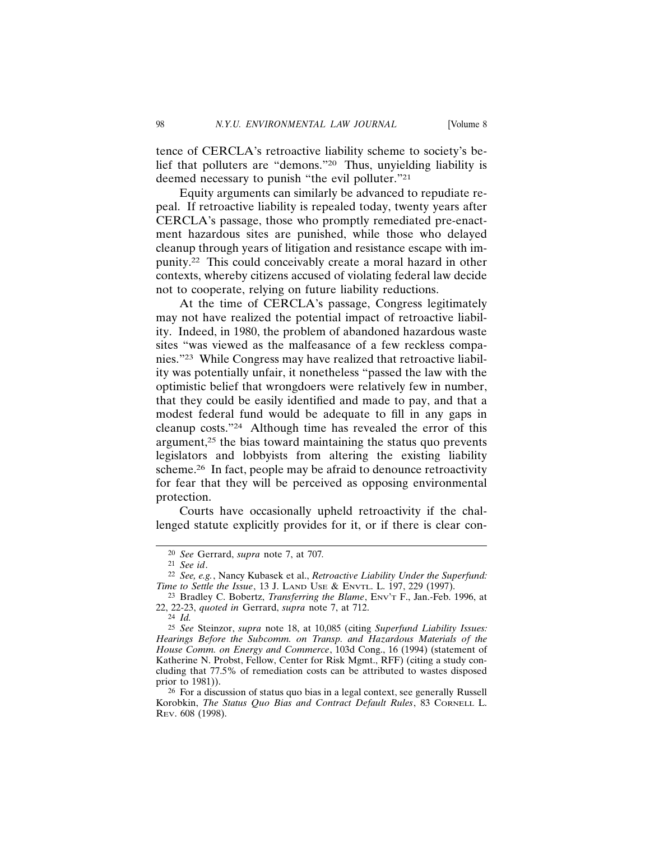tence of CERCLA's retroactive liability scheme to society's belief that polluters are "demons."20 Thus, unyielding liability is deemed necessary to punish "the evil polluter."21

Equity arguments can similarly be advanced to repudiate repeal. If retroactive liability is repealed today, twenty years after CERCLA's passage, those who promptly remediated pre-enactment hazardous sites are punished, while those who delayed cleanup through years of litigation and resistance escape with impunity.22 This could conceivably create a moral hazard in other contexts, whereby citizens accused of violating federal law decide not to cooperate, relying on future liability reductions.

At the time of CERCLA's passage, Congress legitimately may not have realized the potential impact of retroactive liability. Indeed, in 1980, the problem of abandoned hazardous waste sites "was viewed as the malfeasance of a few reckless companies."23 While Congress may have realized that retroactive liability was potentially unfair, it nonetheless "passed the law with the optimistic belief that wrongdoers were relatively few in number, that they could be easily identified and made to pay, and that a modest federal fund would be adequate to fill in any gaps in cleanup costs."24 Although time has revealed the error of this argument, $25$  the bias toward maintaining the status quo prevents legislators and lobbyists from altering the existing liability scheme.<sup>26</sup> In fact, people may be afraid to denounce retroactivity for fear that they will be perceived as opposing environmental protection.

Courts have occasionally upheld retroactivity if the challenged statute explicitly provides for it, or if there is clear con-

24 *Id.*

<sup>20</sup> *See* Gerrard, *supra* note 7, at 707*.*

<sup>21</sup> *See id*.

<sup>22</sup> *See, e.g.*, Nancy Kubasek et al., *Retroactive Liability Under the Superfund: Time to Settle the Issue*, 13 J. LAND USE & ENVTL. L. 197, 229 (1997).

<sup>23</sup> Bradley C. Bobertz, *Transferring the Blame*, ENV'T F., Jan.-Feb. 1996, at 22, 22-23, *quoted in* Gerrard, *supra* note 7, at 712.

<sup>25</sup> *See* Steinzor, *supra* note 18, at 10,085 (citing *Superfund Liability Issues: Hearings Before the Subcomm. on Transp. and Hazardous Materials of the House Comm. on Energy and Commerce*, 103d Cong., 16 (1994) (statement of Katherine N. Probst, Fellow, Center for Risk Mgmt., RFF) (citing a study concluding that 77.5% of remediation costs can be attributed to wastes disposed prior to 1981)).

<sup>&</sup>lt;sup>26</sup> For a discussion of status quo bias in a legal context, see generally Russell Korobkin, *The Status Quo Bias and Contract Default Rules*, 83 CORNELL L. REV. 608 (1998).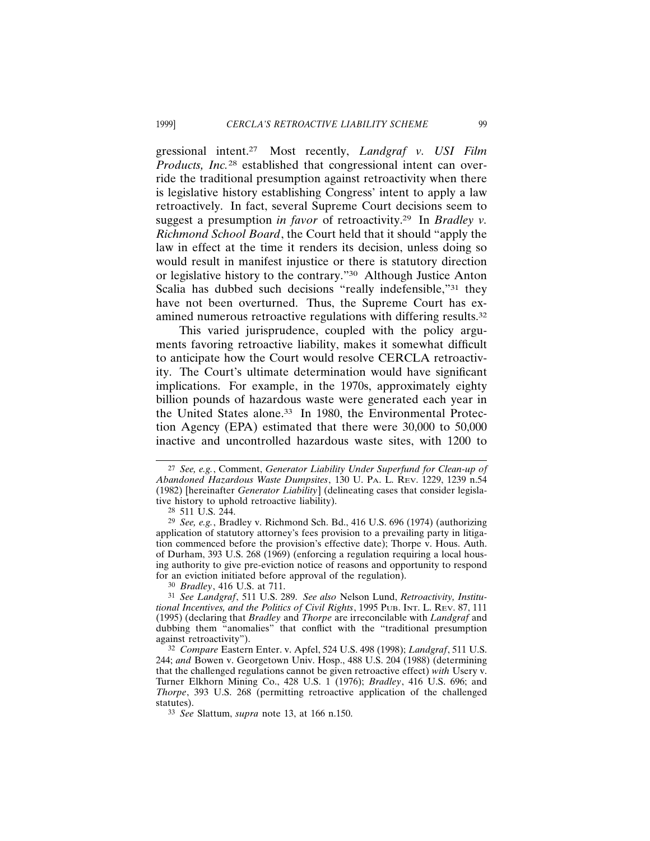gressional intent.27 Most recently, *Landgraf v. USI Film Products, Inc.*28 established that congressional intent can override the traditional presumption against retroactivity when there is legislative history establishing Congress' intent to apply a law retroactively. In fact, several Supreme Court decisions seem to suggest a presumption *in favor* of retroactivity.29 In *Bradley v. Richmond School Board*, the Court held that it should "apply the law in effect at the time it renders its decision, unless doing so would result in manifest injustice or there is statutory direction or legislative history to the contrary."30 Although Justice Anton Scalia has dubbed such decisions "really indefensible,"<sup>31</sup> they have not been overturned. Thus, the Supreme Court has examined numerous retroactive regulations with differing results.32

This varied jurisprudence, coupled with the policy arguments favoring retroactive liability, makes it somewhat difficult to anticipate how the Court would resolve CERCLA retroactivity. The Court's ultimate determination would have significant implications. For example, in the 1970s, approximately eighty billion pounds of hazardous waste were generated each year in the United States alone.<sup>33</sup> In 1980, the Environmental Protection Agency (EPA) estimated that there were 30,000 to 50,000 inactive and uncontrolled hazardous waste sites, with 1200 to

30 *Bradley*, 416 U.S. at 711.

31 *See Landgraf*, 511 U.S. 289. *See also* Nelson Lund, *Retroactivity, Institutional Incentives, and the Politics of Civil Rights*, 1995 PUB. INT. L. REV. 87, 111 (1995) (declaring that *Bradley* and *Thorpe* are irreconcilable with *Landgraf* and dubbing them "anomalies" that conflict with the "traditional presumption against retroactivity").

<sup>27</sup> *See, e.g.*, Comment, *Generator Liability Under Superfund for Clean-up of Abandoned Hazardous Waste Dumpsites*, 130 U. PA. L. REV. 1229, 1239 n.54 (1982) [hereinafter *Generator Liability*] (delineating cases that consider legislative history to uphold retroactive liability).

<sup>28</sup> 511 U.S. 244.

<sup>29</sup> *See, e.g.*, Bradley v. Richmond Sch. Bd., 416 U.S. 696 (1974) (authorizing application of statutory attorney's fees provision to a prevailing party in litigation commenced before the provision's effective date); Thorpe v. Hous. Auth. of Durham, 393 U.S. 268 (1969) (enforcing a regulation requiring a local housing authority to give pre-eviction notice of reasons and opportunity to respond for an eviction initiated before approval of the regulation).

<sup>32</sup> *Compare* Eastern Enter. v. Apfel, 524 U.S. 498 (1998); *Landgraf*, 511 U.S. 244; *and* Bowen v. Georgetown Univ. Hosp., 488 U.S. 204 (1988) (determining that the challenged regulations cannot be given retroactive effect) *with* Usery v. Turner Elkhorn Mining Co., 428 U.S. 1 (1976); *Bradley*, 416 U.S. 696; and *Thorpe*, 393 U.S. 268 (permitting retroactive application of the challenged statutes).

<sup>33</sup> *See* Slattum, *supra* note 13, at 166 n.150.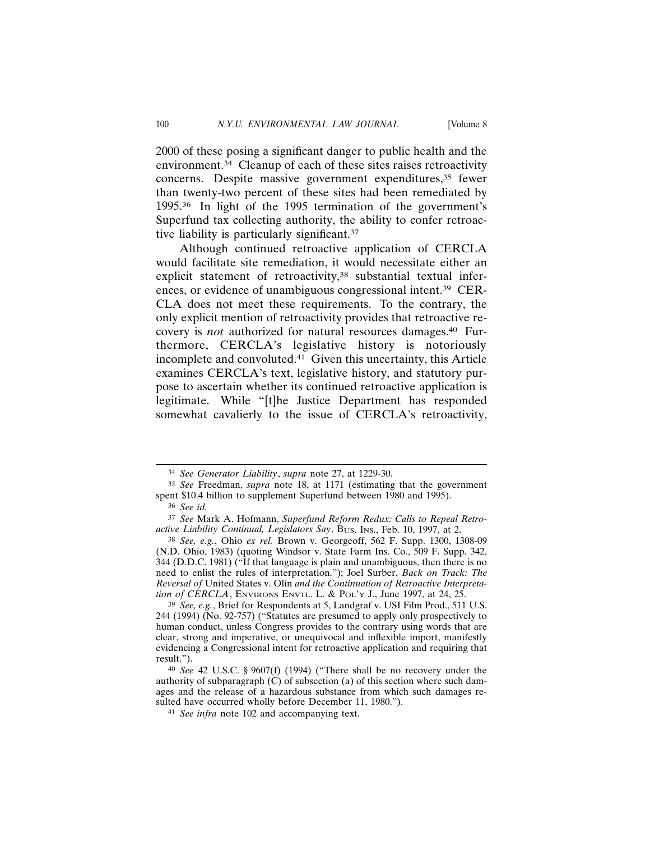2000 of these posing a significant danger to public health and the environment.34 Cleanup of each of these sites raises retroactivity concerns. Despite massive government expenditures,<sup>35</sup> fewer than twenty-two percent of these sites had been remediated by 1995.36 In light of the 1995 termination of the government's Superfund tax collecting authority, the ability to confer retroactive liability is particularly significant.37

Although continued retroactive application of CERCLA would facilitate site remediation, it would necessitate either an explicit statement of retroactivity,<sup>38</sup> substantial textual inferences, or evidence of unambiguous congressional intent.39 CER-CLA does not meet these requirements. To the contrary, the only explicit mention of retroactivity provides that retroactive recovery is *not* authorized for natural resources damages.40 Furthermore, CERCLA's legislative history is notoriously incomplete and convoluted.41 Given this uncertainty, this Article examines CERCLA's text, legislative history, and statutory purpose to ascertain whether its continued retroactive application is legitimate. While "[t]he Justice Department has responded somewhat cavalierly to the issue of CERCLA's retroactivity,

<sup>34</sup> *See Generator Liability*, *supra* note 27, at 1229-30.

<sup>35</sup> *See* Freedman, *supra* note 18, at 1171 (estimating that the government spent \$10.4 billion to supplement Superfund between 1980 and 1995).

<sup>36</sup> *See id.*

<sup>37</sup> *See* Mark A. Hofmann, *Superfund Reform Redux: Calls to Repeal Retroactive Liability Continual, Legislators Say*, BUS. INS., Feb. 10, 1997, at 2.

<sup>38</sup> *See, e.g.*, Ohio *ex rel.* Brown v. Georgeoff, 562 F. Supp. 1300, 1308-09 (N.D. Ohio, 1983) (quoting Windsor v. State Farm Ins. Co., 509 F. Supp. 342, 344 (D.D.C. 1981) ("If that language is plain and unambiguous, then there is no need to enlist the rules of interpretation."); Joel Surber, *Back on Track: The Reversal of* United States v. Olin *and the Continuation of Retroactive Interpretation of CERCLA*, ENVIRONS ENVTL. L. & POL'Y J., June 1997, at 24, 25.

<sup>39</sup> *See, e.g.*, Brief for Respondents at 5, Landgraf v. USI Film Prod., 511 U.S. 244 (1994) (No. 92-757) ("Statutes are presumed to apply only prospectively to human conduct, unless Congress provides to the contrary using words that are clear, strong and imperative, or unequivocal and inflexible import, manifestly evidencing a Congressional intent for retroactive application and requiring that result.").

<sup>40</sup> *See* 42 U.S.C. § 9607(f) (1994) ("There shall be no recovery under the authority of subparagraph (C) of subsection (a) of this section where such damages and the release of a hazardous substance from which such damages resulted have occurred wholly before December 11, 1980.").

<sup>41</sup> *See infra* note 102 and accompanying text.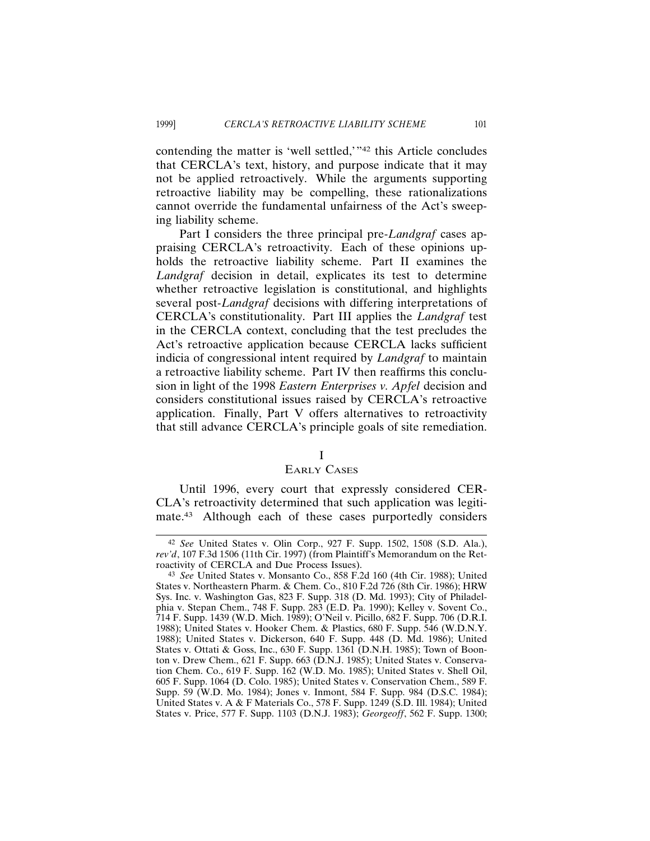contending the matter is 'well settled,'"42 this Article concludes that CERCLA's text, history, and purpose indicate that it may not be applied retroactively. While the arguments supporting retroactive liability may be compelling, these rationalizations cannot override the fundamental unfairness of the Act's sweeping liability scheme.

Part I considers the three principal pre-*Landgraf* cases appraising CERCLA's retroactivity. Each of these opinions upholds the retroactive liability scheme. Part II examines the *Landgraf* decision in detail, explicates its test to determine whether retroactive legislation is constitutional, and highlights several post-*Landgraf* decisions with differing interpretations of CERCLA's constitutionality. Part III applies the *Landgraf* test in the CERCLA context, concluding that the test precludes the Act's retroactive application because CERCLA lacks sufficient indicia of congressional intent required by *Landgraf* to maintain a retroactive liability scheme. Part IV then reaffirms this conclusion in light of the 1998 *Eastern Enterprises v. Apfel* decision and considers constitutional issues raised by CERCLA's retroactive application. Finally, Part V offers alternatives to retroactivity that still advance CERCLA's principle goals of site remediation.

## I

## EARLY CASES

Until 1996, every court that expressly considered CER-CLA's retroactivity determined that such application was legitimate.43 Although each of these cases purportedly considers

<sup>42</sup> *See* United States v. Olin Corp., 927 F. Supp. 1502, 1508 (S.D. Ala.), *rev'd*, 107 F.3d 1506 (11th Cir. 1997) (from Plaintiff's Memorandum on the Retroactivity of CERCLA and Due Process Issues).

<sup>43</sup> *See* United States v. Monsanto Co., 858 F.2d 160 (4th Cir. 1988); United States v. Northeastern Pharm. & Chem. Co., 810 F.2d 726 (8th Cir. 1986); HRW Sys. Inc. v. Washington Gas, 823 F. Supp. 318 (D. Md. 1993); City of Philadelphia v. Stepan Chem., 748 F. Supp. 283 (E.D. Pa. 1990); Kelley v. Sovent Co., 714 F. Supp. 1439 (W.D. Mich. 1989); O'Neil v. Picillo, 682 F. Supp. 706 (D.R.I. 1988); United States v. Hooker Chem. & Plastics, 680 F. Supp. 546 (W.D.N.Y. 1988); United States v. Dickerson, 640 F. Supp. 448 (D. Md. 1986); United States v. Ottati & Goss, Inc., 630 F. Supp. 1361 (D.N.H. 1985); Town of Boonton v. Drew Chem., 621 F. Supp. 663 (D.N.J. 1985); United States v. Conservation Chem. Co., 619 F. Supp. 162 (W.D. Mo. 1985); United States v. Shell Oil, 605 F. Supp. 1064 (D. Colo. 1985); United States v. Conservation Chem., 589 F. Supp. 59 (W.D. Mo. 1984); Jones v. Inmont, 584 F. Supp. 984 (D.S.C. 1984); United States v. A & F Materials Co., 578 F. Supp. 1249 (S.D. Ill. 1984); United States v. Price, 577 F. Supp. 1103 (D.N.J. 1983); *Georgeoff*, 562 F. Supp. 1300;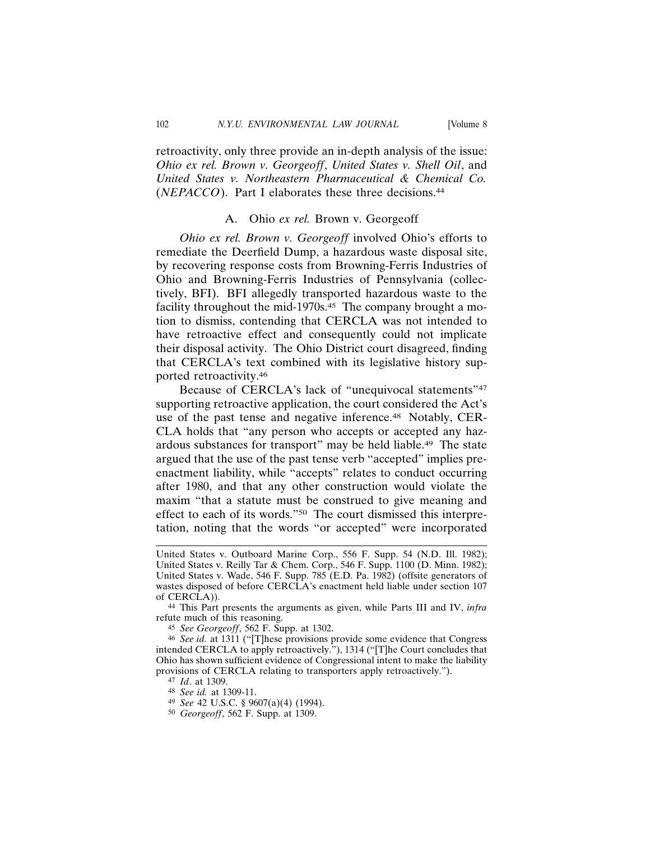retroactivity, only three provide an in-depth analysis of the issue: *Ohio ex rel. Brown v. Georgeoff*, *United States v. Shell Oil*, and *United States v. Northeastern Pharmaceutical & Chemical Co.* (*NEPACCO*). Part I elaborates these three decisions.44

## A. Ohio *ex rel.* Brown v. Georgeoff

*Ohio ex rel. Brown v. Georgeoff* involved Ohio's efforts to remediate the Deerfield Dump, a hazardous waste disposal site, by recovering response costs from Browning-Ferris Industries of Ohio and Browning-Ferris Industries of Pennsylvania (collectively, BFI). BFI allegedly transported hazardous waste to the facility throughout the mid-1970s.<sup>45</sup> The company brought a motion to dismiss, contending that CERCLA was not intended to have retroactive effect and consequently could not implicate their disposal activity. The Ohio District court disagreed, finding that CERCLA's text combined with its legislative history supported retroactivity.46

Because of CERCLA's lack of "unequivocal statements"<sup>47</sup> supporting retroactive application, the court considered the Act's use of the past tense and negative inference.<sup>48</sup> Notably, CER-CLA holds that "any person who accepts or accepted any hazardous substances for transport" may be held liable.49 The state argued that the use of the past tense verb "accepted" implies preenactment liability, while "accepts" relates to conduct occurring after 1980, and that any other construction would violate the maxim "that a statute must be construed to give meaning and effect to each of its words."50 The court dismissed this interpretation, noting that the words "or accepted" were incorporated

44 This Part presents the arguments as given, while Parts III and IV, *infra* refute much of this reasoning.

45 *See Georgeoff*, 562 F. Supp. at 1302.

46 *See id.* at 1311 ("[T]hese provisions provide some evidence that Congress intended CERCLA to apply retroactively."), 1314 ("[T]he Court concludes that Ohio has shown sufficient evidence of Congressional intent to make the liability provisions of CERCLA relating to transporters apply retroactively.").

47 *Id*. at 1309.

United States v. Outboard Marine Corp., 556 F. Supp. 54 (N.D. Ill. 1982); United States v. Reilly Tar & Chem. Corp., 546 F. Supp. 1100 (D. Minn. 1982); United States v. Wade, 546 F. Supp. 785 (E.D. Pa. 1982) (offsite generators of wastes disposed of before CERCLA's enactment held liable under section 107 of CERCLA)).

<sup>48</sup> *See id.* at 1309-11.

<sup>49</sup> *See* 42 U.S.C. § 9607(a)(4) (1994).

<sup>50</sup> *Georgeoff*, 562 F. Supp. at 1309.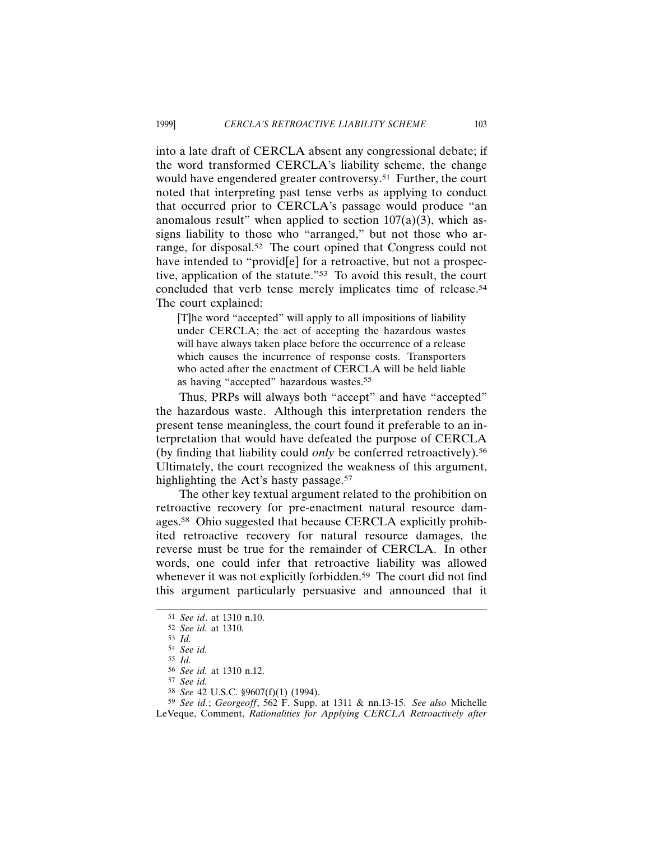into a late draft of CERCLA absent any congressional debate; if the word transformed CERCLA's liability scheme, the change would have engendered greater controversy.<sup>51</sup> Further, the court noted that interpreting past tense verbs as applying to conduct that occurred prior to CERCLA's passage would produce "an anomalous result" when applied to section  $107(a)(3)$ , which assigns liability to those who "arranged," but not those who arrange, for disposal.52 The court opined that Congress could not have intended to "provid<sup>[e]</sup> for a retroactive, but not a prospective, application of the statute."53 To avoid this result, the court concluded that verb tense merely implicates time of release.54 The court explained:

[T]he word "accepted" will apply to all impositions of liability under CERCLA; the act of accepting the hazardous wastes will have always taken place before the occurrence of a release which causes the incurrence of response costs. Transporters who acted after the enactment of CERCLA will be held liable as having "accepted" hazardous wastes.<sup>55</sup>

Thus, PRPs will always both "accept" and have "accepted" the hazardous waste. Although this interpretation renders the present tense meaningless, the court found it preferable to an interpretation that would have defeated the purpose of CERCLA (by finding that liability could *only* be conferred retroactively).56 Ultimately, the court recognized the weakness of this argument, highlighting the Act's hasty passage.<sup>57</sup>

The other key textual argument related to the prohibition on retroactive recovery for pre-enactment natural resource damages.58 Ohio suggested that because CERCLA explicitly prohibited retroactive recovery for natural resource damages, the reverse must be true for the remainder of CERCLA. In other words, one could infer that retroactive liability was allowed whenever it was not explicitly forbidden.<sup>59</sup> The court did not find this argument particularly persuasive and announced that it

<sup>51</sup> *See id*. at 1310 n.10.

<sup>52</sup> *See id.* at 1310.

<sup>53</sup> *Id.*

<sup>54</sup> *See id.*

<sup>55</sup> *Id.*

<sup>56</sup> *See id.* at 1310 n.12.

<sup>57</sup> *See id.*

<sup>58</sup> *See* 42 U.S.C. §9607(f)(1) (1994).

<sup>59</sup> *See id.*; *Georgeoff*, 562 F. Supp. at 1311 & nn.13-15. *See also* Michelle LeVeque, Comment, *Rationalities for Applying CERCLA Retroactively after*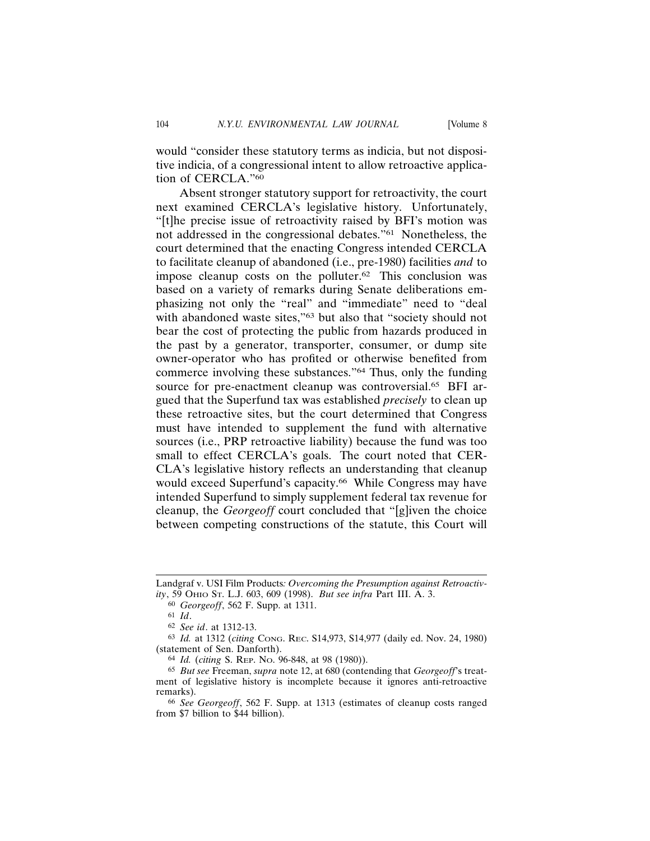would "consider these statutory terms as indicia, but not dispositive indicia, of a congressional intent to allow retroactive application of CERCLA."60

Absent stronger statutory support for retroactivity, the court next examined CERCLA's legislative history. Unfortunately, "[t]he precise issue of retroactivity raised by BFI's motion was not addressed in the congressional debates."61 Nonetheless, the court determined that the enacting Congress intended CERCLA to facilitate cleanup of abandoned (i.e., pre-1980) facilities *and* to impose cleanup costs on the polluter.62 This conclusion was based on a variety of remarks during Senate deliberations emphasizing not only the "real" and "immediate" need to "deal with abandoned waste sites,"<sup>63</sup> but also that "society should not bear the cost of protecting the public from hazards produced in the past by a generator, transporter, consumer, or dump site owner-operator who has profited or otherwise benefited from commerce involving these substances."64 Thus, only the funding source for pre-enactment cleanup was controversial.<sup>65</sup> BFI argued that the Superfund tax was established *precisely* to clean up these retroactive sites, but the court determined that Congress must have intended to supplement the fund with alternative sources (i.e., PRP retroactive liability) because the fund was too small to effect CERCLA's goals. The court noted that CER-CLA's legislative history reflects an understanding that cleanup would exceed Superfund's capacity.<sup>66</sup> While Congress may have intended Superfund to simply supplement federal tax revenue for cleanup, the *Georgeoff* court concluded that "[g]iven the choice between competing constructions of the statute, this Court will

Landgraf v. USI Film Products*: Overcoming the Presumption against Retroactivity*, 59 OHIO ST. L.J. 603, 609 (1998). *But see infra* Part III. A. 3.

<sup>60</sup> *Georgeoff*, 562 F. Supp. at 1311.

<sup>61</sup> *Id*.

<sup>62</sup> *See id*. at 1312-13.

<sup>63</sup> *Id.* at 1312 (*citing* CONG. REC. S14,973, S14,977 (daily ed. Nov. 24, 1980) (statement of Sen. Danforth).

<sup>64</sup> *Id.* (*citing* S. REP. NO. 96-848, at 98 (1980)).

<sup>65</sup> *But see* Freeman, *supra* note 12, at 680 (contending that *Georgeoff*'s treatment of legislative history is incomplete because it ignores anti-retroactive remarks).

<sup>66</sup> *See Georgeoff*, 562 F. Supp. at 1313 (estimates of cleanup costs ranged from \$7 billion to \$44 billion).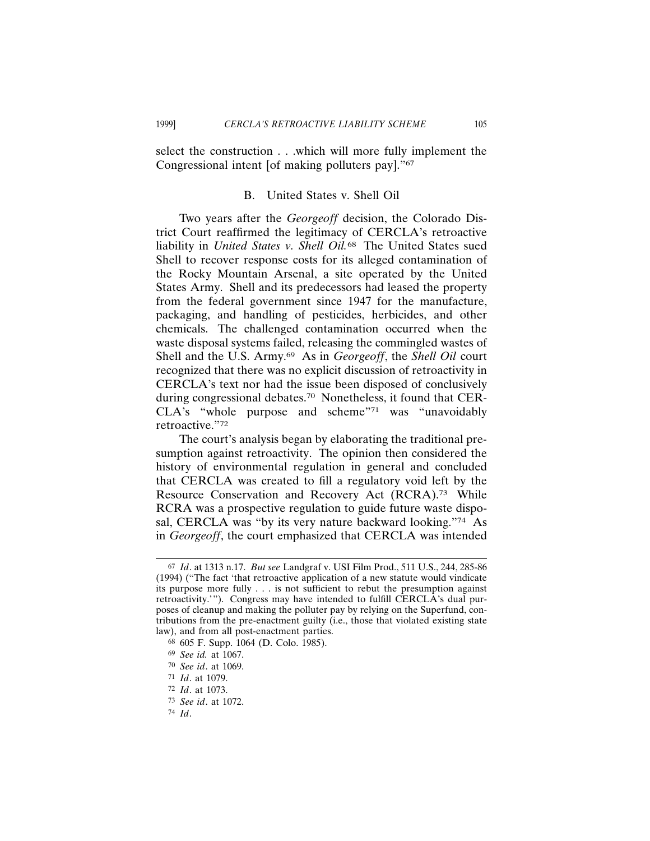select the construction . . .which will more fully implement the Congressional intent [of making polluters pay]."67

# B. United States v. Shell Oil

Two years after the *Georgeoff* decision, the Colorado District Court reaffirmed the legitimacy of CERCLA's retroactive liability in *United States v. Shell Oil.*68 The United States sued Shell to recover response costs for its alleged contamination of the Rocky Mountain Arsenal, a site operated by the United States Army. Shell and its predecessors had leased the property from the federal government since 1947 for the manufacture, packaging, and handling of pesticides, herbicides, and other chemicals. The challenged contamination occurred when the waste disposal systems failed, releasing the commingled wastes of Shell and the U.S. Army.69 As in *Georgeoff*, the *Shell Oil* court recognized that there was no explicit discussion of retroactivity in CERCLA's text nor had the issue been disposed of conclusively during congressional debates.70 Nonetheless, it found that CER-CLA's "whole purpose and scheme"71 was "unavoidably retroactive."72

The court's analysis began by elaborating the traditional presumption against retroactivity. The opinion then considered the history of environmental regulation in general and concluded that CERCLA was created to fill a regulatory void left by the Resource Conservation and Recovery Act (RCRA).73 While RCRA was a prospective regulation to guide future waste disposal, CERCLA was "by its very nature backward looking."<sup>74</sup> As in *Georgeoff*, the court emphasized that CERCLA was intended

<sup>67</sup> *Id*. at 1313 n.17. *But see* Landgraf v. USI Film Prod., 511 U.S., 244, 285-86 (1994) ("The fact 'that retroactive application of a new statute would vindicate its purpose more fully . . . is not sufficient to rebut the presumption against retroactivity.'"). Congress may have intended to fulfill CERCLA's dual purposes of cleanup and making the polluter pay by relying on the Superfund, contributions from the pre-enactment guilty (i.e., those that violated existing state law), and from all post-enactment parties.

<sup>68</sup> 605 F. Supp. 1064 (D. Colo. 1985).

<sup>69</sup> *See id.* at 1067.

<sup>70</sup> *See id*. at 1069.

<sup>71</sup> *Id*. at 1079.

<sup>72</sup> *Id*. at 1073.

<sup>73</sup> *See id*. at 1072.

<sup>74</sup> *Id*.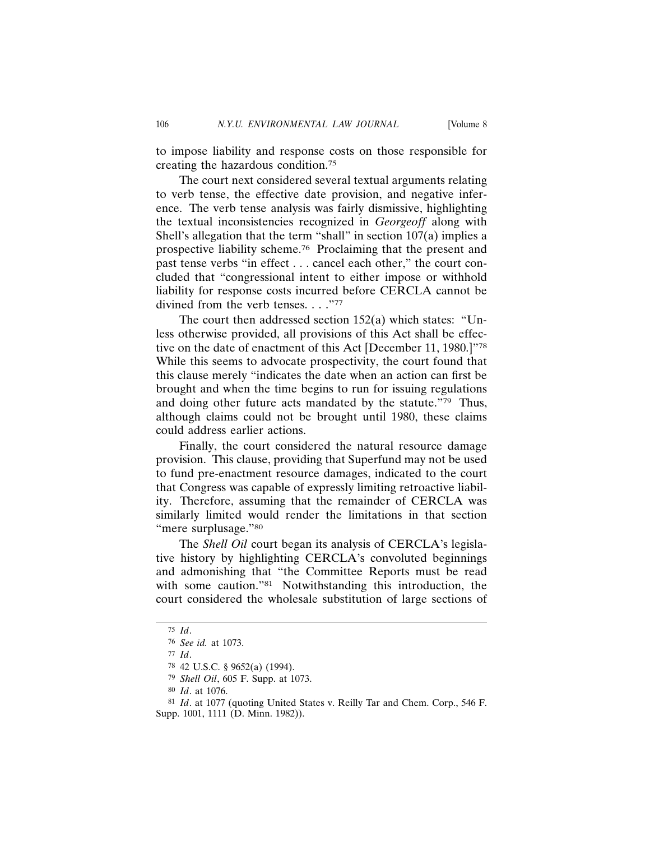to impose liability and response costs on those responsible for creating the hazardous condition.75

The court next considered several textual arguments relating to verb tense, the effective date provision, and negative inference. The verb tense analysis was fairly dismissive, highlighting the textual inconsistencies recognized in *Georgeoff* along with Shell's allegation that the term "shall" in section 107(a) implies a prospective liability scheme.76 Proclaiming that the present and past tense verbs "in effect . . . cancel each other," the court concluded that "congressional intent to either impose or withhold liability for response costs incurred before CERCLA cannot be divined from the verb tenses. . . ."77

The court then addressed section 152(a) which states: "Unless otherwise provided, all provisions of this Act shall be effective on the date of enactment of this Act [December 11, 1980.]"78 While this seems to advocate prospectivity, the court found that this clause merely "indicates the date when an action can first be brought and when the time begins to run for issuing regulations and doing other future acts mandated by the statute."79 Thus, although claims could not be brought until 1980, these claims could address earlier actions.

Finally, the court considered the natural resource damage provision. This clause, providing that Superfund may not be used to fund pre-enactment resource damages, indicated to the court that Congress was capable of expressly limiting retroactive liability. Therefore, assuming that the remainder of CERCLA was similarly limited would render the limitations in that section "mere surplusage."80

The *Shell Oil* court began its analysis of CERCLA's legislative history by highlighting CERCLA's convoluted beginnings and admonishing that "the Committee Reports must be read with some caution."<sup>81</sup> Notwithstanding this introduction, the court considered the wholesale substitution of large sections of

<sup>75</sup> *Id*.

<sup>76</sup> *See id.* at 1073.

<sup>77</sup> *Id*.

<sup>78</sup> 42 U.S.C. § 9652(a) (1994).

<sup>79</sup> *Shell Oil*, 605 F. Supp. at 1073.

<sup>80</sup> *Id*. at 1076.

<sup>81</sup> *Id*. at 1077 (quoting United States v. Reilly Tar and Chem. Corp., 546 F. Supp. 1001, 1111 (D. Minn. 1982)).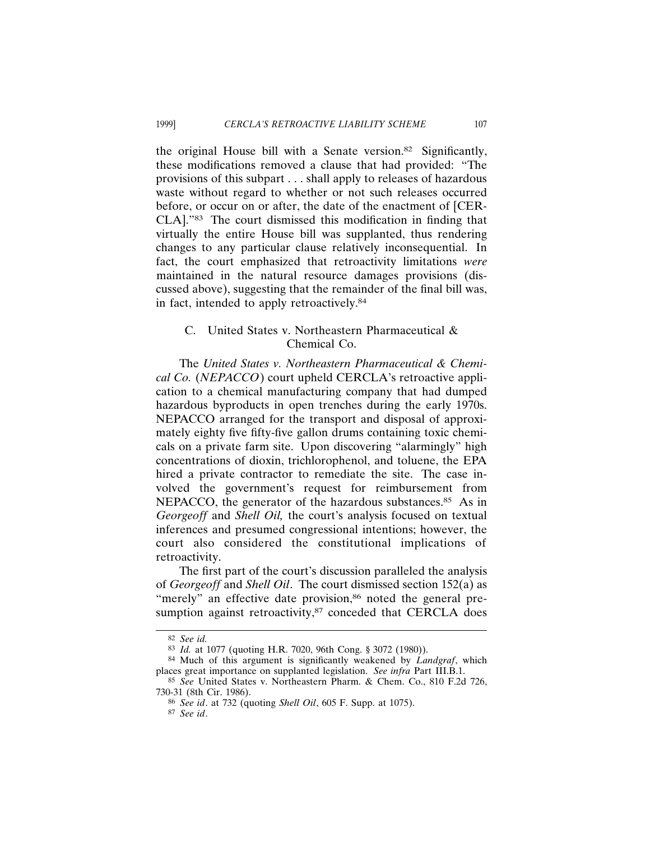the original House bill with a Senate version.82 Significantly, these modifications removed a clause that had provided: "The provisions of this subpart . . . shall apply to releases of hazardous waste without regard to whether or not such releases occurred before, or occur on or after, the date of the enactment of [CER-CLA]."83 The court dismissed this modification in finding that virtually the entire House bill was supplanted, thus rendering changes to any particular clause relatively inconsequential. In fact, the court emphasized that retroactivity limitations *were* maintained in the natural resource damages provisions (discussed above), suggesting that the remainder of the final bill was, in fact, intended to apply retroactively.84

# C. United States v. Northeastern Pharmaceutical & Chemical Co.

The *United States v. Northeastern Pharmaceutical & Chemical Co.* (*NEPACCO*) court upheld CERCLA's retroactive application to a chemical manufacturing company that had dumped hazardous byproducts in open trenches during the early 1970s. NEPACCO arranged for the transport and disposal of approximately eighty five fifty-five gallon drums containing toxic chemicals on a private farm site. Upon discovering "alarmingly" high concentrations of dioxin, trichlorophenol, and toluene, the EPA hired a private contractor to remediate the site. The case involved the government's request for reimbursement from NEPACCO, the generator of the hazardous substances.<sup>85</sup> As in *Georgeoff* and *Shell Oil,* the court's analysis focused on textual inferences and presumed congressional intentions; however, the court also considered the constitutional implications of retroactivity.

The first part of the court's discussion paralleled the analysis of *Georgeoff* and *Shell Oil*. The court dismissed section 152(a) as "merely" an effective date provision,<sup>86</sup> noted the general presumption against retroactivity,<sup>87</sup> conceded that CERCLA does

<sup>82</sup> *See id.*

<sup>83</sup> *Id.* at 1077 (quoting H.R. 7020, 96th Cong. § 3072 (1980)).

<sup>84</sup> Much of this argument is significantly weakened by *Landgraf*, which places great importance on supplanted legislation. *See infra* Part III.B.1.

<sup>85</sup> *See* United States v. Northeastern Pharm. & Chem. Co., 810 F.2d 726, 730-31 (8th Cir. 1986).

<sup>86</sup> *See id*. at 732 (quoting *Shell Oil*, 605 F. Supp. at 1075).

<sup>87</sup> *See id*.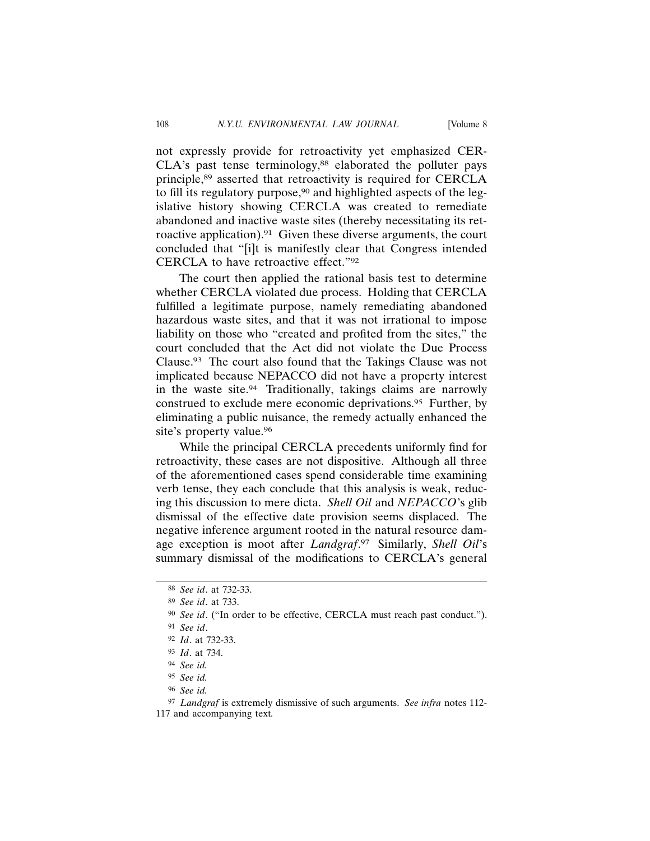not expressly provide for retroactivity yet emphasized CER- $CLA's$  past tense terminology, $88$  elaborated the polluter pays principle,89 asserted that retroactivity is required for CERCLA to fill its regulatory purpose,<sup>90</sup> and highlighted aspects of the legislative history showing CERCLA was created to remediate abandoned and inactive waste sites (thereby necessitating its retroactive application).91 Given these diverse arguments, the court concluded that "[i]t is manifestly clear that Congress intended CERCLA to have retroactive effect."92

The court then applied the rational basis test to determine whether CERCLA violated due process. Holding that CERCLA fulfilled a legitimate purpose, namely remediating abandoned hazardous waste sites, and that it was not irrational to impose liability on those who "created and profited from the sites," the court concluded that the Act did not violate the Due Process Clause.93 The court also found that the Takings Clause was not implicated because NEPACCO did not have a property interest in the waste site.94 Traditionally, takings claims are narrowly construed to exclude mere economic deprivations.95 Further, by eliminating a public nuisance, the remedy actually enhanced the site's property value.<sup>96</sup>

While the principal CERCLA precedents uniformly find for retroactivity, these cases are not dispositive. Although all three of the aforementioned cases spend considerable time examining verb tense, they each conclude that this analysis is weak, reducing this discussion to mere dicta. *Shell Oil* and *NEPACCO*'s glib dismissal of the effective date provision seems displaced. The negative inference argument rooted in the natural resource damage exception is moot after *Landgraf*. 97 Similarly, *Shell Oil*'s summary dismissal of the modifications to CERCLA's general

<sup>88</sup> *See id*. at 732-33.

<sup>89</sup> *See id*. at 733.

<sup>90</sup> *See id*. ("In order to be effective, CERCLA must reach past conduct.").

<sup>91</sup> *See id*.

<sup>92</sup> *Id*. at 732-33.

<sup>93</sup> *Id*. at 734.

<sup>94</sup> *See id.*

<sup>95</sup> *See id.*

<sup>96</sup> *See id.*

<sup>97</sup> *Landgraf* is extremely dismissive of such arguments. *See infra* notes 112- 117 and accompanying text*.*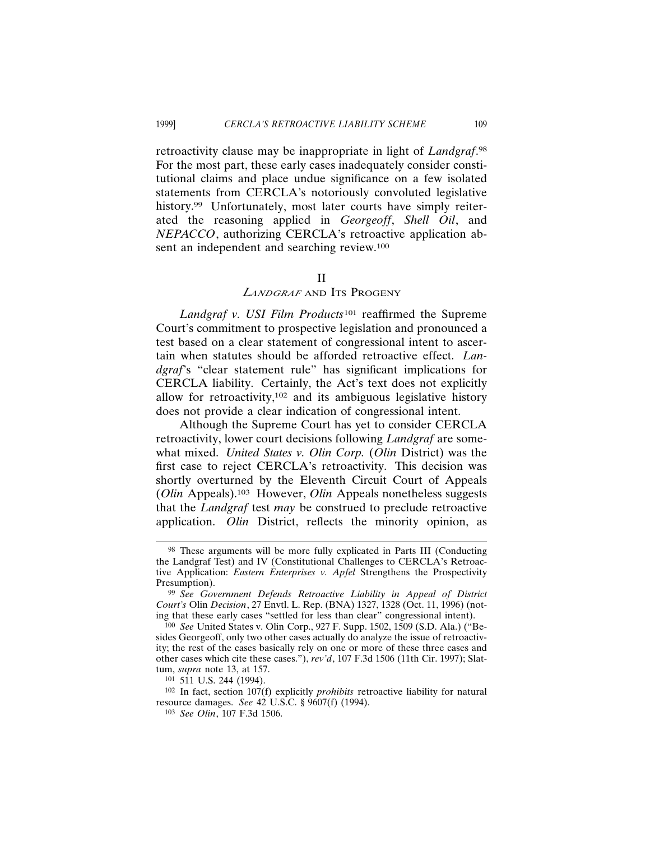retroactivity clause may be inappropriate in light of *Landgraf*. 98 For the most part, these early cases inadequately consider constitutional claims and place undue significance on a few isolated statements from CERCLA's notoriously convoluted legislative history.<sup>99</sup> Unfortunately, most later courts have simply reiterated the reasoning applied in *Georgeoff*, *Shell Oil*, and *NEPACCO*, authorizing CERCLA's retroactive application absent an independent and searching review.100

#### II

# *<sup>L</sup>ANDGRAF* AND ITS PROGENY

*Landgraf v. USI Film Products*101 reaffirmed the Supreme Court's commitment to prospective legislation and pronounced a test based on a clear statement of congressional intent to ascertain when statutes should be afforded retroactive effect. *Landgraf*'s "clear statement rule" has significant implications for CERCLA liability. Certainly, the Act's text does not explicitly allow for retroactivity,102 and its ambiguous legislative history does not provide a clear indication of congressional intent.

Although the Supreme Court has yet to consider CERCLA retroactivity, lower court decisions following *Landgraf* are somewhat mixed. *United States v. Olin Corp.* (*Olin* District) was the first case to reject CERCLA's retroactivity. This decision was shortly overturned by the Eleventh Circuit Court of Appeals (*Olin* Appeals).103 However, *Olin* Appeals nonetheless suggests that the *Landgraf* test *may* be construed to preclude retroactive application. *Olin* District, reflects the minority opinion, as

<sup>98</sup> These arguments will be more fully explicated in Parts III (Conducting the Landgraf Test) and IV (Constitutional Challenges to CERCLA's Retroactive Application: *Eastern Enterprises v. Apfel* Strengthens the Prospectivity Presumption).

<sup>99</sup> *See Government Defends Retroactive Liability in Appeal of District Court's* Olin *Decision*, 27 Envtl. L. Rep. (BNA) 1327, 1328 (Oct. 11, 1996) (noting that these early cases "settled for less than clear" congressional intent).

<sup>100</sup> *See* United States v. Olin Corp., 927 F. Supp. 1502, 1509 (S.D. Ala.) ("Besides Georgeoff, only two other cases actually do analyze the issue of retroactivity; the rest of the cases basically rely on one or more of these three cases and other cases which cite these cases."), *rev'd*, 107 F.3d 1506 (11th Cir. 1997); Slattum, *supra* note 13, at 157.

<sup>101</sup> 511 U.S. 244 (1994).

<sup>102</sup> In fact, section 107(f) explicitly *prohibits* retroactive liability for natural resource damages. *See* 42 U.S.C. § 9607(f) (1994).

<sup>103</sup> *See Olin*, 107 F.3d 1506.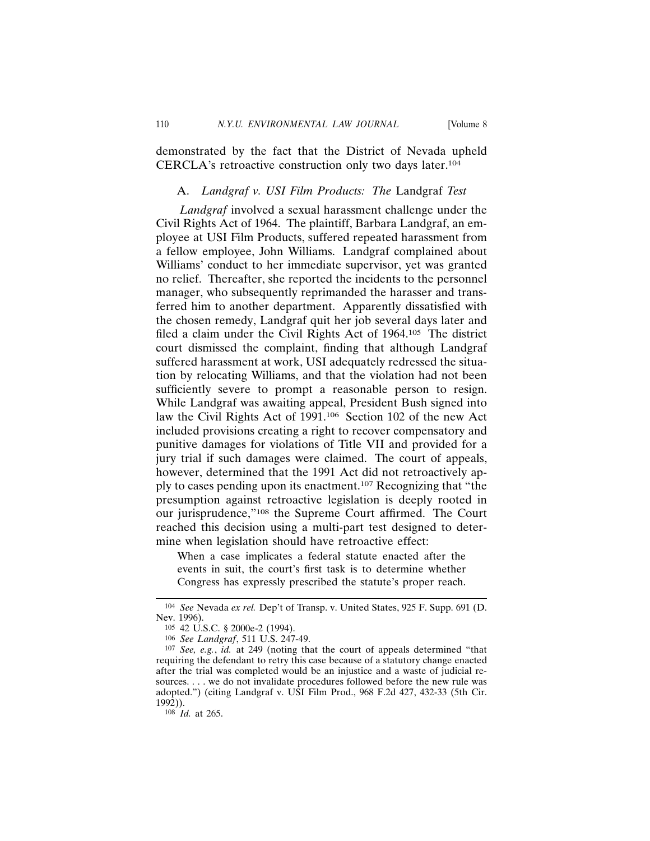demonstrated by the fact that the District of Nevada upheld CERCLA's retroactive construction only two days later.104

## A. *Landgraf v. USI Film Products: The* Landgraf *Test*

*Landgraf* involved a sexual harassment challenge under the Civil Rights Act of 1964. The plaintiff, Barbara Landgraf, an employee at USI Film Products, suffered repeated harassment from a fellow employee, John Williams. Landgraf complained about Williams' conduct to her immediate supervisor, yet was granted no relief. Thereafter, she reported the incidents to the personnel manager, who subsequently reprimanded the harasser and transferred him to another department. Apparently dissatisfied with the chosen remedy, Landgraf quit her job several days later and filed a claim under the Civil Rights Act of 1964.105 The district court dismissed the complaint, finding that although Landgraf suffered harassment at work, USI adequately redressed the situation by relocating Williams, and that the violation had not been sufficiently severe to prompt a reasonable person to resign. While Landgraf was awaiting appeal, President Bush signed into law the Civil Rights Act of 1991.106 Section 102 of the new Act included provisions creating a right to recover compensatory and punitive damages for violations of Title VII and provided for a jury trial if such damages were claimed. The court of appeals, however, determined that the 1991 Act did not retroactively apply to cases pending upon its enactment.107 Recognizing that "the presumption against retroactive legislation is deeply rooted in our jurisprudence,"108 the Supreme Court affirmed. The Court reached this decision using a multi-part test designed to determine when legislation should have retroactive effect:

When a case implicates a federal statute enacted after the events in suit, the court's first task is to determine whether Congress has expressly prescribed the statute's proper reach.

108 *Id.* at 265.

<sup>104</sup> *See* Nevada *ex rel.* Dep't of Transp. v. United States, 925 F. Supp. 691 (D. Nev. 1996).

<sup>105</sup> 42 U.S.C. § 2000e-2 (1994).

<sup>106</sup> *See Landgraf*, 511 U.S. 247-49.

<sup>107</sup> *See, e.g.*, *id.* at 249 (noting that the court of appeals determined "that requiring the defendant to retry this case because of a statutory change enacted after the trial was completed would be an injustice and a waste of judicial resources. . . . we do not invalidate procedures followed before the new rule was adopted.") (citing Landgraf v. USI Film Prod., 968 F.2d 427, 432-33 (5th Cir. 1992)).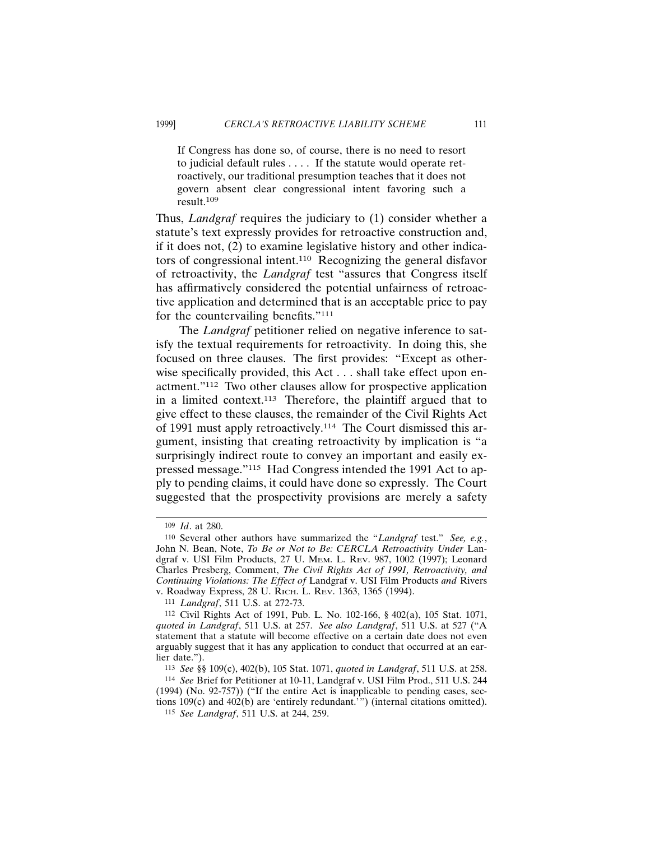If Congress has done so, of course, there is no need to resort to judicial default rules . . . . If the statute would operate retroactively, our traditional presumption teaches that it does not govern absent clear congressional intent favoring such a result.109

Thus, *Landgraf* requires the judiciary to (1) consider whether a statute's text expressly provides for retroactive construction and, if it does not, (2) to examine legislative history and other indicators of congressional intent.110 Recognizing the general disfavor of retroactivity, the *Landgraf* test "assures that Congress itself has affirmatively considered the potential unfairness of retroactive application and determined that is an acceptable price to pay for the countervailing benefits."111

The *Landgraf* petitioner relied on negative inference to satisfy the textual requirements for retroactivity. In doing this, she focused on three clauses. The first provides: "Except as otherwise specifically provided, this Act . . . shall take effect upon enactment."112 Two other clauses allow for prospective application in a limited context.113 Therefore, the plaintiff argued that to give effect to these clauses, the remainder of the Civil Rights Act of 1991 must apply retroactively.114 The Court dismissed this argument, insisting that creating retroactivity by implication is "a surprisingly indirect route to convey an important and easily expressed message."115 Had Congress intended the 1991 Act to apply to pending claims, it could have done so expressly. The Court suggested that the prospectivity provisions are merely a safety

<sup>109</sup> *Id*. at 280.

<sup>110</sup> Several other authors have summarized the "*Landgraf* test." *See, e.g.*, John N. Bean, Note, To Be or Not to Be: CERCLA Retroactivity Under Landgraf v. USI Film Products, 27 U. MEM. L. REV. 987, 1002 (1997); Leonard Charles Presberg, Comment, *The Civil Rights Act of 1991, Retroactivity, and Continuing Violations: The Effect of* Landgraf v. USI Film Products *and* Rivers v. Roadway Express, 28 U. RICH. L. REV. 1363, 1365 (1994).

<sup>111</sup> *Landgraf*, 511 U.S. at 272-73.

<sup>112</sup> Civil Rights Act of 1991, Pub. L. No. 102-166, § 402(a), 105 Stat. 1071, *quoted in Landgraf*, 511 U.S. at 257. *See also Landgraf*, 511 U.S. at 527 ("A statement that a statute will become effective on a certain date does not even arguably suggest that it has any application to conduct that occurred at an earlier date.").

<sup>113</sup> *See* §§ 109(c), 402(b), 105 Stat. 1071, *quoted in Landgraf*, 511 U.S. at 258.

<sup>114</sup> *See* Brief for Petitioner at 10-11, Landgraf v. USI Film Prod., 511 U.S. 244 (1994) (No. 92-757)) ("If the entire Act is inapplicable to pending cases, sections 109(c) and 402(b) are 'entirely redundant.'") (internal citations omitted).

<sup>115</sup> *See Landgraf*, 511 U.S. at 244, 259.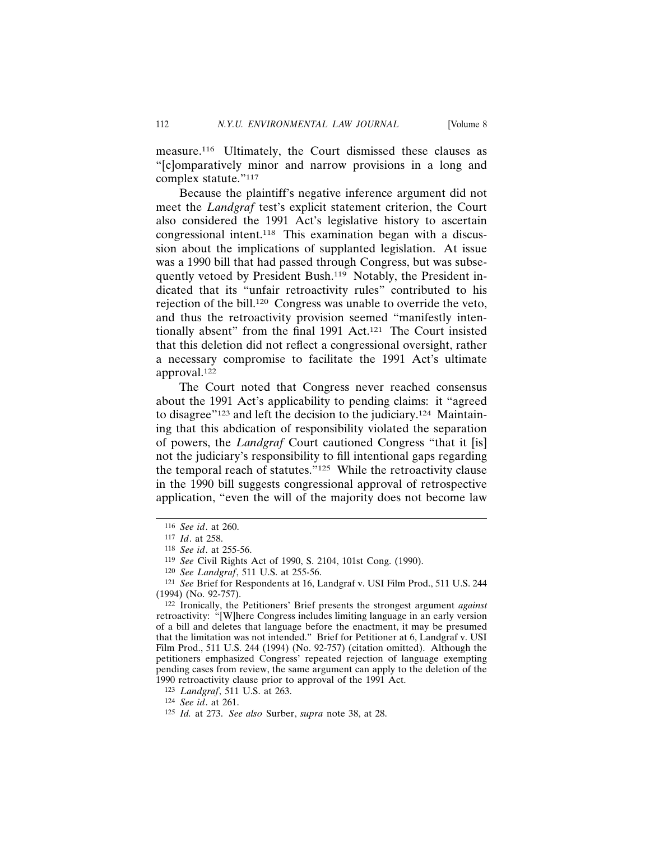measure.116 Ultimately, the Court dismissed these clauses as "[c]omparatively minor and narrow provisions in a long and complex statute."117

Because the plaintiff's negative inference argument did not meet the *Landgraf* test's explicit statement criterion, the Court also considered the 1991 Act's legislative history to ascertain congressional intent.118 This examination began with a discussion about the implications of supplanted legislation. At issue was a 1990 bill that had passed through Congress, but was subsequently vetoed by President Bush.<sup>119</sup> Notably, the President indicated that its "unfair retroactivity rules" contributed to his rejection of the bill.120 Congress was unable to override the veto, and thus the retroactivity provision seemed "manifestly intentionally absent" from the final 1991 Act.121 The Court insisted that this deletion did not reflect a congressional oversight, rather a necessary compromise to facilitate the 1991 Act's ultimate approval.122

The Court noted that Congress never reached consensus about the 1991 Act's applicability to pending claims: it "agreed to disagree"<sup>123</sup> and left the decision to the judiciary.<sup>124</sup> Maintaining that this abdication of responsibility violated the separation of powers, the *Landgraf* Court cautioned Congress "that it [is] not the judiciary's responsibility to fill intentional gaps regarding the temporal reach of statutes."125 While the retroactivity clause in the 1990 bill suggests congressional approval of retrospective application, "even the will of the majority does not become law

<sup>116</sup> *See id*. at 260.

<sup>117</sup> *Id*. at 258.

<sup>118</sup> *See id*. at 255-56.

<sup>119</sup> *See* Civil Rights Act of 1990, S. 2104, 101st Cong. (1990).

<sup>120</sup> *See Landgraf*, 511 U.S. at 255-56.

<sup>121</sup> *See* Brief for Respondents at 16, Landgraf v. USI Film Prod., 511 U.S. 244 (1994) (No. 92-757).

<sup>122</sup> Ironically, the Petitioners' Brief presents the strongest argument *against* retroactivity: "[W]here Congress includes limiting language in an early version of a bill and deletes that language before the enactment, it may be presumed that the limitation was not intended." Brief for Petitioner at 6, Landgraf v. USI Film Prod., 511 U.S. 244 (1994) (No. 92-757) (citation omitted). Although the petitioners emphasized Congress' repeated rejection of language exempting pending cases from review, the same argument can apply to the deletion of the 1990 retroactivity clause prior to approval of the 1991 Act.

<sup>123</sup> *Landgraf*, 511 U.S. at 263.

<sup>124</sup> *See id*. at 261.

<sup>125</sup> *Id.* at 273. *See also* Surber, *supra* note 38, at 28.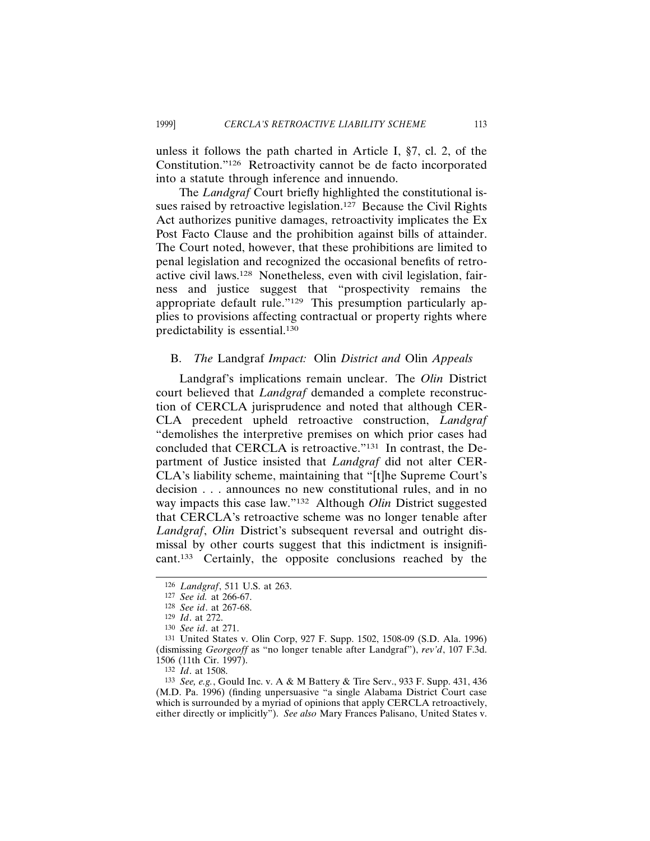unless it follows the path charted in Article I, §7, cl. 2, of the Constitution."126 Retroactivity cannot be de facto incorporated into a statute through inference and innuendo.

The *Landgraf* Court briefly highlighted the constitutional issues raised by retroactive legislation.<sup>127</sup> Because the Civil Rights Act authorizes punitive damages, retroactivity implicates the Ex Post Facto Clause and the prohibition against bills of attainder. The Court noted, however, that these prohibitions are limited to penal legislation and recognized the occasional benefits of retroactive civil laws.128 Nonetheless, even with civil legislation, fairness and justice suggest that "prospectivity remains the appropriate default rule."129 This presumption particularly applies to provisions affecting contractual or property rights where predictability is essential.130

## B. *The* Landgraf *Impact:* Olin *District and* Olin *Appeals*

Landgraf's implications remain unclear. The *Olin* District court believed that *Landgraf* demanded a complete reconstruction of CERCLA jurisprudence and noted that although CER-CLA precedent upheld retroactive construction, *Landgraf* "demolishes the interpretive premises on which prior cases had concluded that CERCLA is retroactive."131 In contrast, the Department of Justice insisted that *Landgraf* did not alter CER-CLA's liability scheme, maintaining that "[t]he Supreme Court's decision . . . announces no new constitutional rules, and in no way impacts this case law."132 Although *Olin* District suggested that CERCLA's retroactive scheme was no longer tenable after *Landgraf*, *Olin* District's subsequent reversal and outright dismissal by other courts suggest that this indictment is insignificant.133 Certainly, the opposite conclusions reached by the

<sup>126</sup> *Landgraf*, 511 U.S. at 263.

<sup>127</sup> *See id.* at 266-67.

<sup>128</sup> *See id*. at 267-68.

<sup>129</sup> *Id*. at 272.

<sup>130</sup> *See id*. at 271.

<sup>131</sup> United States v. Olin Corp, 927 F. Supp. 1502, 1508-09 (S.D. Ala. 1996) (dismissing *Georgeoff* as "no longer tenable after Landgraf"), *rev'd*, 107 F.3d. 1506 (11th Cir. 1997).

<sup>132</sup> *Id*. at 1508.

<sup>133</sup> *See, e.g.*, Gould Inc. v. A & M Battery & Tire Serv., 933 F. Supp. 431, 436 (M.D. Pa. 1996) (finding unpersuasive "a single Alabama District Court case which is surrounded by a myriad of opinions that apply CERCLA retroactively, either directly or implicitly"). *See also* Mary Frances Palisano, United States v.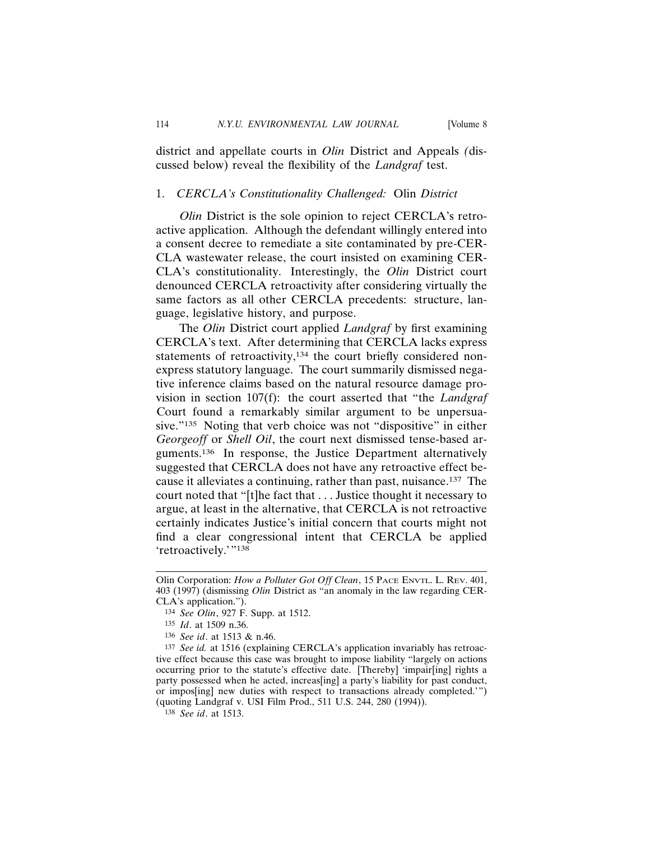district and appellate courts in *Olin* District and Appeals *(*discussed below) reveal the flexibility of the *Landgraf* test.

## 1. *CERCLA's Constitutionality Challenged:* Olin *District*

*Olin* District is the sole opinion to reject CERCLA's retroactive application. Although the defendant willingly entered into a consent decree to remediate a site contaminated by pre-CER-CLA wastewater release, the court insisted on examining CER-CLA's constitutionality. Interestingly, the *Olin* District court denounced CERCLA retroactivity after considering virtually the same factors as all other CERCLA precedents: structure, language, legislative history, and purpose.

The *Olin* District court applied *Landgraf* by first examining CERCLA's text. After determining that CERCLA lacks express statements of retroactivity,<sup>134</sup> the court briefly considered nonexpress statutory language. The court summarily dismissed negative inference claims based on the natural resource damage provision in section 107(f): the court asserted that "the *Landgraf* Court found a remarkably similar argument to be unpersuasive."<sup>135</sup> Noting that verb choice was not "dispositive" in either *Georgeoff* or *Shell Oil*, the court next dismissed tense-based arguments.136 In response, the Justice Department alternatively suggested that CERCLA does not have any retroactive effect because it alleviates a continuing, rather than past, nuisance.137 The court noted that "[t]he fact that . . . Justice thought it necessary to argue, at least in the alternative, that CERCLA is not retroactive certainly indicates Justice's initial concern that courts might not find a clear congressional intent that CERCLA be applied 'retroactively.'"138

137 *See id.* at 1516 (explaining CERCLA's application invariably has retroactive effect because this case was brought to impose liability "largely on actions occurring prior to the statute's effective date. [Thereby] 'impair[ing] rights a party possessed when he acted, increas[ing] a party's liability for past conduct, or impos[ing] new duties with respect to transactions already completed.'") (quoting Landgraf v. USI Film Prod., 511 U.S. 244, 280 (1994)).

138 *See id*. at 1513.

Olin Corporation: *How a Polluter Got Off Clean*, 15 PACE ENVTL. L. REV. 401, 403 (1997) (dismissing *Olin* District as "an anomaly in the law regarding CER-CLA's application.").

<sup>134</sup> *See Olin*, 927 F. Supp. at 1512.

<sup>135</sup> *Id*. at 1509 n.36.

<sup>136</sup> *See id*. at 1513 & n.46.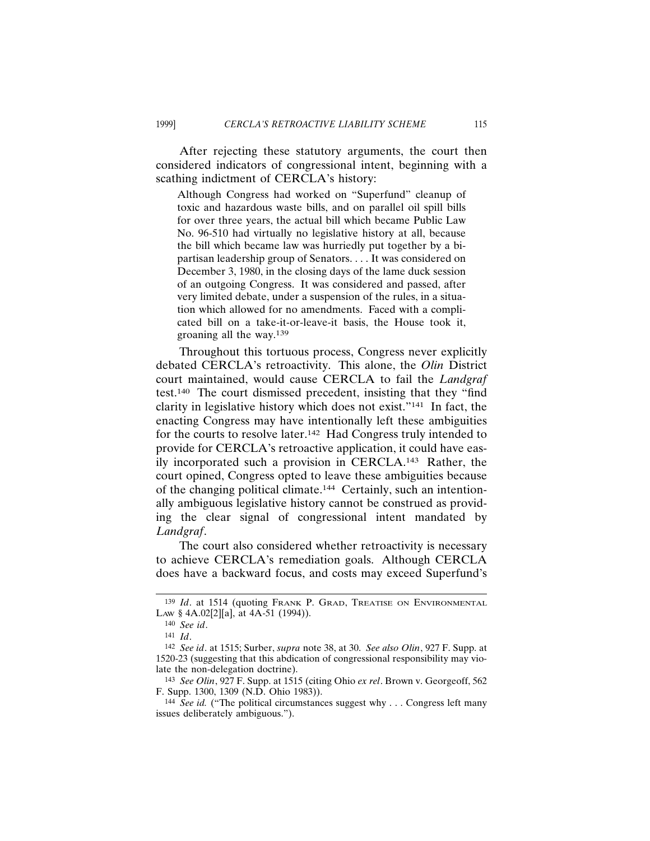After rejecting these statutory arguments, the court then considered indicators of congressional intent, beginning with a scathing indictment of CERCLA's history:

Although Congress had worked on "Superfund" cleanup of toxic and hazardous waste bills, and on parallel oil spill bills for over three years, the actual bill which became Public Law No. 96-510 had virtually no legislative history at all, because the bill which became law was hurriedly put together by a bipartisan leadership group of Senators. . . . It was considered on December 3, 1980, in the closing days of the lame duck session of an outgoing Congress. It was considered and passed, after very limited debate, under a suspension of the rules, in a situation which allowed for no amendments. Faced with a complicated bill on a take-it-or-leave-it basis, the House took it, groaning all the way.139

Throughout this tortuous process, Congress never explicitly debated CERCLA's retroactivity. This alone, the *Olin* District court maintained, would cause CERCLA to fail the *Landgraf* test.140 The court dismissed precedent, insisting that they "find clarity in legislative history which does not exist."141 In fact, the enacting Congress may have intentionally left these ambiguities for the courts to resolve later.<sup>142</sup> Had Congress truly intended to provide for CERCLA's retroactive application, it could have easily incorporated such a provision in CERCLA.143 Rather, the court opined, Congress opted to leave these ambiguities because of the changing political climate.144 Certainly, such an intentionally ambiguous legislative history cannot be construed as providing the clear signal of congressional intent mandated by *Landgraf*.

The court also considered whether retroactivity is necessary to achieve CERCLA's remediation goals. Although CERCLA does have a backward focus, and costs may exceed Superfund's

<sup>139</sup> *Id*. at 1514 (quoting FRANK P. GRAD, TREATISE ON ENVIRONMENTAL LAW § 4A.02[2][a], at 4A-51 (1994)).

<sup>140</sup> *See id*.

<sup>141</sup> *Id*.

<sup>142</sup> *See id*. at 1515; Surber, *supra* note 38, at 30. *See also Olin*, 927 F. Supp. at 1520-23 (suggesting that this abdication of congressional responsibility may violate the non-delegation doctrine).

<sup>143</sup> *See Olin*, 927 F. Supp. at 1515 (citing Ohio *ex rel*. Brown v. Georgeoff, 562 F. Supp. 1300, 1309 (N.D. Ohio 1983)).

<sup>144</sup> *See id.* ("The political circumstances suggest why . . . Congress left many issues deliberately ambiguous.").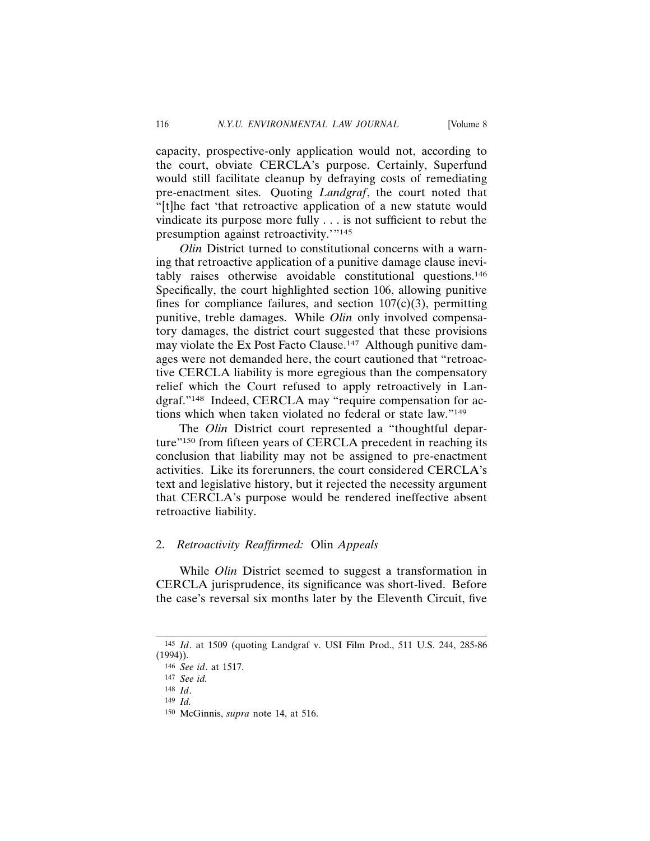capacity, prospective-only application would not, according to the court, obviate CERCLA's purpose. Certainly, Superfund would still facilitate cleanup by defraying costs of remediating pre-enactment sites. Quoting *Landgraf*, the court noted that "[t]he fact 'that retroactive application of a new statute would vindicate its purpose more fully . . . is not sufficient to rebut the presumption against retroactivity.'"145

*Olin* District turned to constitutional concerns with a warning that retroactive application of a punitive damage clause inevitably raises otherwise avoidable constitutional questions.146 Specifically, the court highlighted section 106, allowing punitive fines for compliance failures, and section  $107(c)(3)$ , permitting punitive, treble damages. While *Olin* only involved compensatory damages, the district court suggested that these provisions may violate the Ex Post Facto Clause.<sup>147</sup> Although punitive damages were not demanded here, the court cautioned that "retroactive CERCLA liability is more egregious than the compensatory relief which the Court refused to apply retroactively in Landgraf."148 Indeed, CERCLA may "require compensation for actions which when taken violated no federal or state law."149

The *Olin* District court represented a "thoughtful departure"150 from fifteen years of CERCLA precedent in reaching its conclusion that liability may not be assigned to pre-enactment activities. Like its forerunners, the court considered CERCLA's text and legislative history, but it rejected the necessity argument that CERCLA's purpose would be rendered ineffective absent retroactive liability.

## 2. *Retroactivity Reaffirmed:* Olin *Appeals*

While *Olin* District seemed to suggest a transformation in CERCLA jurisprudence, its significance was short-lived. Before the case's reversal six months later by the Eleventh Circuit, five

149 *Id.*

<sup>145</sup> *Id*. at 1509 (quoting Landgraf v. USI Film Prod., 511 U.S. 244, 285-86 (1994)).

<sup>146</sup> *See id*. at 1517.

<sup>147</sup> *See id.*

<sup>148</sup> *Id*.

<sup>150</sup> McGinnis, *supra* note 14, at 516.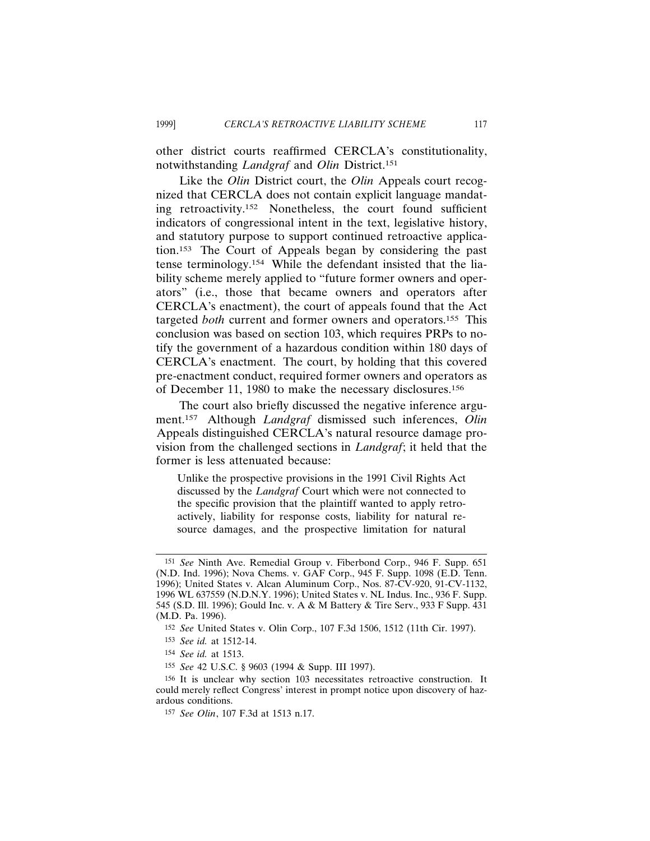other district courts reaffirmed CERCLA's constitutionality, notwithstanding *Landgraf* and *Olin* District.151

Like the *Olin* District court, the *Olin* Appeals court recognized that CERCLA does not contain explicit language mandating retroactivity.152 Nonetheless, the court found sufficient indicators of congressional intent in the text, legislative history, and statutory purpose to support continued retroactive application.153 The Court of Appeals began by considering the past tense terminology.154 While the defendant insisted that the liability scheme merely applied to "future former owners and operators" (i.e., those that became owners and operators after CERCLA's enactment), the court of appeals found that the Act targeted *both* current and former owners and operators.155 This conclusion was based on section 103, which requires PRPs to notify the government of a hazardous condition within 180 days of CERCLA's enactment. The court, by holding that this covered pre-enactment conduct, required former owners and operators as of December 11, 1980 to make the necessary disclosures.156

The court also briefly discussed the negative inference argument.157 Although *Landgraf* dismissed such inferences, *Olin* Appeals distinguished CERCLA's natural resource damage provision from the challenged sections in *Landgraf*; it held that the former is less attenuated because:

Unlike the prospective provisions in the 1991 Civil Rights Act discussed by the *Landgraf* Court which were not connected to the specific provision that the plaintiff wanted to apply retroactively, liability for response costs, liability for natural resource damages, and the prospective limitation for natural

<sup>151</sup> *See* Ninth Ave. Remedial Group v. Fiberbond Corp., 946 F. Supp. 651 (N.D. Ind. 1996); Nova Chems. v. GAF Corp., 945 F. Supp. 1098 (E.D. Tenn. 1996); United States v. Alcan Aluminum Corp., Nos. 87-CV-920, 91-CV-1132, 1996 WL 637559 (N.D.N.Y. 1996); United States v. NL Indus. Inc., 936 F. Supp. 545 (S.D. Ill. 1996); Gould Inc. v. A & M Battery & Tire Serv., 933 F Supp. 431 (M.D. Pa. 1996).

<sup>152</sup> *See* United States v. Olin Corp., 107 F.3d 1506, 1512 (11th Cir. 1997).

<sup>153</sup> *See id.* at 1512-14.

<sup>154</sup> *See id.* at 1513.

<sup>155</sup> *See* 42 U.S.C. § 9603 (1994 & Supp. III 1997).

<sup>156</sup> It is unclear why section 103 necessitates retroactive construction. It could merely reflect Congress' interest in prompt notice upon discovery of hazardous conditions.

<sup>157</sup> *See Olin*, 107 F.3d at 1513 n.17.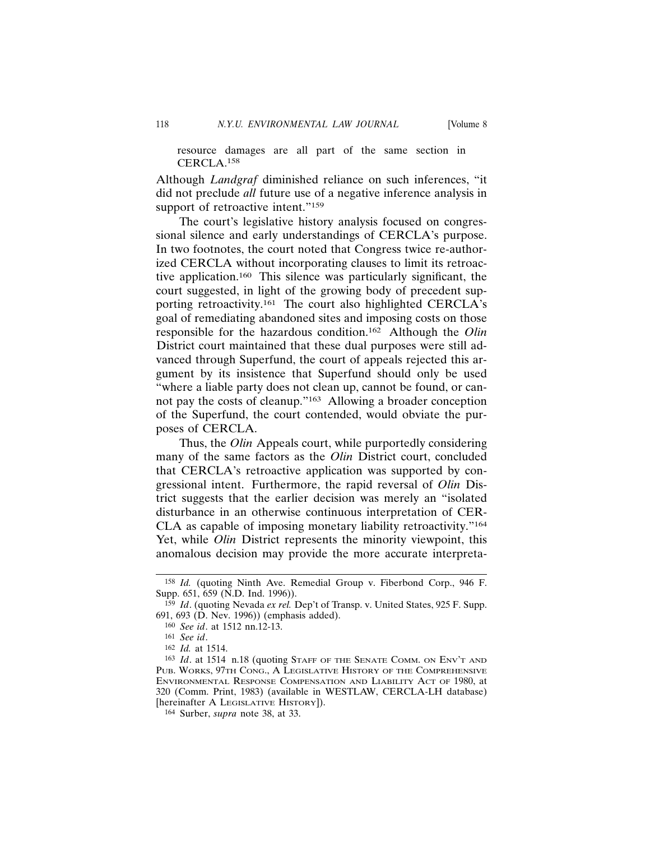resource damages are all part of the same section in CERCLA.158

Although *Landgraf* diminished reliance on such inferences, "it did not preclude *all* future use of a negative inference analysis in support of retroactive intent."159

The court's legislative history analysis focused on congressional silence and early understandings of CERCLA's purpose. In two footnotes, the court noted that Congress twice re-authorized CERCLA without incorporating clauses to limit its retroactive application.160 This silence was particularly significant, the court suggested, in light of the growing body of precedent supporting retroactivity.161 The court also highlighted CERCLA's goal of remediating abandoned sites and imposing costs on those responsible for the hazardous condition.162 Although the *Olin* District court maintained that these dual purposes were still advanced through Superfund, the court of appeals rejected this argument by its insistence that Superfund should only be used "where a liable party does not clean up, cannot be found, or cannot pay the costs of cleanup."163 Allowing a broader conception of the Superfund, the court contended, would obviate the purposes of CERCLA.

Thus, the *Olin* Appeals court, while purportedly considering many of the same factors as the *Olin* District court, concluded that CERCLA's retroactive application was supported by congressional intent. Furthermore, the rapid reversal of *Olin* District suggests that the earlier decision was merely an "isolated disturbance in an otherwise continuous interpretation of CER-CLA as capable of imposing monetary liability retroactivity."164 Yet, while *Olin* District represents the minority viewpoint, this anomalous decision may provide the more accurate interpreta-

<sup>158</sup> *Id.* (quoting Ninth Ave. Remedial Group v. Fiberbond Corp., 946 F. Supp. 651, 659 (N.D. Ind. 1996)).

<sup>159</sup> *Id*. (quoting Nevada *ex rel.* Dep't of Transp. v. United States, 925 F. Supp. 691, 693 (D. Nev. 1996)) (emphasis added).

<sup>160</sup> *See id*. at 1512 nn.12-13.

<sup>161</sup> *See id*.

<sup>162</sup> *Id.* at 1514.

<sup>163</sup> *Id*. at 1514 n.18 (quoting STAFF OF THE SENATE COMM. ON ENV'T AND PUB. WORKS, 97TH CONG., A LEGISLATIVE HISTORY OF THE COMPREHENSIVE ENVIRONMENTAL RESPONSE COMPENSATION AND LIABILITY ACT OF 1980, at 320 (Comm. Print, 1983) (available in WESTLAW, CERCLA-LH database) [hereinafter A LEGISLATIVE HISTORY]).

<sup>164</sup> Surber, *supra* note 38, at 33.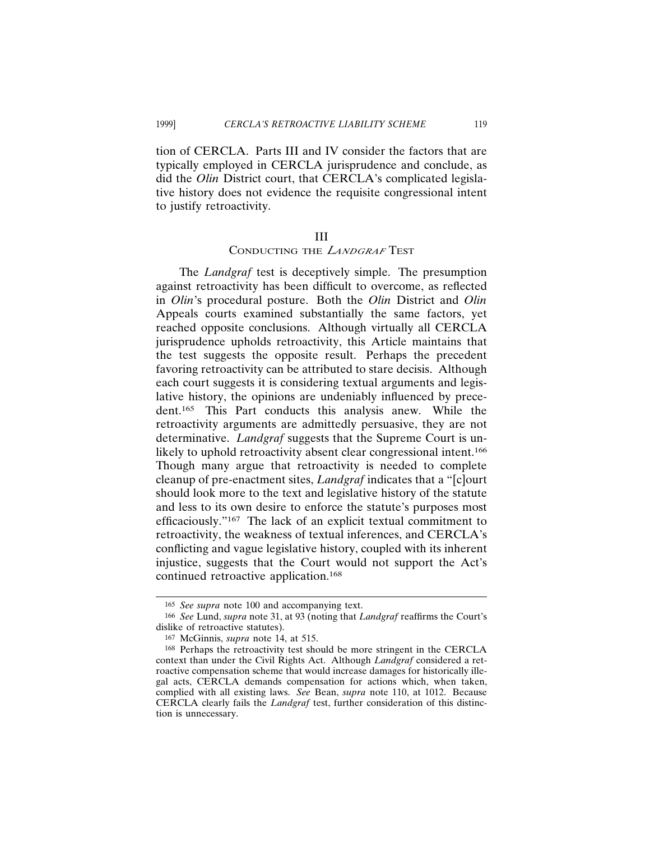tion of CERCLA. Parts III and IV consider the factors that are typically employed in CERCLA jurisprudence and conclude, as did the *Olin* District court, that CERCLA's complicated legislative history does not evidence the requisite congressional intent to justify retroactivity.

## III

# CONDUCTING THE *<sup>L</sup>ANDGRAF* TEST

The *Landgraf* test is deceptively simple. The presumption against retroactivity has been difficult to overcome, as reflected in *Olin*'s procedural posture. Both the *Olin* District and *Olin* Appeals courts examined substantially the same factors, yet reached opposite conclusions. Although virtually all CERCLA jurisprudence upholds retroactivity, this Article maintains that the test suggests the opposite result. Perhaps the precedent favoring retroactivity can be attributed to stare decisis. Although each court suggests it is considering textual arguments and legislative history, the opinions are undeniably influenced by precedent.165 This Part conducts this analysis anew. While the retroactivity arguments are admittedly persuasive, they are not determinative. *Landgraf* suggests that the Supreme Court is unlikely to uphold retroactivity absent clear congressional intent.<sup>166</sup> Though many argue that retroactivity is needed to complete cleanup of pre-enactment sites, *Landgraf* indicates that a "[c]ourt should look more to the text and legislative history of the statute and less to its own desire to enforce the statute's purposes most efficaciously."167 The lack of an explicit textual commitment to retroactivity, the weakness of textual inferences, and CERCLA's conflicting and vague legislative history, coupled with its inherent injustice, suggests that the Court would not support the Act's continued retroactive application.168

<sup>165</sup> *See supra* note 100 and accompanying text.

<sup>166</sup> *See* Lund, *supra* note 31, at 93 (noting that *Landgraf* reaffirms the Court's dislike of retroactive statutes).

<sup>167</sup> McGinnis, *supra* note 14, at 515.

<sup>168</sup> Perhaps the retroactivity test should be more stringent in the CERCLA context than under the Civil Rights Act. Although *Landgraf* considered a retroactive compensation scheme that would increase damages for historically illegal acts, CERCLA demands compensation for actions which, when taken, complied with all existing laws. *See* Bean, *supra* note 110, at 1012. Because CERCLA clearly fails the *Landgraf* test, further consideration of this distinction is unnecessary.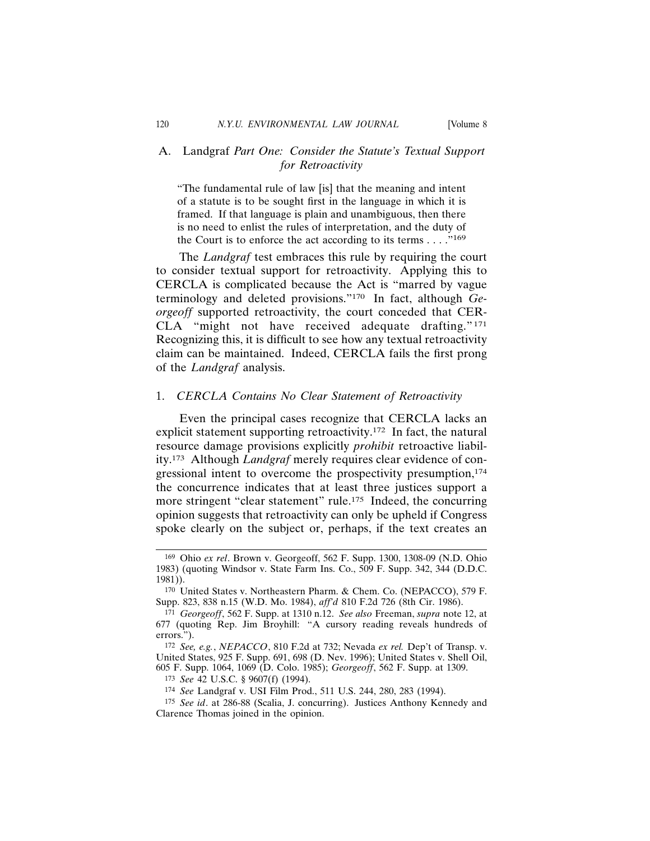# A. Landgraf *Part One: Consider the Statute's Textual Support for Retroactivity*

"The fundamental rule of law [is] that the meaning and intent of a statute is to be sought first in the language in which it is framed. If that language is plain and unambiguous, then there is no need to enlist the rules of interpretation, and the duty of the Court is to enforce the act according to its terms  $\dots$ ."<sup>169</sup>

The *Landgraf* test embraces this rule by requiring the court to consider textual support for retroactivity. Applying this to CERCLA is complicated because the Act is "marred by vague terminology and deleted provisions."170 In fact, although *Georgeoff* supported retroactivity, the court conceded that CER-CLA "might not have received adequate drafting."171 Recognizing this, it is difficult to see how any textual retroactivity claim can be maintained. Indeed, CERCLA fails the first prong of the *Landgraf* analysis.

## 1. *CERCLA Contains No Clear Statement of Retroactivity*

Even the principal cases recognize that CERCLA lacks an explicit statement supporting retroactivity.172 In fact, the natural resource damage provisions explicitly *prohibit* retroactive liability.173 Although *Landgraf* merely requires clear evidence of congressional intent to overcome the prospectivity presumption,<sup>174</sup> the concurrence indicates that at least three justices support a more stringent "clear statement" rule.<sup>175</sup> Indeed, the concurring opinion suggests that retroactivity can only be upheld if Congress spoke clearly on the subject or, perhaps, if the text creates an

174 *See* Landgraf v. USI Film Prod., 511 U.S. 244, 280, 283 (1994).

<sup>169</sup> Ohio *ex rel*. Brown v. Georgeoff, 562 F. Supp. 1300, 1308-09 (N.D. Ohio 1983) (quoting Windsor v. State Farm Ins. Co., 509 F. Supp. 342, 344 (D.D.C. 1981)).

<sup>170</sup> United States v. Northeastern Pharm. & Chem. Co. (NEPACCO), 579 F. Supp. 823, 838 n.15 (W.D. Mo. 1984), *aff'd* 810 F.2d 726 (8th Cir. 1986).

<sup>171</sup> *Georgeoff*, 562 F. Supp. at 1310 n.12. *See also* Freeman, *supra* note 12, at 677 (quoting Rep. Jim Broyhill: "A cursory reading reveals hundreds of errors.").

<sup>172</sup> *See, e.g.*, *NEPACCO*, 810 F.2d at 732; Nevada *ex rel.* Dep't of Transp. v. United States, 925 F. Supp. 691, 698 (D. Nev. 1996); United States v. Shell Oil, 605 F. Supp. 1064, 1069 (D. Colo. 1985); *Georgeoff*, 562 F. Supp. at 1309.

<sup>173</sup> *See* 42 U.S.C. § 9607(f) (1994).

<sup>175</sup> *See id*. at 286-88 (Scalia, J. concurring). Justices Anthony Kennedy and Clarence Thomas joined in the opinion.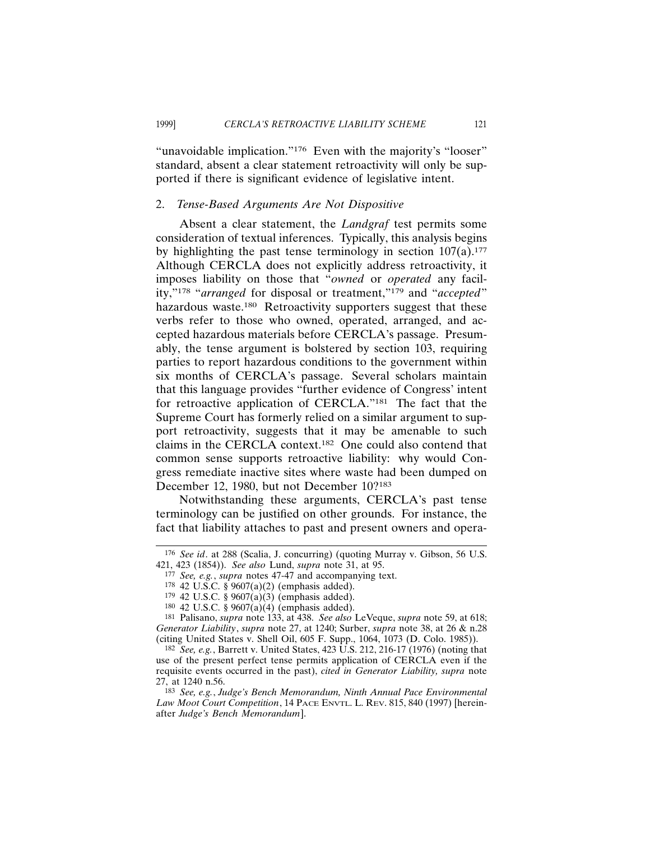"unavoidable implication."<sup>176</sup> Even with the majority's "looser" standard, absent a clear statement retroactivity will only be supported if there is significant evidence of legislative intent.

### 2. *Tense-Based Arguments Are Not Dispositive*

Absent a clear statement, the *Landgraf* test permits some consideration of textual inferences. Typically, this analysis begins by highlighting the past tense terminology in section  $107(a)$ .<sup>177</sup> Although CERCLA does not explicitly address retroactivity, it imposes liability on those that "*owned* or *operated* any facility,"178 "*arranged* for disposal or treatment,"179 and "*accepted*" hazardous waste.<sup>180</sup> Retroactivity supporters suggest that these verbs refer to those who owned, operated, arranged, and accepted hazardous materials before CERCLA's passage. Presumably, the tense argument is bolstered by section 103, requiring parties to report hazardous conditions to the government within six months of CERCLA's passage. Several scholars maintain that this language provides "further evidence of Congress' intent for retroactive application of CERCLA."181 The fact that the Supreme Court has formerly relied on a similar argument to support retroactivity, suggests that it may be amenable to such claims in the CERCLA context.182 One could also contend that common sense supports retroactive liability: why would Congress remediate inactive sites where waste had been dumped on December 12, 1980, but not December 10?<sup>183</sup>

Notwithstanding these arguments, CERCLA's past tense terminology can be justified on other grounds. For instance, the fact that liability attaches to past and present owners and opera-

<sup>176</sup> *See id*. at 288 (Scalia, J. concurring) (quoting Murray v. Gibson, 56 U.S. 421, 423 (1854)). *See also* Lund, *supra* note 31, at 95.

<sup>177</sup> *See, e.g.*, *supra* notes 47-47 and accompanying text.

<sup>178</sup> 42 U.S.C. § 9607(a)(2) (emphasis added).

 $179$  42 U.S.C. § 9607(a)(3) (emphasis added).

<sup>180 42</sup> U.S.C. § 9607(a)(4) (emphasis added).

<sup>181</sup> Palisano, *supra* note 133, at 438. *See also* LeVeque, *supra* note 59, at 618; *Generator Liability*, *supra* note 27, at 1240; Surber, *supra* note 38, at 26 & n.28 (citing United States v. Shell Oil, 605 F. Supp., 1064, 1073 (D. Colo. 1985)).

<sup>182</sup> *See, e.g.*, Barrett v. United States, 423 U.S. 212, 216-17 (1976) (noting that use of the present perfect tense permits application of CERCLA even if the requisite events occurred in the past), *cited in Generator Liability, supra* note 27, at 1240 n.56.

<sup>183</sup> *See, e.g.*, *Judge's Bench Memorandum, Ninth Annual Pace Environmental Law Moot Court Competition*, 14 PACE ENVTL. L. REV. 815, 840 (1997) [hereinafter *Judge's Bench Memorandum*].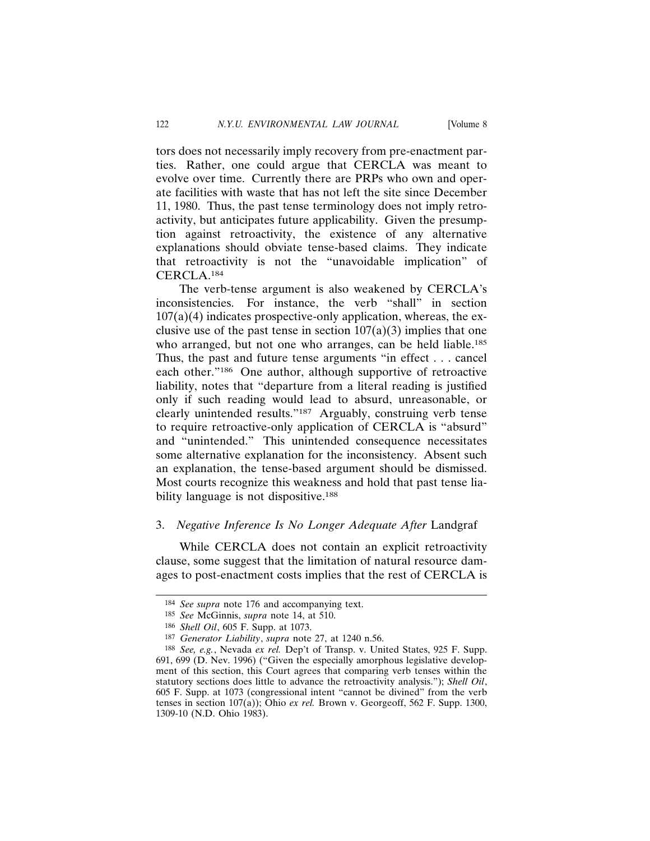tors does not necessarily imply recovery from pre-enactment parties. Rather, one could argue that CERCLA was meant to evolve over time. Currently there are PRPs who own and operate facilities with waste that has not left the site since December 11, 1980. Thus, the past tense terminology does not imply retroactivity, but anticipates future applicability. Given the presumption against retroactivity, the existence of any alternative explanations should obviate tense-based claims. They indicate that retroactivity is not the "unavoidable implication" of CERCLA.184

The verb-tense argument is also weakened by CERCLA's inconsistencies. For instance, the verb "shall" in section  $107(a)(4)$  indicates prospective-only application, whereas, the exclusive use of the past tense in section  $107(a)(3)$  implies that one who arranged, but not one who arranges, can be held liable.<sup>185</sup> Thus, the past and future tense arguments "in effect . . . cancel each other."186 One author, although supportive of retroactive liability, notes that "departure from a literal reading is justified only if such reading would lead to absurd, unreasonable, or clearly unintended results."187 Arguably, construing verb tense to require retroactive-only application of CERCLA is "absurd" and "unintended." This unintended consequence necessitates some alternative explanation for the inconsistency. Absent such an explanation, the tense-based argument should be dismissed. Most courts recognize this weakness and hold that past tense liability language is not dispositive.<sup>188</sup>

## 3. *Negative Inference Is No Longer Adequate After* Landgraf

While CERCLA does not contain an explicit retroactivity clause, some suggest that the limitation of natural resource damages to post-enactment costs implies that the rest of CERCLA is

<sup>184</sup> *See supra* note 176 and accompanying text.

<sup>185</sup> *See* McGinnis, *supra* note 14, at 510.

<sup>186</sup> *Shell Oil*, 605 F. Supp. at 1073.

<sup>187</sup> *Generator Liability*, *supra* note 27, at 1240 n.56.

<sup>188</sup> *See, e.g.*, Nevada *ex rel.* Dep't of Transp. v. United States, 925 F. Supp. 691, 699 (D. Nev. 1996) ("Given the especially amorphous legislative development of this section, this Court agrees that comparing verb tenses within the statutory sections does little to advance the retroactivity analysis."); *Shell Oil*, 605 F. Supp. at 1073 (congressional intent "cannot be divined" from the verb tenses in section 107(a)); Ohio *ex rel.* Brown v. Georgeoff, 562 F. Supp. 1300, 1309-10 (N.D. Ohio 1983).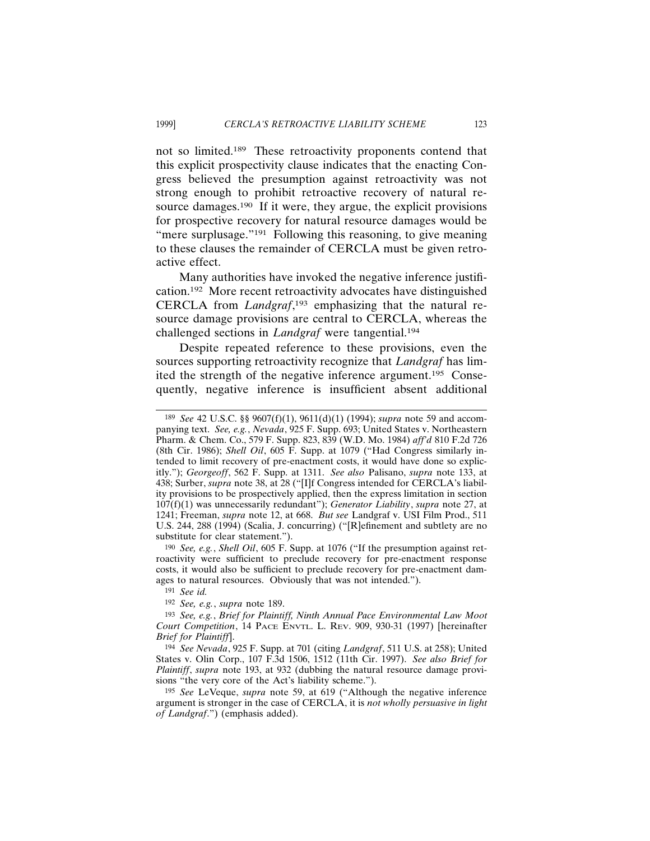not so limited.189 These retroactivity proponents contend that this explicit prospectivity clause indicates that the enacting Congress believed the presumption against retroactivity was not strong enough to prohibit retroactive recovery of natural resource damages.<sup>190</sup> If it were, they argue, the explicit provisions for prospective recovery for natural resource damages would be "mere surplusage."<sup>191</sup> Following this reasoning, to give meaning to these clauses the remainder of CERCLA must be given retroactive effect.

Many authorities have invoked the negative inference justification.192 More recent retroactivity advocates have distinguished CERCLA from *Landgraf*, <sup>193</sup> emphasizing that the natural resource damage provisions are central to CERCLA, whereas the challenged sections in *Landgraf* were tangential.194

Despite repeated reference to these provisions, even the sources supporting retroactivity recognize that *Landgraf* has limited the strength of the negative inference argument.195 Consequently, negative inference is insufficient absent additional

190 *See, e.g.*, *Shell Oil*, 605 F. Supp. at 1076 ("If the presumption against retroactivity were sufficient to preclude recovery for pre-enactment response costs, it would also be sufficient to preclude recovery for pre-enactment damages to natural resources. Obviously that was not intended.").

<sup>189</sup> *See* 42 U.S.C. §§ 9607(f)(1), 9611(d)(1) (1994); *supra* note 59 and accompanying text. *See, e.g.*, *Nevada*, 925 F. Supp. 693; United States v. Northeastern Pharm. & Chem. Co., 579 F. Supp. 823, 839 (W.D. Mo. 1984) *aff'd* 810 F.2d 726 (8th Cir. 1986); *Shell Oil*, 605 F. Supp. at 1079 ("Had Congress similarly intended to limit recovery of pre-enactment costs, it would have done so explicitly."); *Georgeoff*, 562 F. Supp. at 1311. *See also* Palisano, *supra* note 133, at 438; Surber, *supra* note 38, at 28 ("[I]f Congress intended for CERCLA's liability provisions to be prospectively applied, then the express limitation in section 107(f)(1) was unnecessarily redundant"); *Generator Liability*, *supra* note 27, at 1241; Freeman, *supra* note 12, at 668. *But see* Landgraf v. USI Film Prod., 511 U.S. 244, 288 (1994) (Scalia, J. concurring) ("[R]efinement and subtlety are no substitute for clear statement.").

<sup>191</sup> *See id.*

<sup>192</sup> *See, e.g.*, *supra* note 189.

<sup>193</sup> *See, e.g.*, *Brief for Plaintiff, Ninth Annual Pace Environmental Law Moot Court Competition*, 14 PACE ENVTL. L. REV. 909, 930-31 (1997) [hereinafter *Brief for Plaintiff*].

<sup>194</sup> *See Nevada*, 925 F. Supp. at 701 (citing *Landgraf*, 511 U.S. at 258); United States v. Olin Corp., 107 F.3d 1506, 1512 (11th Cir. 1997). *See also Brief for Plaintiff*, *supra* note 193, at 932 (dubbing the natural resource damage provisions "the very core of the Act's liability scheme.").

<sup>195</sup> *See* LeVeque, *supra* note 59, at 619 ("Although the negative inference argument is stronger in the case of CERCLA, it is *not wholly persuasive in light of Landgraf*.") (emphasis added).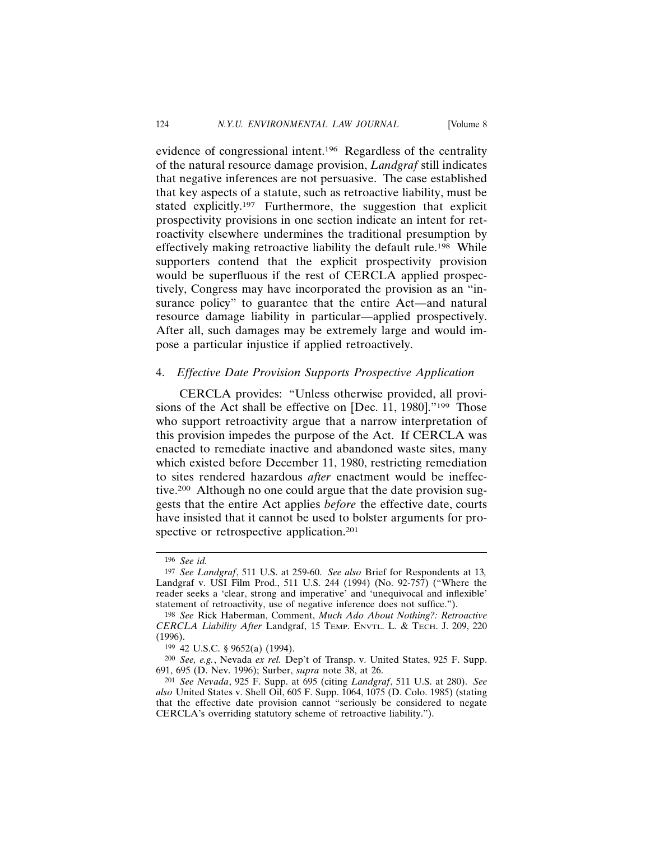evidence of congressional intent.196 Regardless of the centrality of the natural resource damage provision, *Landgraf* still indicates that negative inferences are not persuasive. The case established that key aspects of a statute, such as retroactive liability, must be stated explicitly.197 Furthermore, the suggestion that explicit prospectivity provisions in one section indicate an intent for retroactivity elsewhere undermines the traditional presumption by effectively making retroactive liability the default rule.198 While supporters contend that the explicit prospectivity provision would be superfluous if the rest of CERCLA applied prospectively, Congress may have incorporated the provision as an "insurance policy" to guarantee that the entire Act—and natural resource damage liability in particular—applied prospectively. After all, such damages may be extremely large and would impose a particular injustice if applied retroactively.

## 4. *Effective Date Provision Supports Prospective Application*

CERCLA provides: "Unless otherwise provided, all provisions of the Act shall be effective on [Dec. 11, 1980]."<sup>199</sup> Those who support retroactivity argue that a narrow interpretation of this provision impedes the purpose of the Act. If CERCLA was enacted to remediate inactive and abandoned waste sites, many which existed before December 11, 1980, restricting remediation to sites rendered hazardous *after* enactment would be ineffective.200 Although no one could argue that the date provision suggests that the entire Act applies *before* the effective date, courts have insisted that it cannot be used to bolster arguments for prospective or retrospective application.<sup>201</sup>

<sup>196</sup> *See id.*

<sup>197</sup> *See Landgraf*, 511 U.S. at 259-60. *See also* Brief for Respondents at 13*,* Landgraf v. USI Film Prod., 511 U.S. 244 (1994) (No. 92-757) ("Where the reader seeks a 'clear, strong and imperative' and 'unequivocal and inflexible' statement of retroactivity, use of negative inference does not suffice.").

<sup>198</sup> *See* Rick Haberman, Comment, *Much Ado About Nothing?: Retroactive CERCLA Liability After* Landgraf, 15 TEMP. ENVTL. L. & TECH. J. 209, 220 (1996).

<sup>199</sup> 42 U.S.C. § 9652(a) (1994).

<sup>200</sup> *See, e.g.*, Nevada *ex rel.* Dep't of Transp. v. United States, 925 F. Supp. 691, 695 (D. Nev. 1996); Surber, *supra* note 38, at 26.

<sup>201</sup> *See Nevada*, 925 F. Supp. at 695 (citing *Landgraf*, 511 U.S. at 280). *See also* United States v. Shell Oil, 605 F. Supp. 1064, 1075 (D. Colo. 1985) (stating that the effective date provision cannot "seriously be considered to negate CERCLA's overriding statutory scheme of retroactive liability.").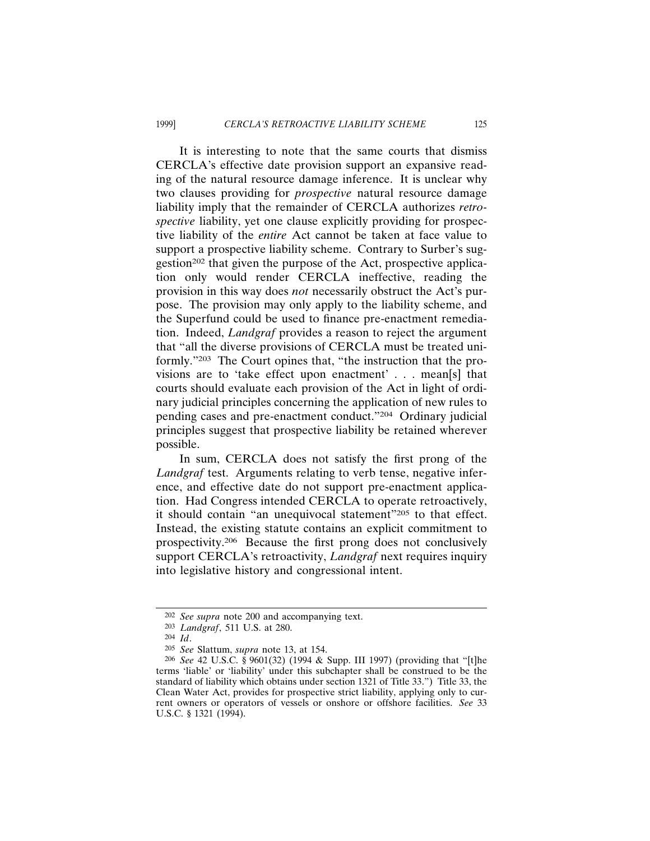It is interesting to note that the same courts that dismiss CERCLA's effective date provision support an expansive reading of the natural resource damage inference. It is unclear why two clauses providing for *prospective* natural resource damage liability imply that the remainder of CERCLA authorizes *retrospective* liability, yet one clause explicitly providing for prospective liability of the *entire* Act cannot be taken at face value to support a prospective liability scheme. Contrary to Surber's suggestion<sup>202</sup> that given the purpose of the Act, prospective application only would render CERCLA ineffective, reading the provision in this way does *not* necessarily obstruct the Act's purpose. The provision may only apply to the liability scheme, and the Superfund could be used to finance pre-enactment remediation. Indeed, *Landgraf* provides a reason to reject the argument that "all the diverse provisions of CERCLA must be treated uniformly."203 The Court opines that, "the instruction that the provisions are to 'take effect upon enactment' . . . mean[s] that courts should evaluate each provision of the Act in light of ordinary judicial principles concerning the application of new rules to pending cases and pre-enactment conduct."204 Ordinary judicial principles suggest that prospective liability be retained wherever possible.

In sum, CERCLA does not satisfy the first prong of the *Landgraf* test. Arguments relating to verb tense, negative inference, and effective date do not support pre-enactment application. Had Congress intended CERCLA to operate retroactively, it should contain "an unequivocal statement"205 to that effect. Instead, the existing statute contains an explicit commitment to prospectivity.206 Because the first prong does not conclusively support CERCLA's retroactivity, *Landgraf* next requires inquiry into legislative history and congressional intent.

<sup>202</sup> *See supra* note 200 and accompanying text.

<sup>203</sup> *Landgraf*, 511 U.S. at 280.

<sup>204</sup> *Id*.

<sup>205</sup> *See* Slattum, *supra* note 13, at 154.

<sup>206</sup> *See* 42 U.S.C. § 9601(32) (1994 & Supp. III 1997) (providing that "[t]he terms 'liable' or 'liability' under this subchapter shall be construed to be the standard of liability which obtains under section 1321 of Title 33.") Title 33, the Clean Water Act, provides for prospective strict liability, applying only to current owners or operators of vessels or onshore or offshore facilities. *See* 33 U.S.C. § 1321 (1994).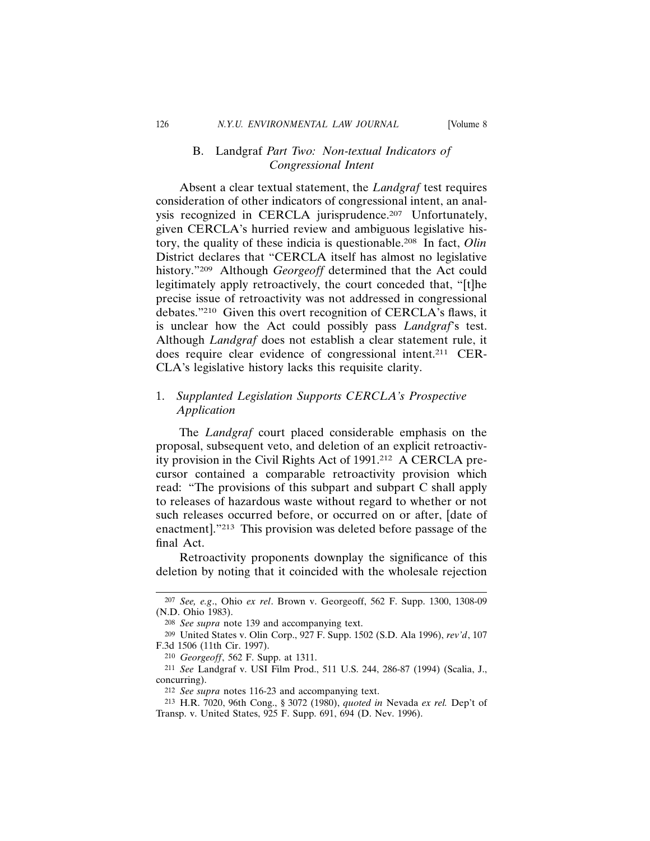# B. Landgraf *Part Two: Non-textual Indicators of Congressional Intent*

Absent a clear textual statement, the *Landgraf* test requires consideration of other indicators of congressional intent, an analysis recognized in CERCLA jurisprudence.<sup>207</sup> Unfortunately, given CERCLA's hurried review and ambiguous legislative history, the quality of these indicia is questionable.208 In fact, *Olin* District declares that "CERCLA itself has almost no legislative history."209 Although *Georgeoff* determined that the Act could legitimately apply retroactively, the court conceded that, "[t]he precise issue of retroactivity was not addressed in congressional debates."210 Given this overt recognition of CERCLA's flaws, it is unclear how the Act could possibly pass *Landgraf*'s test. Although *Landgraf* does not establish a clear statement rule, it does require clear evidence of congressional intent.211 CER-CLA's legislative history lacks this requisite clarity.

# 1. *Supplanted Legislation Supports CERCLA's Prospective Application*

The *Landgraf* court placed considerable emphasis on the proposal, subsequent veto, and deletion of an explicit retroactivity provision in the Civil Rights Act of 1991.212 A CERCLA precursor contained a comparable retroactivity provision which read: "The provisions of this subpart and subpart C shall apply to releases of hazardous waste without regard to whether or not such releases occurred before, or occurred on or after, [date of enactment]."213 This provision was deleted before passage of the final Act.

Retroactivity proponents downplay the significance of this deletion by noting that it coincided with the wholesale rejection

<sup>207</sup> *See, e.g*., Ohio *ex rel*. Brown v. Georgeoff, 562 F. Supp. 1300, 1308-09 (N.D. Ohio 1983).

<sup>208</sup> *See supra* note 139 and accompanying text.

<sup>209</sup> United States v. Olin Corp., 927 F. Supp. 1502 (S.D. Ala 1996), *rev'd*, 107 F.3d 1506 (11th Cir. 1997).

<sup>210</sup> *Georgeoff*, 562 F. Supp. at 1311.

<sup>211</sup> *See* Landgraf v. USI Film Prod., 511 U.S. 244, 286-87 (1994) (Scalia, J., concurring).

<sup>212</sup> *See supra* notes 116-23 and accompanying text.

<sup>213</sup> H.R. 7020, 96th Cong., § 3072 (1980), *quoted in* Nevada *ex rel.* Dep't of Transp. v. United States, 925 F. Supp. 691, 694 (D. Nev. 1996).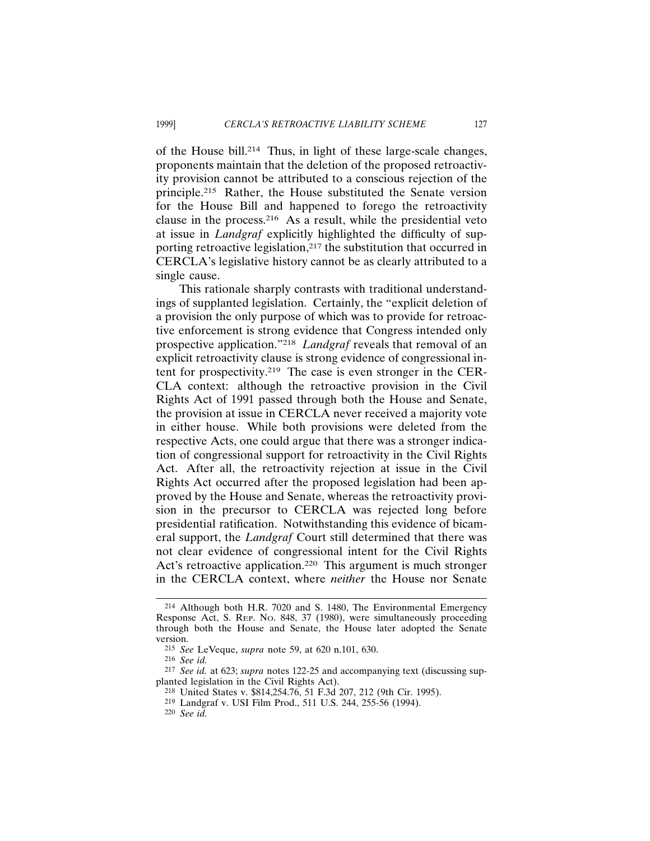of the House bill.214 Thus, in light of these large-scale changes, proponents maintain that the deletion of the proposed retroactivity provision cannot be attributed to a conscious rejection of the principle.215 Rather, the House substituted the Senate version for the House Bill and happened to forego the retroactivity clause in the process.216 As a result, while the presidential veto at issue in *Landgraf* explicitly highlighted the difficulty of supporting retroactive legislation,<sup>217</sup> the substitution that occurred in CERCLA's legislative history cannot be as clearly attributed to a single cause.

This rationale sharply contrasts with traditional understandings of supplanted legislation. Certainly, the "explicit deletion of a provision the only purpose of which was to provide for retroactive enforcement is strong evidence that Congress intended only prospective application."218 *Landgraf* reveals that removal of an explicit retroactivity clause is strong evidence of congressional intent for prospectivity.219 The case is even stronger in the CER-CLA context: although the retroactive provision in the Civil Rights Act of 1991 passed through both the House and Senate, the provision at issue in CERCLA never received a majority vote in either house. While both provisions were deleted from the respective Acts, one could argue that there was a stronger indication of congressional support for retroactivity in the Civil Rights Act. After all, the retroactivity rejection at issue in the Civil Rights Act occurred after the proposed legislation had been approved by the House and Senate, whereas the retroactivity provision in the precursor to CERCLA was rejected long before presidential ratification. Notwithstanding this evidence of bicameral support, the *Landgraf* Court still determined that there was not clear evidence of congressional intent for the Civil Rights Act's retroactive application.<sup>220</sup> This argument is much stronger in the CERCLA context, where *neither* the House nor Senate

<sup>214</sup> Although both H.R. 7020 and S. 1480, The Environmental Emergency Response Act, S. REP. NO. 848, 37 (1980), were simultaneously proceeding through both the House and Senate, the House later adopted the Senate version.

<sup>215</sup> *See* LeVeque, *supra* note 59, at 620 n.101, 630.

<sup>216</sup> *See id.*

<sup>217</sup> *See id.* at 623; *supra* notes 122-25 and accompanying text (discussing supplanted legislation in the Civil Rights Act).

<sup>218</sup> United States v. \$814,254.76, 51 F.3d 207, 212 (9th Cir. 1995).

<sup>219</sup> Landgraf v. USI Film Prod., 511 U.S. 244, 255-56 (1994).

<sup>220</sup> *See id.*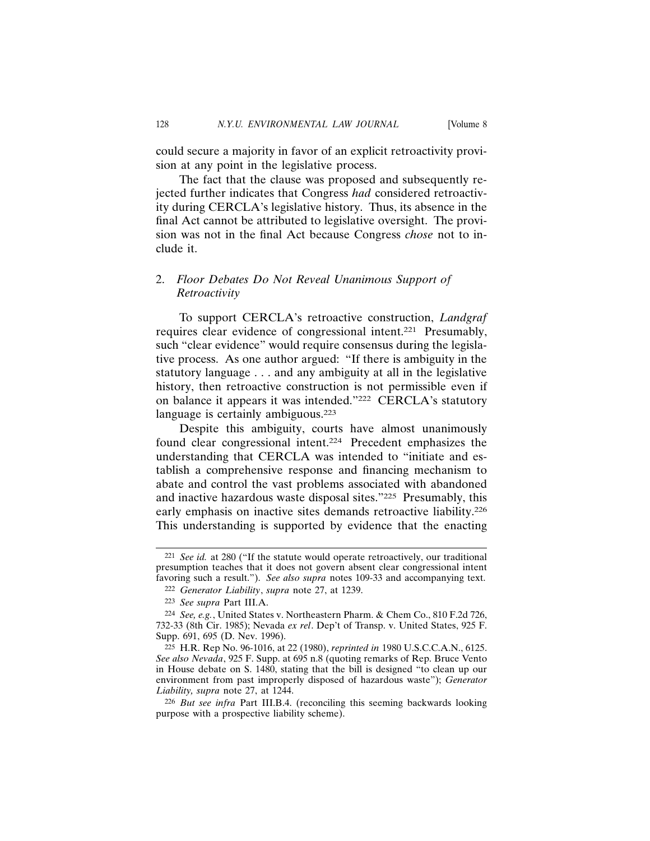could secure a majority in favor of an explicit retroactivity provision at any point in the legislative process.

The fact that the clause was proposed and subsequently rejected further indicates that Congress *had* considered retroactivity during CERCLA's legislative history. Thus, its absence in the final Act cannot be attributed to legislative oversight. The provision was not in the final Act because Congress *chose* not to include it.

# 2. *Floor Debates Do Not Reveal Unanimous Support of Retroactivity*

To support CERCLA's retroactive construction, *Landgraf* requires clear evidence of congressional intent.221 Presumably, such "clear evidence" would require consensus during the legislative process. As one author argued: "If there is ambiguity in the statutory language . . . and any ambiguity at all in the legislative history, then retroactive construction is not permissible even if on balance it appears it was intended."222 CERCLA's statutory language is certainly ambiguous.<sup>223</sup>

Despite this ambiguity, courts have almost unanimously found clear congressional intent.224 Precedent emphasizes the understanding that CERCLA was intended to "initiate and establish a comprehensive response and financing mechanism to abate and control the vast problems associated with abandoned and inactive hazardous waste disposal sites."225 Presumably, this early emphasis on inactive sites demands retroactive liability.<sup>226</sup> This understanding is supported by evidence that the enacting

<sup>221</sup> *See id.* at 280 ("If the statute would operate retroactively, our traditional presumption teaches that it does not govern absent clear congressional intent favoring such a result."). *See also supra* notes 109-33 and accompanying text.

<sup>222</sup> *Generator Liability*, *supra* note 27, at 1239.

<sup>223</sup> *See supra* Part III.A.

<sup>224</sup> *See, e.g.*, United States v. Northeastern Pharm. & Chem Co., 810 F.2d 726, 732-33 (8th Cir. 1985); Nevada *ex rel*. Dep't of Transp. v. United States, 925 F. Supp. 691, 695 (D. Nev. 1996).

<sup>225</sup> H.R. Rep No. 96-1016, at 22 (1980), *reprinted in* 1980 U.S.C.C.A.N., 6125. *See also Nevada*, 925 F. Supp. at 695 n.8 (quoting remarks of Rep. Bruce Vento in House debate on S. 1480, stating that the bill is designed "to clean up our environment from past improperly disposed of hazardous waste"); *Generator Liability, supra* note 27, at 1244.

<sup>226</sup> *But see infra* Part III.B.4. (reconciling this seeming backwards looking purpose with a prospective liability scheme).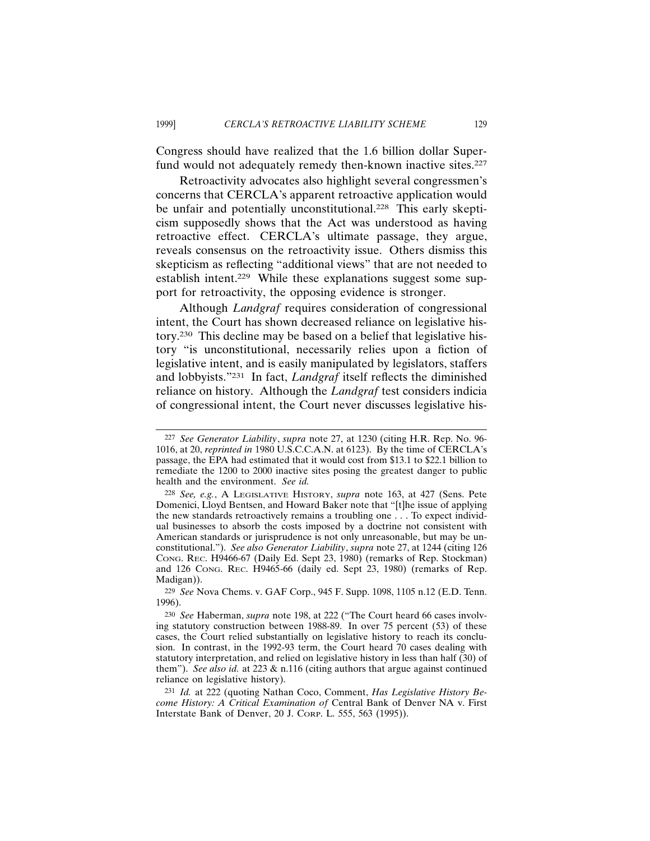Congress should have realized that the 1.6 billion dollar Superfund would not adequately remedy then-known inactive sites.<sup>227</sup>

Retroactivity advocates also highlight several congressmen's concerns that CERCLA's apparent retroactive application would be unfair and potentially unconstitutional.<sup>228</sup> This early skepticism supposedly shows that the Act was understood as having retroactive effect. CERCLA's ultimate passage, they argue, reveals consensus on the retroactivity issue. Others dismiss this skepticism as reflecting "additional views" that are not needed to establish intent.<sup>229</sup> While these explanations suggest some support for retroactivity, the opposing evidence is stronger.

Although *Landgraf* requires consideration of congressional intent, the Court has shown decreased reliance on legislative history.230 This decline may be based on a belief that legislative history "is unconstitutional, necessarily relies upon a fiction of legislative intent, and is easily manipulated by legislators, staffers and lobbyists."231 In fact, *Landgraf* itself reflects the diminished reliance on history. Although the *Landgraf* test considers indicia of congressional intent, the Court never discusses legislative his-

229 *See* Nova Chems. v. GAF Corp., 945 F. Supp. 1098, 1105 n.12 (E.D. Tenn. 1996).

<sup>227</sup> *See Generator Liability*, *supra* note 27, at 1230 (citing H.R. Rep. No. 96- 1016, at 20, *reprinted in* 1980 U.S.C.C.A.N. at 6123). By the time of CERCLA's passage, the EPA had estimated that it would cost from \$13.1 to \$22.1 billion to remediate the 1200 to 2000 inactive sites posing the greatest danger to public health and the environment. *See id.*

<sup>228</sup> *See, e.g.*, A LEGISLATIVE HISTORY, *supra* note 163, at 427 (Sens. Pete Domenici, Lloyd Bentsen, and Howard Baker note that "[t]he issue of applying the new standards retroactively remains a troubling one . . . To expect individual businesses to absorb the costs imposed by a doctrine not consistent with American standards or jurisprudence is not only unreasonable, but may be unconstitutional."). *See also Generator Liability*, *supra* note 27, at 1244 (citing 126 CONG. REC. H9466-67 (Daily Ed. Sept 23, 1980) (remarks of Rep. Stockman) and 126 CONG. REC. H9465-66 (daily ed. Sept 23, 1980) (remarks of Rep. Madigan)).

<sup>230</sup> *See* Haberman, *supra* note 198, at 222 ("The Court heard 66 cases involving statutory construction between 1988-89. In over 75 percent (53) of these cases, the Court relied substantially on legislative history to reach its conclusion. In contrast, in the 1992-93 term, the Court heard 70 cases dealing with statutory interpretation, and relied on legislative history in less than half (30) of them"). *See also id.* at 223 & n.116 (citing authors that argue against continued reliance on legislative history).

<sup>231</sup> *Id.* at 222 (quoting Nathan Coco, Comment, *Has Legislative History Become History: A Critical Examination of* Central Bank of Denver NA v. First Interstate Bank of Denver, 20 J. CORP. L. 555, 563 (1995)).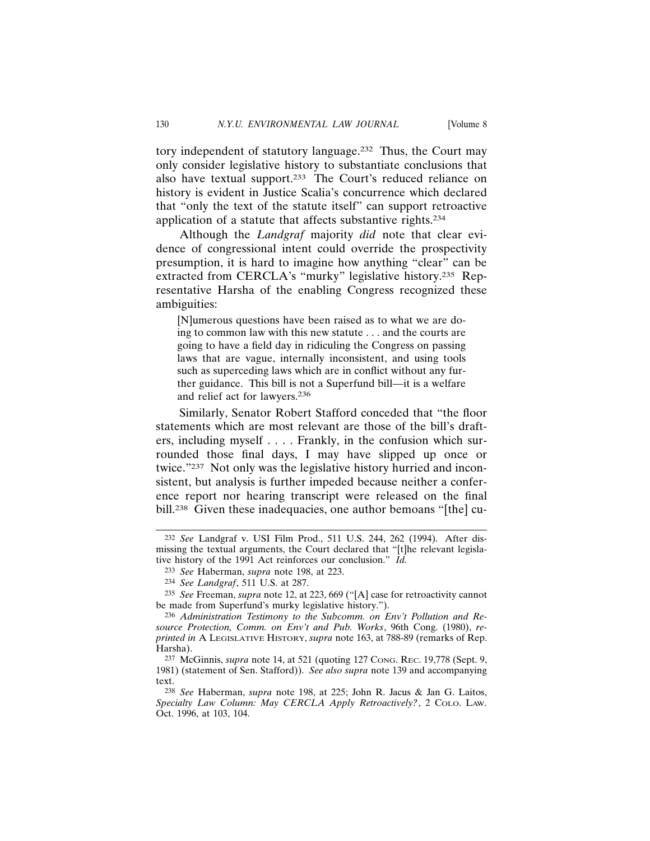tory independent of statutory language.232 Thus, the Court may only consider legislative history to substantiate conclusions that also have textual support.233 The Court's reduced reliance on history is evident in Justice Scalia's concurrence which declared that "only the text of the statute itself" can support retroactive application of a statute that affects substantive rights.234

Although the *Landgraf* majority *did* note that clear evidence of congressional intent could override the prospectivity presumption, it is hard to imagine how anything "clear" can be extracted from CERCLA's "murky" legislative history.235 Representative Harsha of the enabling Congress recognized these ambiguities:

[N]umerous questions have been raised as to what we are doing to common law with this new statute . . . and the courts are going to have a field day in ridiculing the Congress on passing laws that are vague, internally inconsistent, and using tools such as superceding laws which are in conflict without any further guidance. This bill is not a Superfund bill—it is a welfare and relief act for lawyers.236

Similarly, Senator Robert Stafford conceded that "the floor statements which are most relevant are those of the bill's drafters, including myself . . . . Frankly, in the confusion which surrounded those final days, I may have slipped up once or twice."237 Not only was the legislative history hurried and inconsistent, but analysis is further impeded because neither a conference report nor hearing transcript were released on the final bill.238 Given these inadequacies, one author bemoans "[the] cu-

<sup>232</sup> *See* Landgraf v. USI Film Prod., 511 U.S. 244, 262 (1994). After dismissing the textual arguments, the Court declared that "[t]he relevant legislative history of the 1991 Act reinforces our conclusion." *Id.*

<sup>233</sup> *See* Haberman, *supra* note 198, at 223.

<sup>234</sup> *See Landgraf*, 511 U.S. at 287.

<sup>235</sup> *See* Freeman, *supra* note 12, at 223, 669 ("[A] case for retroactivity cannot be made from Superfund's murky legislative history.").

<sup>236</sup> *Administration Testimony to the Subcomm. on Env't Pollution and Resource Protection, Comm. on Env't and Pub. Works*, 96th Cong. (1980), *reprinted in* A LEGISLATIVE HISTORY, *supra* note 163, at 788-89 (remarks of Rep. Harsha).

<sup>237</sup> McGinnis, *supra* note 14, at 521 (quoting 127 CONG. REC. 19,778 (Sept. 9, 1981) (statement of Sen. Stafford)). *See also supra* note 139 and accompanying text.

<sup>238</sup> *See* Haberman, *supra* note 198, at 225; John R. Jacus & Jan G. Laitos, *Specialty Law Column: May CERCLA Apply Retroactively?*, 2 COLO. LAW. Oct. 1996, at 103, 104.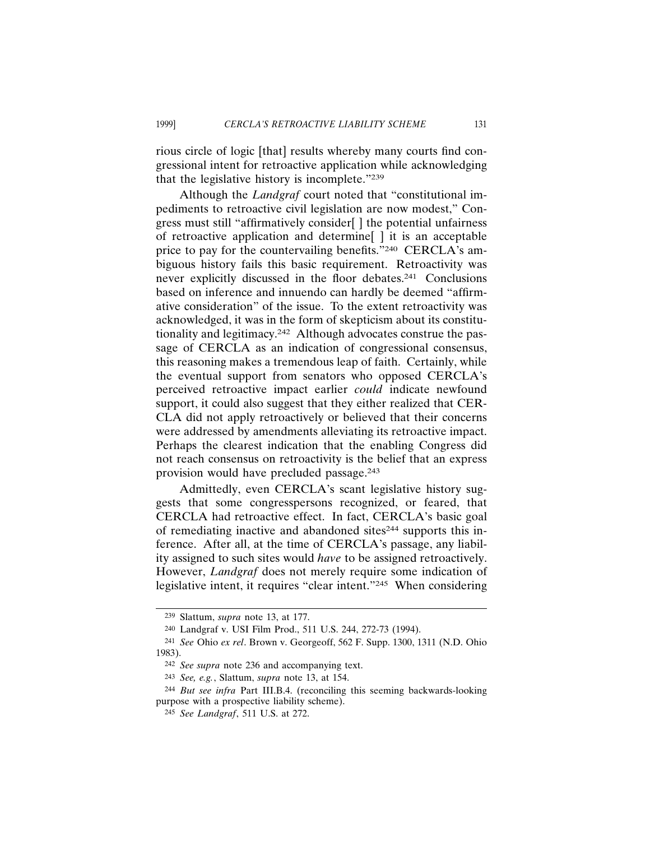rious circle of logic [that] results whereby many courts find congressional intent for retroactive application while acknowledging that the legislative history is incomplete."239

Although the *Landgraf* court noted that "constitutional impediments to retroactive civil legislation are now modest," Congress must still "affirmatively consider[ ] the potential unfairness of retroactive application and determine[ ] it is an acceptable price to pay for the countervailing benefits."240 CERCLA's ambiguous history fails this basic requirement. Retroactivity was never explicitly discussed in the floor debates.241 Conclusions based on inference and innuendo can hardly be deemed "affirmative consideration" of the issue. To the extent retroactivity was acknowledged, it was in the form of skepticism about its constitutionality and legitimacy.242 Although advocates construe the passage of CERCLA as an indication of congressional consensus, this reasoning makes a tremendous leap of faith. Certainly, while the eventual support from senators who opposed CERCLA's perceived retroactive impact earlier *could* indicate newfound support, it could also suggest that they either realized that CER-CLA did not apply retroactively or believed that their concerns were addressed by amendments alleviating its retroactive impact. Perhaps the clearest indication that the enabling Congress did not reach consensus on retroactivity is the belief that an express provision would have precluded passage.243

Admittedly, even CERCLA's scant legislative history suggests that some congresspersons recognized, or feared, that CERCLA had retroactive effect. In fact, CERCLA's basic goal of remediating inactive and abandoned sites244 supports this inference. After all, at the time of CERCLA's passage, any liability assigned to such sites would *have* to be assigned retroactively. However, *Landgraf* does not merely require some indication of legislative intent, it requires "clear intent."245 When considering

<sup>239</sup> Slattum, *supra* note 13, at 177.

<sup>240</sup> Landgraf v. USI Film Prod., 511 U.S. 244, 272-73 (1994).

<sup>241</sup> *See* Ohio *ex rel*. Brown v. Georgeoff, 562 F. Supp. 1300, 1311 (N.D. Ohio 1983).

<sup>242</sup> *See supra* note 236 and accompanying text.

<sup>243</sup> *See, e.g.*, Slattum, *supra* note 13, at 154.

<sup>244</sup> *But see infra* Part III.B.4. (reconciling this seeming backwards-looking purpose with a prospective liability scheme).

<sup>245</sup> *See Landgraf*, 511 U.S. at 272.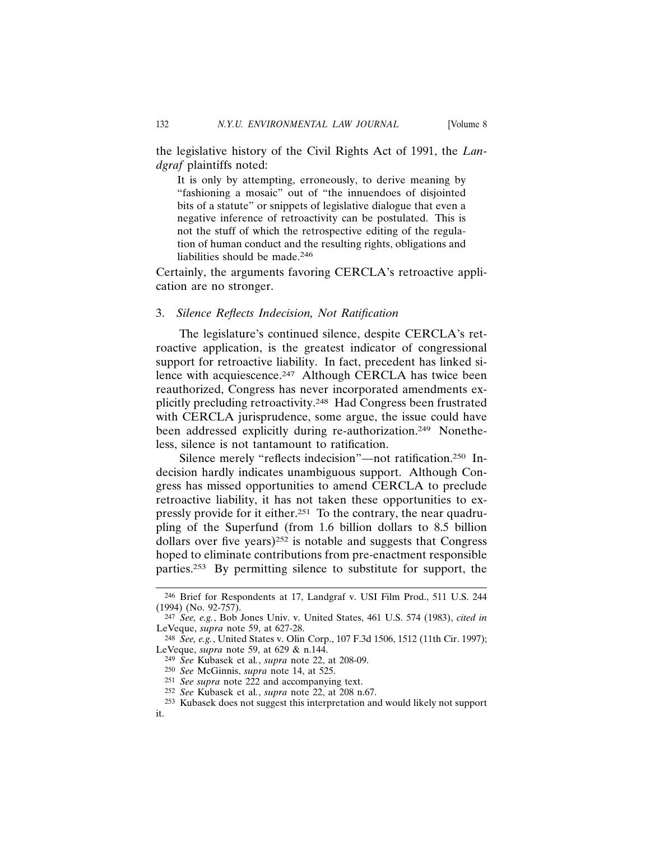the legislative history of the Civil Rights Act of 1991, the *Landgraf* plaintiffs noted:

It is only by attempting, erroneously, to derive meaning by "fashioning a mosaic" out of "the innuendoes of disjointed bits of a statute" or snippets of legislative dialogue that even a negative inference of retroactivity can be postulated. This is not the stuff of which the retrospective editing of the regulation of human conduct and the resulting rights, obligations and liabilities should be made.246

Certainly, the arguments favoring CERCLA's retroactive application are no stronger.

#### 3. *Silence Reflects Indecision, Not Ratification*

The legislature's continued silence, despite CERCLA's retroactive application, is the greatest indicator of congressional support for retroactive liability. In fact, precedent has linked silence with acquiescence.<sup>247</sup> Although CERCLA has twice been reauthorized, Congress has never incorporated amendments explicitly precluding retroactivity.248 Had Congress been frustrated with CERCLA jurisprudence, some argue, the issue could have been addressed explicitly during re-authorization.<sup>249</sup> Nonetheless, silence is not tantamount to ratification.

Silence merely "reflects indecision"—not ratification.250 Indecision hardly indicates unambiguous support. Although Congress has missed opportunities to amend CERCLA to preclude retroactive liability, it has not taken these opportunities to expressly provide for it either.251 To the contrary, the near quadrupling of the Superfund (from 1.6 billion dollars to 8.5 billion dollars over five years) $252$  is notable and suggests that Congress hoped to eliminate contributions from pre-enactment responsible parties.253 By permitting silence to substitute for support, the

<sup>246</sup> Brief for Respondents at 17, Landgraf v. USI Film Prod., 511 U.S. 244 (1994) (No. 92-757).

<sup>247</sup> *See, e.g.*, Bob Jones Univ. v. United States, 461 U.S. 574 (1983), *cited in* LeVeque, *supra* note 59, at 627-28.

<sup>248</sup> *See, e.g.*, United States v. Olin Corp., 107 F.3d 1506, 1512 (11th Cir. 1997); LeVeque, *supra* note 59, at 629 & n.144.

<sup>249</sup> *See* Kubasek et al*.*, *supra* note 22, at 208-09.

<sup>250</sup> *See* McGinnis, *supra* note 14, at 525.

<sup>251</sup> *See supra* note 222 and accompanying text.

<sup>252</sup> *See* Kubasek et al*.*, *supra* note 22, at 208 n.67.

<sup>253</sup> Kubasek does not suggest this interpretation and would likely not support it.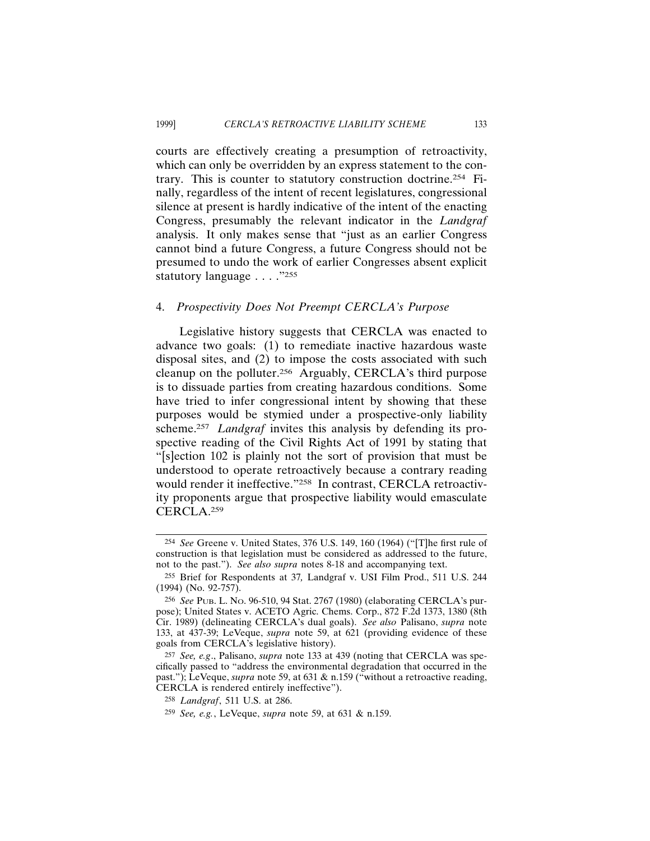courts are effectively creating a presumption of retroactivity, which can only be overridden by an express statement to the contrary. This is counter to statutory construction doctrine.254 Finally, regardless of the intent of recent legislatures, congressional silence at present is hardly indicative of the intent of the enacting Congress, presumably the relevant indicator in the *Landgraf* analysis. It only makes sense that "just as an earlier Congress cannot bind a future Congress, a future Congress should not be presumed to undo the work of earlier Congresses absent explicit statutory language . . . ."255

## 4. *Prospectivity Does Not Preempt CERCLA's Purpose*

Legislative history suggests that CERCLA was enacted to advance two goals: (1) to remediate inactive hazardous waste disposal sites, and (2) to impose the costs associated with such cleanup on the polluter.256 Arguably, CERCLA's third purpose is to dissuade parties from creating hazardous conditions. Some have tried to infer congressional intent by showing that these purposes would be stymied under a prospective-only liability scheme.<sup>257</sup> *Landgraf* invites this analysis by defending its prospective reading of the Civil Rights Act of 1991 by stating that "[s]ection 102 is plainly not the sort of provision that must be understood to operate retroactively because a contrary reading would render it ineffective."258 In contrast, CERCLA retroactivity proponents argue that prospective liability would emasculate CERCLA.259

<sup>254</sup> *See* Greene v. United States, 376 U.S. 149, 160 (1964) ("[T]he first rule of construction is that legislation must be considered as addressed to the future, not to the past."). *See also supra* notes 8-18 and accompanying text.

<sup>255</sup> Brief for Respondents at 37*,* Landgraf v. USI Film Prod., 511 U.S. 244 (1994) (No. 92-757).

<sup>256</sup> *See* PUB. L. NO. 96-510, 94 Stat. 2767 (1980) (elaborating CERCLA's purpose); United States v. ACETO Agric. Chems. Corp., 872 F.2d 1373, 1380 (8th Cir. 1989) (delineating CERCLA's dual goals). *See also* Palisano, *supra* note 133, at 437-39; LeVeque, *supra* note 59, at 621 (providing evidence of these goals from CERCLA's legislative history).

<sup>257</sup> *See, e.g*., Palisano, *supra* note 133 at 439 (noting that CERCLA was specifically passed to "address the environmental degradation that occurred in the past."); LeVeque, *supra* note 59, at 631 & n.159 ("without a retroactive reading, CERCLA is rendered entirely ineffective").

<sup>258</sup> *Landgraf*, 511 U.S. at 286.

<sup>259</sup> *See, e.g.*, LeVeque, *supra* note 59, at 631 & n.159.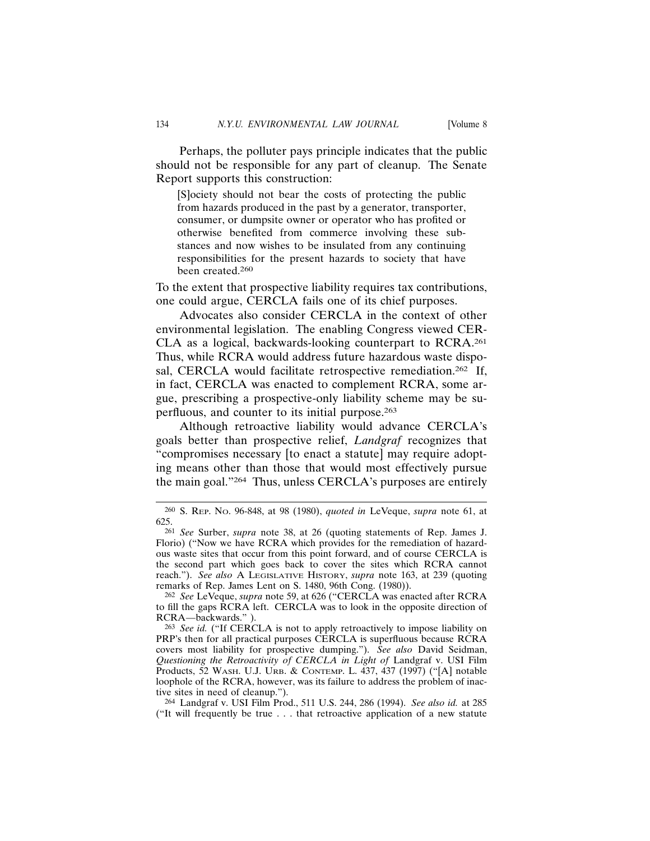Perhaps, the polluter pays principle indicates that the public should not be responsible for any part of cleanup. The Senate Report supports this construction:

[S]ociety should not bear the costs of protecting the public from hazards produced in the past by a generator, transporter, consumer, or dumpsite owner or operator who has profited or otherwise benefited from commerce involving these substances and now wishes to be insulated from any continuing responsibilities for the present hazards to society that have been created.260

To the extent that prospective liability requires tax contributions, one could argue, CERCLA fails one of its chief purposes.

Advocates also consider CERCLA in the context of other environmental legislation. The enabling Congress viewed CER-CLA as a logical, backwards-looking counterpart to RCRA.261 Thus, while RCRA would address future hazardous waste disposal, CERCLA would facilitate retrospective remediation.<sup>262</sup> If, in fact, CERCLA was enacted to complement RCRA, some argue, prescribing a prospective-only liability scheme may be superfluous, and counter to its initial purpose.263

Although retroactive liability would advance CERCLA's goals better than prospective relief, *Landgraf* recognizes that "compromises necessary [to enact a statute] may require adopting means other than those that would most effectively pursue the main goal."264 Thus, unless CERCLA's purposes are entirely

<sup>260</sup> S. REP. NO. 96-848, at 98 (1980), *quoted in* LeVeque, *supra* note 61, at 625.

<sup>261</sup> *See* Surber, *supra* note 38, at 26 (quoting statements of Rep. James J. Florio) ("Now we have RCRA which provides for the remediation of hazardous waste sites that occur from this point forward, and of course CERCLA is the second part which goes back to cover the sites which RCRA cannot reach."). *See also* A LEGISLATIVE HISTORY, *supra* note 163, at 239 (quoting remarks of Rep. James Lent on S. 1480, 96th Cong. (1980)).

<sup>262</sup> *See* LeVeque, *supra* note 59, at 626 ("CERCLA was enacted after RCRA to fill the gaps RCRA left. CERCLA was to look in the opposite direction of RCRA—backwards." ).

<sup>263</sup> *See id.* ("If CERCLA is not to apply retroactively to impose liability on PRP's then for all practical purposes CERCLA is superfluous because RCRA covers most liability for prospective dumping."). *See also* David Seidman, *Questioning the Retroactivity of CERCLA in Light of* Landgraf v. USI Film Products, 52 WASH. U.J. URB. & CONTEMP. L. 437, 437 (1997) ("[A] notable loophole of the RCRA, however, was its failure to address the problem of inactive sites in need of cleanup.").

<sup>264</sup> Landgraf v. USI Film Prod., 511 U.S. 244, 286 (1994). *See also id.* at 285 ("It will frequently be true . . . that retroactive application of a new statute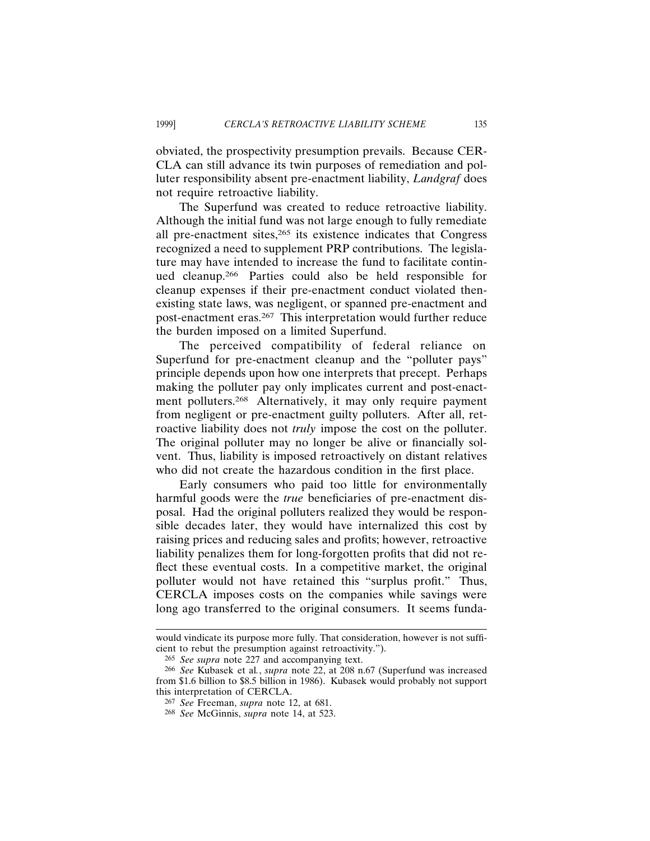obviated, the prospectivity presumption prevails. Because CER-CLA can still advance its twin purposes of remediation and polluter responsibility absent pre-enactment liability, *Landgraf* does not require retroactive liability.

The Superfund was created to reduce retroactive liability. Although the initial fund was not large enough to fully remediate all pre-enactment sites,265 its existence indicates that Congress recognized a need to supplement PRP contributions. The legislature may have intended to increase the fund to facilitate continued cleanup.266 Parties could also be held responsible for cleanup expenses if their pre-enactment conduct violated thenexisting state laws, was negligent, or spanned pre-enactment and post-enactment eras.267 This interpretation would further reduce the burden imposed on a limited Superfund.

The perceived compatibility of federal reliance on Superfund for pre-enactment cleanup and the "polluter pays" principle depends upon how one interprets that precept. Perhaps making the polluter pay only implicates current and post-enactment polluters.268 Alternatively, it may only require payment from negligent or pre-enactment guilty polluters. After all, retroactive liability does not *truly* impose the cost on the polluter. The original polluter may no longer be alive or financially solvent. Thus, liability is imposed retroactively on distant relatives who did not create the hazardous condition in the first place.

Early consumers who paid too little for environmentally harmful goods were the *true* beneficiaries of pre-enactment disposal. Had the original polluters realized they would be responsible decades later, they would have internalized this cost by raising prices and reducing sales and profits; however, retroactive liability penalizes them for long-forgotten profits that did not reflect these eventual costs. In a competitive market, the original polluter would not have retained this "surplus profit." Thus, CERCLA imposes costs on the companies while savings were long ago transferred to the original consumers. It seems funda-

would vindicate its purpose more fully. That consideration, however is not sufficient to rebut the presumption against retroactivity.").

<sup>265</sup> *See supra* note 227 and accompanying text.

<sup>266</sup> *See* Kubasek et al*.*, *supra* note 22, at 208 n.67 (Superfund was increased from \$1.6 billion to \$8.5 billion in 1986). Kubasek would probably not support this interpretation of CERCLA.

<sup>267</sup> *See* Freeman, *supra* note 12, at 681.

<sup>268</sup> *See* McGinnis, *supra* note 14, at 523.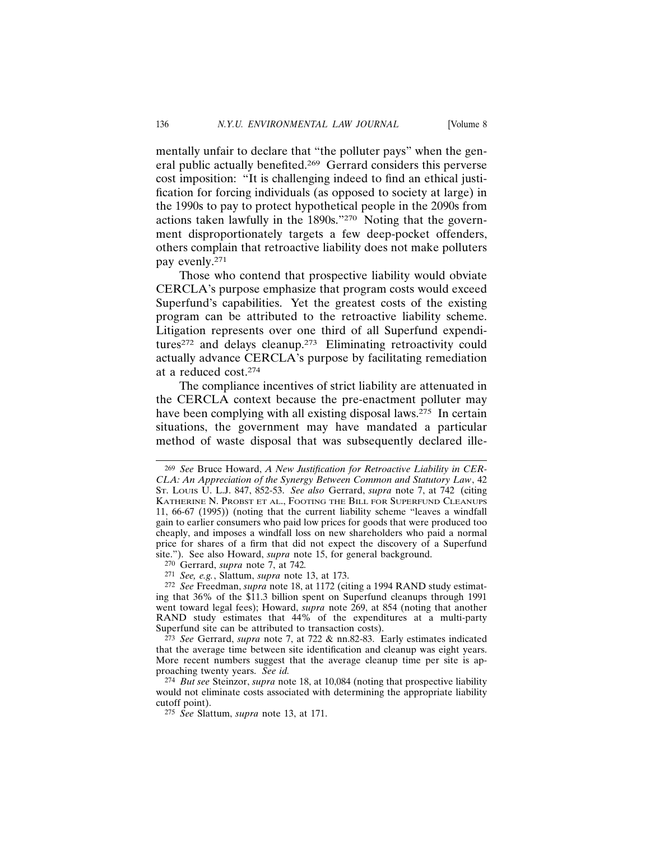mentally unfair to declare that "the polluter pays" when the general public actually benefited.269 Gerrard considers this perverse cost imposition: "It is challenging indeed to find an ethical justification for forcing individuals (as opposed to society at large) in the 1990s to pay to protect hypothetical people in the 2090s from actions taken lawfully in the 1890s."270 Noting that the government disproportionately targets a few deep-pocket offenders, others complain that retroactive liability does not make polluters pay evenly.271

Those who contend that prospective liability would obviate CERCLA's purpose emphasize that program costs would exceed Superfund's capabilities. Yet the greatest costs of the existing program can be attributed to the retroactive liability scheme. Litigation represents over one third of all Superfund expenditures272 and delays cleanup.273 Eliminating retroactivity could actually advance CERCLA's purpose by facilitating remediation at a reduced cost.274

The compliance incentives of strict liability are attenuated in the CERCLA context because the pre-enactment polluter may have been complying with all existing disposal laws.<sup>275</sup> In certain situations, the government may have mandated a particular method of waste disposal that was subsequently declared ille-

<sup>269</sup> *See* Bruce Howard, *A New Justification for Retroactive Liability in CER-CLA: An Appreciation of the Synergy Between Common and Statutory Law*, 42 ST. LOUIS U. L.J. 847, 852-53. *See also* Gerrard, *supra* note 7, at 742 (citing KATHERINE N. PROBST ET AL., FOOTING THE BILL FOR SUPERFUND CLEANUPS 11, 66-67 (1995)) (noting that the current liability scheme "leaves a windfall gain to earlier consumers who paid low prices for goods that were produced too cheaply, and imposes a windfall loss on new shareholders who paid a normal price for shares of a firm that did not expect the discovery of a Superfund site."). See also Howard, *supra* note 15, for general background.

<sup>270</sup> Gerrard, *supra* note 7, at 742*.*

<sup>271</sup> *See, e.g.*, Slattum, *supra* note 13, at 173.

<sup>272</sup> *See* Freedman, *supra* note 18, at 1172 (citing a 1994 RAND study estimating that 36% of the \$11.3 billion spent on Superfund cleanups through 1991 went toward legal fees); Howard, *supra* note 269, at 854 (noting that another RAND study estimates that 44% of the expenditures at a multi-party Superfund site can be attributed to transaction costs).

<sup>273</sup> *See* Gerrard, *supra* note 7, at 722 & nn.82-83. Early estimates indicated that the average time between site identification and cleanup was eight years. More recent numbers suggest that the average cleanup time per site is approaching twenty years. *See id.*

<sup>274</sup> *But see* Steinzor, *supra* note 18, at 10,084 (noting that prospective liability would not eliminate costs associated with determining the appropriate liability cutoff point).

<sup>275</sup> *See* Slattum, *supra* note 13, at 171.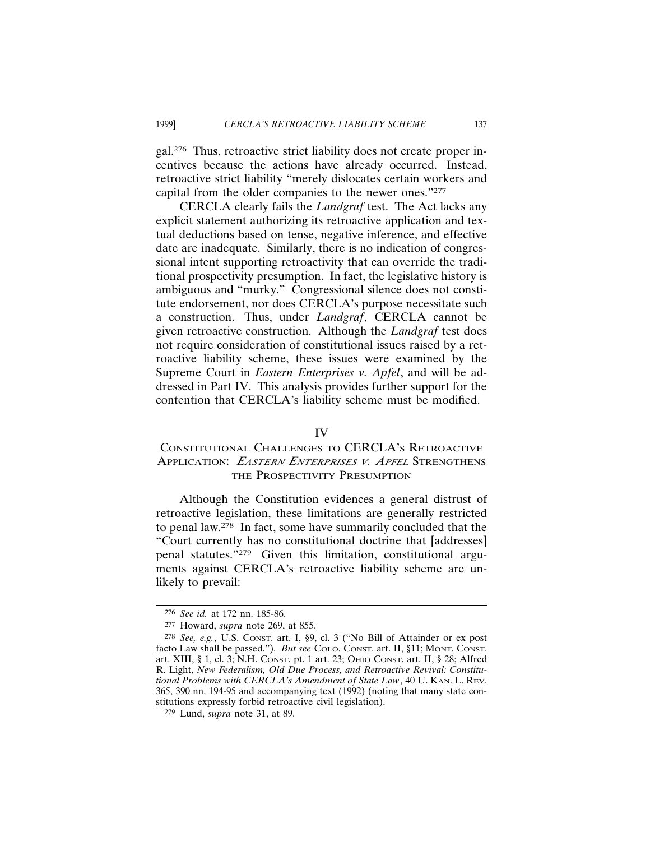gal.276 Thus, retroactive strict liability does not create proper incentives because the actions have already occurred. Instead, retroactive strict liability "merely dislocates certain workers and capital from the older companies to the newer ones."277

CERCLA clearly fails the *Landgraf* test. The Act lacks any explicit statement authorizing its retroactive application and textual deductions based on tense, negative inference, and effective date are inadequate. Similarly, there is no indication of congressional intent supporting retroactivity that can override the traditional prospectivity presumption. In fact, the legislative history is ambiguous and "murky." Congressional silence does not constitute endorsement, nor does CERCLA's purpose necessitate such a construction. Thus, under *Landgraf*, CERCLA cannot be given retroactive construction. Although the *Landgraf* test does not require consideration of constitutional issues raised by a retroactive liability scheme, these issues were examined by the Supreme Court in *Eastern Enterprises v. Apfel*, and will be addressed in Part IV. This analysis provides further support for the contention that CERCLA's liability scheme must be modified.

# IV

# CONSTITUTIONAL CHALLENGES TO CERCLA'S RETROACTIVE APPLICATION: *<sup>E</sup>ASTERN ENTERPRISES <sup>V</sup>. APFEL* STRENGTHENS THE PROSPECTIVITY PRESUMPTION

Although the Constitution evidences a general distrust of retroactive legislation, these limitations are generally restricted to penal law.278 In fact, some have summarily concluded that the "Court currently has no constitutional doctrine that [addresses] penal statutes."279 Given this limitation, constitutional arguments against CERCLA's retroactive liability scheme are unlikely to prevail:

<sup>276</sup> *See id.* at 172 nn. 185-86.

<sup>277</sup> Howard, *supra* note 269, at 855.

<sup>278</sup> *See, e.g.*, U.S. CONST. art. I, §9, cl. 3 ("No Bill of Attainder or ex post facto Law shall be passed."). *But see* COLO. CONST. art. II, §11; MONT. CONST. art. XIII, § 1, cl. 3; N.H. CONST. pt. 1 art. 23; OHIO CONST. art. II, § 28; Alfred R. Light, *New Federalism, Old Due Process, and Retroactive Revival: Constitutional Problems with CERCLA's Amendment of State Law*, 40 U. KAN. L. REV. 365, 390 nn. 194-95 and accompanying text (1992) (noting that many state constitutions expressly forbid retroactive civil legislation).

<sup>279</sup> Lund, *supra* note 31, at 89.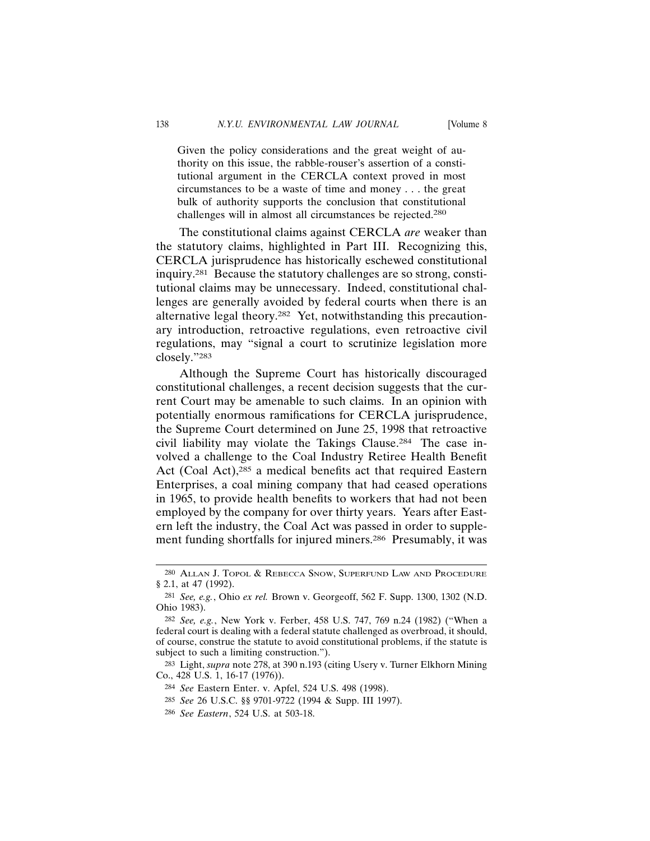Given the policy considerations and the great weight of authority on this issue, the rabble-rouser's assertion of a constitutional argument in the CERCLA context proved in most circumstances to be a waste of time and money . . . the great bulk of authority supports the conclusion that constitutional challenges will in almost all circumstances be rejected.280

The constitutional claims against CERCLA *are* weaker than the statutory claims, highlighted in Part III. Recognizing this, CERCLA jurisprudence has historically eschewed constitutional inquiry.281 Because the statutory challenges are so strong, constitutional claims may be unnecessary. Indeed, constitutional challenges are generally avoided by federal courts when there is an alternative legal theory.282 Yet, notwithstanding this precautionary introduction, retroactive regulations, even retroactive civil regulations, may "signal a court to scrutinize legislation more closely."283

Although the Supreme Court has historically discouraged constitutional challenges, a recent decision suggests that the current Court may be amenable to such claims. In an opinion with potentially enormous ramifications for CERCLA jurisprudence, the Supreme Court determined on June 25, 1998 that retroactive civil liability may violate the Takings Clause.284 The case involved a challenge to the Coal Industry Retiree Health Benefit Act (Coal Act),285 a medical benefits act that required Eastern Enterprises, a coal mining company that had ceased operations in 1965, to provide health benefits to workers that had not been employed by the company for over thirty years. Years after Eastern left the industry, the Coal Act was passed in order to supplement funding shortfalls for injured miners.286 Presumably, it was

<sup>280</sup> ALLAN J. TOPOL & REBECCA SNOW, SUPERFUND LAW AND PROCEDURE § 2.1, at 47 (1992).

<sup>281</sup> *See, e.g.*, Ohio *ex rel.* Brown v. Georgeoff, 562 F. Supp. 1300, 1302 (N.D. Ohio 1983).

<sup>282</sup> *See, e.g.*, New York v. Ferber, 458 U.S. 747, 769 n.24 (1982) ("When a federal court is dealing with a federal statute challenged as overbroad, it should, of course, construe the statute to avoid constitutional problems, if the statute is subject to such a limiting construction.").

<sup>283</sup> Light, *supra* note 278, at 390 n.193 (citing Usery v. Turner Elkhorn Mining Co., 428 U.S. 1, 16-17 (1976)).

<sup>284</sup> *See* Eastern Enter. v. Apfel, 524 U.S. 498 (1998).

<sup>285</sup> *See* 26 U.S.C. §§ 9701-9722 (1994 & Supp. III 1997).

<sup>286</sup> *See Eastern*, 524 U.S. at 503-18.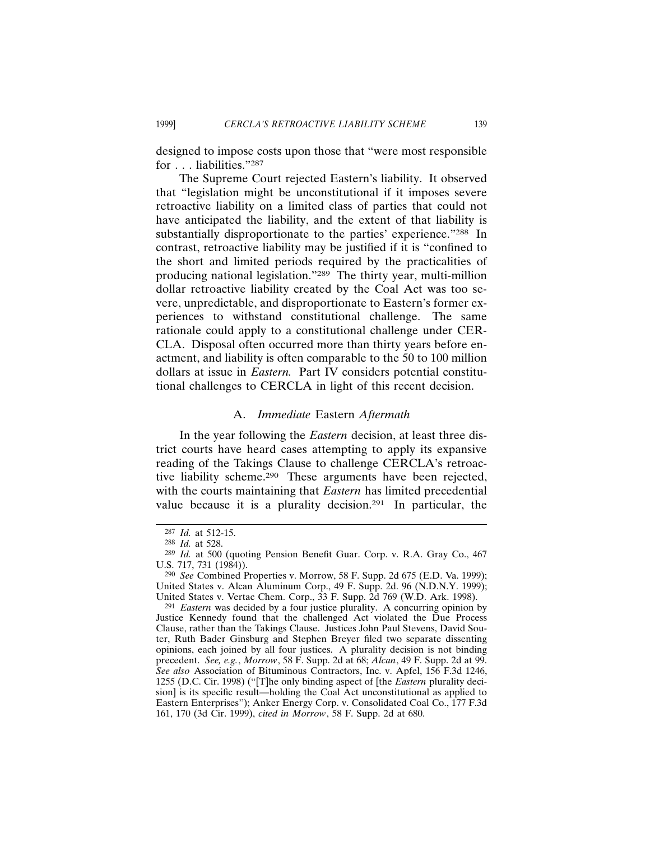designed to impose costs upon those that "were most responsible for . . . liabilities."287

The Supreme Court rejected Eastern's liability. It observed that "legislation might be unconstitutional if it imposes severe retroactive liability on a limited class of parties that could not have anticipated the liability, and the extent of that liability is substantially disproportionate to the parties' experience."288 In contrast, retroactive liability may be justified if it is "confined to the short and limited periods required by the practicalities of producing national legislation."289 The thirty year, multi-million dollar retroactive liability created by the Coal Act was too severe, unpredictable, and disproportionate to Eastern's former experiences to withstand constitutional challenge. The same rationale could apply to a constitutional challenge under CER-CLA. Disposal often occurred more than thirty years before enactment, and liability is often comparable to the 50 to 100 million dollars at issue in *Eastern.* Part IV considers potential constitutional challenges to CERCLA in light of this recent decision.

## A. *Immediate* Eastern *Aftermath*

In the year following the *Eastern* decision, at least three district courts have heard cases attempting to apply its expansive reading of the Takings Clause to challenge CERCLA's retroactive liability scheme.290 These arguments have been rejected, with the courts maintaining that *Eastern* has limited precedential value because it is a plurality decision.<sup>291</sup> In particular, the

<sup>287</sup> *Id.* at 512-15.

<sup>288</sup> *Id.* at 528.

<sup>289</sup> *Id.* at 500 (quoting Pension Benefit Guar. Corp. v. R.A. Gray Co., 467 U.S. 717, 731 (1984)).

<sup>290</sup> *See* Combined Properties v. Morrow, 58 F. Supp. 2d 675 (E.D. Va. 1999); United States v. Alcan Aluminum Corp., 49 F. Supp. 2d. 96 (N.D.N.Y. 1999); United States v. Vertac Chem. Corp., 33 F. Supp. 2d 769 (W.D. Ark. 1998).

<sup>291</sup> *Eastern* was decided by a four justice plurality. A concurring opinion by Justice Kennedy found that the challenged Act violated the Due Process Clause, rather than the Takings Clause. Justices John Paul Stevens, David Souter, Ruth Bader Ginsburg and Stephen Breyer filed two separate dissenting opinions, each joined by all four justices. A plurality decision is not binding precedent. *See, e.g.*, *Morrow*, 58 F. Supp. 2d at 68; *Alcan*, 49 F. Supp. 2d at 99. *See also* Association of Bituminous Contractors, Inc. v. Apfel, 156 F.3d 1246, 1255 (D.C. Cir. 1998) ("[T]he only binding aspect of [the *Eastern* plurality decision] is its specific result—holding the Coal Act unconstitutional as applied to Eastern Enterprises"); Anker Energy Corp. v. Consolidated Coal Co., 177 F.3d 161, 170 (3d Cir. 1999), *cited in Morrow*, 58 F. Supp. 2d at 680.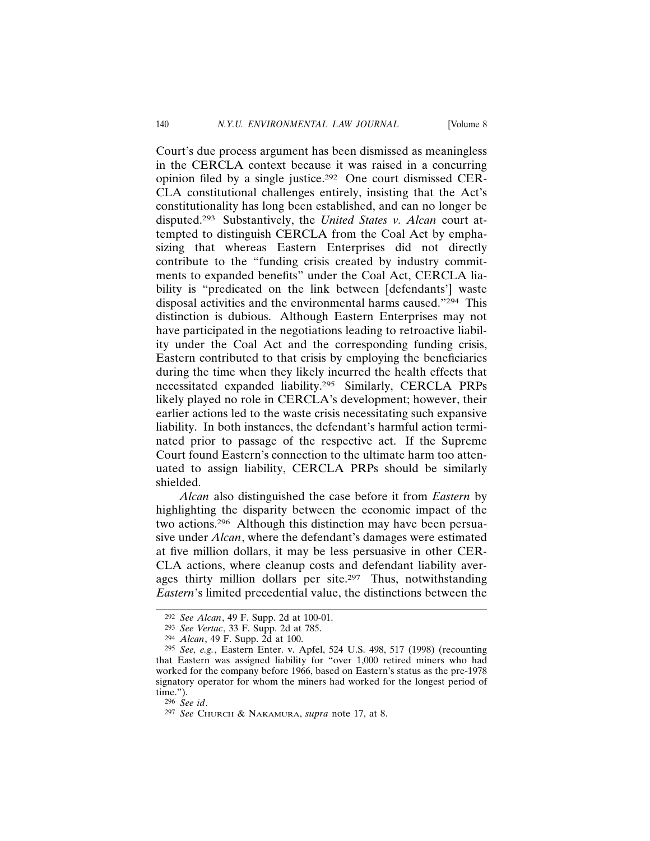Court's due process argument has been dismissed as meaningless in the CERCLA context because it was raised in a concurring opinion filed by a single justice.292 One court dismissed CER-CLA constitutional challenges entirely, insisting that the Act's constitutionality has long been established, and can no longer be disputed.293 Substantively, the *United States v. Alcan* court attempted to distinguish CERCLA from the Coal Act by emphasizing that whereas Eastern Enterprises did not directly contribute to the "funding crisis created by industry commitments to expanded benefits" under the Coal Act, CERCLA liability is "predicated on the link between [defendants'] waste disposal activities and the environmental harms caused."294 This distinction is dubious. Although Eastern Enterprises may not have participated in the negotiations leading to retroactive liability under the Coal Act and the corresponding funding crisis, Eastern contributed to that crisis by employing the beneficiaries during the time when they likely incurred the health effects that necessitated expanded liability.295 Similarly, CERCLA PRPs likely played no role in CERCLA's development; however, their earlier actions led to the waste crisis necessitating such expansive liability. In both instances, the defendant's harmful action terminated prior to passage of the respective act. If the Supreme Court found Eastern's connection to the ultimate harm too attenuated to assign liability, CERCLA PRPs should be similarly shielded.

*Alcan* also distinguished the case before it from *Eastern* by highlighting the disparity between the economic impact of the two actions.296 Although this distinction may have been persuasive under *Alcan*, where the defendant's damages were estimated at five million dollars, it may be less persuasive in other CER-CLA actions, where cleanup costs and defendant liability averages thirty million dollars per site.<sup>297</sup> Thus, notwithstanding *Eastern*'s limited precedential value, the distinctions between the

<sup>292</sup> *See Alcan*, 49 F. Supp. 2d at 100-01.

<sup>293</sup> *See Vertac*, 33 F. Supp. 2d at 785.

<sup>294</sup> *Alcan*, 49 F. Supp. 2d at 100.

<sup>295</sup> *See, e.g.*, Eastern Enter. v. Apfel, 524 U.S. 498, 517 (1998) (recounting that Eastern was assigned liability for "over 1,000 retired miners who had worked for the company before 1966, based on Eastern's status as the pre-1978 signatory operator for whom the miners had worked for the longest period of time.").

<sup>296</sup> *See id*.

<sup>297</sup> *See* CHURCH & NAKAMURA, *supra* note 17, at 8.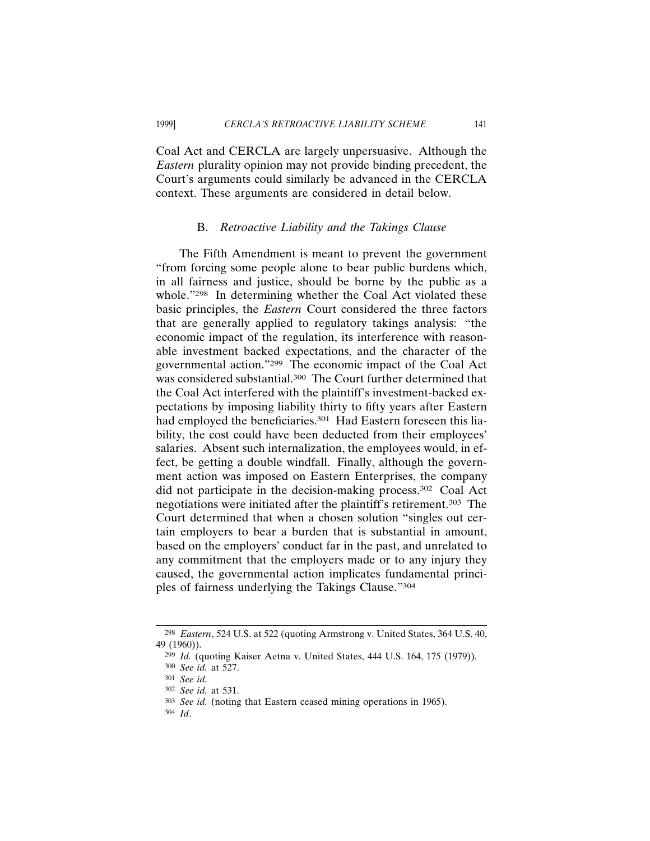Coal Act and CERCLA are largely unpersuasive. Although the *Eastern* plurality opinion may not provide binding precedent, the Court's arguments could similarly be advanced in the CERCLA context. These arguments are considered in detail below.

#### B. *Retroactive Liability and the Takings Clause*

The Fifth Amendment is meant to prevent the government "from forcing some people alone to bear public burdens which, in all fairness and justice, should be borne by the public as a whole."<sup>298</sup> In determining whether the Coal Act violated these basic principles, the *Eastern* Court considered the three factors that are generally applied to regulatory takings analysis: "the economic impact of the regulation, its interference with reasonable investment backed expectations, and the character of the governmental action."299 The economic impact of the Coal Act was considered substantial.300 The Court further determined that the Coal Act interfered with the plaintiff's investment-backed expectations by imposing liability thirty to fifty years after Eastern had employed the beneficiaries.<sup>301</sup> Had Eastern foreseen this liability, the cost could have been deducted from their employees' salaries. Absent such internalization, the employees would, in effect, be getting a double windfall. Finally, although the government action was imposed on Eastern Enterprises, the company did not participate in the decision-making process.302 Coal Act negotiations were initiated after the plaintiff's retirement.<sup>303</sup> The Court determined that when a chosen solution "singles out certain employers to bear a burden that is substantial in amount, based on the employers' conduct far in the past, and unrelated to any commitment that the employers made or to any injury they caused, the governmental action implicates fundamental principles of fairness underlying the Takings Clause."304

304 *Id*.

<sup>298</sup> *Eastern*, 524 U.S. at 522 (quoting Armstrong v. United States, 364 U.S. 40, 49 (1960)).

<sup>299</sup> *Id.* (quoting Kaiser Aetna v. United States, 444 U.S. 164, 175 (1979)).

<sup>300</sup> *See id.* at 527.

<sup>301</sup> *See id.*

<sup>302</sup> *See id.* at 531.

<sup>303</sup> *See id.* (noting that Eastern ceased mining operations in 1965).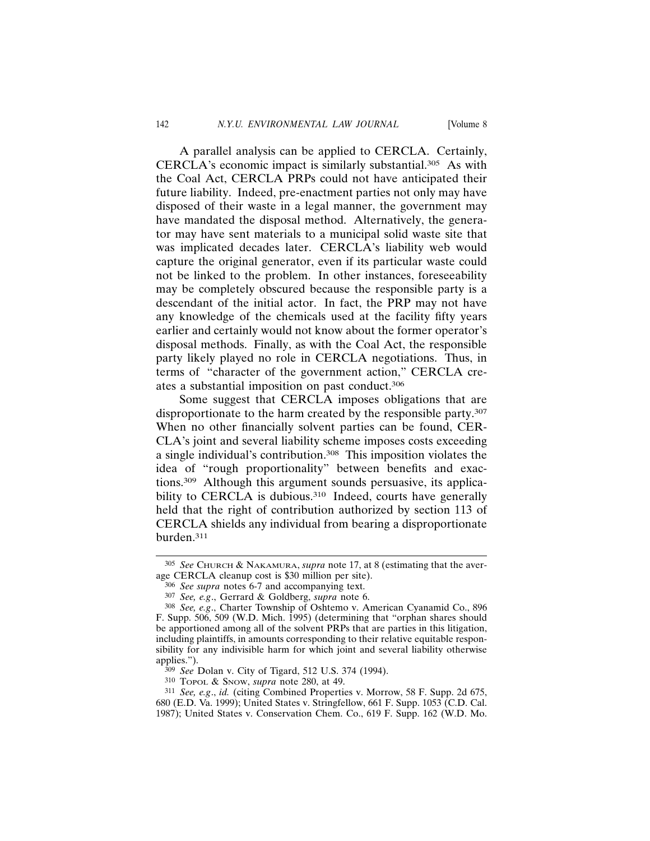A parallel analysis can be applied to CERCLA. Certainly, CERCLA's economic impact is similarly substantial.305 As with the Coal Act, CERCLA PRPs could not have anticipated their future liability. Indeed, pre-enactment parties not only may have disposed of their waste in a legal manner, the government may have mandated the disposal method. Alternatively, the generator may have sent materials to a municipal solid waste site that was implicated decades later. CERCLA's liability web would capture the original generator, even if its particular waste could not be linked to the problem. In other instances, foreseeability may be completely obscured because the responsible party is a descendant of the initial actor. In fact, the PRP may not have any knowledge of the chemicals used at the facility fifty years earlier and certainly would not know about the former operator's disposal methods. Finally, as with the Coal Act, the responsible party likely played no role in CERCLA negotiations. Thus, in terms of "character of the government action," CERCLA creates a substantial imposition on past conduct.306

Some suggest that CERCLA imposes obligations that are disproportionate to the harm created by the responsible party.307 When no other financially solvent parties can be found, CER-CLA's joint and several liability scheme imposes costs exceeding a single individual's contribution.308 This imposition violates the idea of "rough proportionality" between benefits and exactions.309 Although this argument sounds persuasive, its applicability to CERCLA is dubious.<sup>310</sup> Indeed, courts have generally held that the right of contribution authorized by section 113 of CERCLA shields any individual from bearing a disproportionate burden.311

<sup>305</sup> *See* CHURCH & NAKAMURA, *supra* note 17, at 8 (estimating that the average CERCLA cleanup cost is \$30 million per site).

<sup>306</sup> *See supra* notes 6-7 and accompanying text.

<sup>307</sup> *See, e.g*., Gerrard & Goldberg, *supra* note 6.

<sup>308</sup> *See, e.g*., Charter Township of Oshtemo v. American Cyanamid Co., 896 F. Supp. 506, 509 (W.D. Mich. 1995) (determining that "orphan shares should be apportioned among all of the solvent PRPs that are parties in this litigation, including plaintiffs, in amounts corresponding to their relative equitable responsibility for any indivisible harm for which joint and several liability otherwise applies.").

<sup>309</sup> *See* Dolan v. City of Tigard, 512 U.S. 374 (1994).

<sup>310</sup> TOPOL & SNOW, *supra* note 280, at 49.

<sup>311</sup> *See, e.g*., *id.* (citing Combined Properties v. Morrow, 58 F. Supp. 2d 675, 680 (E.D. Va. 1999); United States v. Stringfellow, 661 F. Supp. 1053 (C.D. Cal. 1987); United States v. Conservation Chem. Co., 619 F. Supp. 162 (W.D. Mo.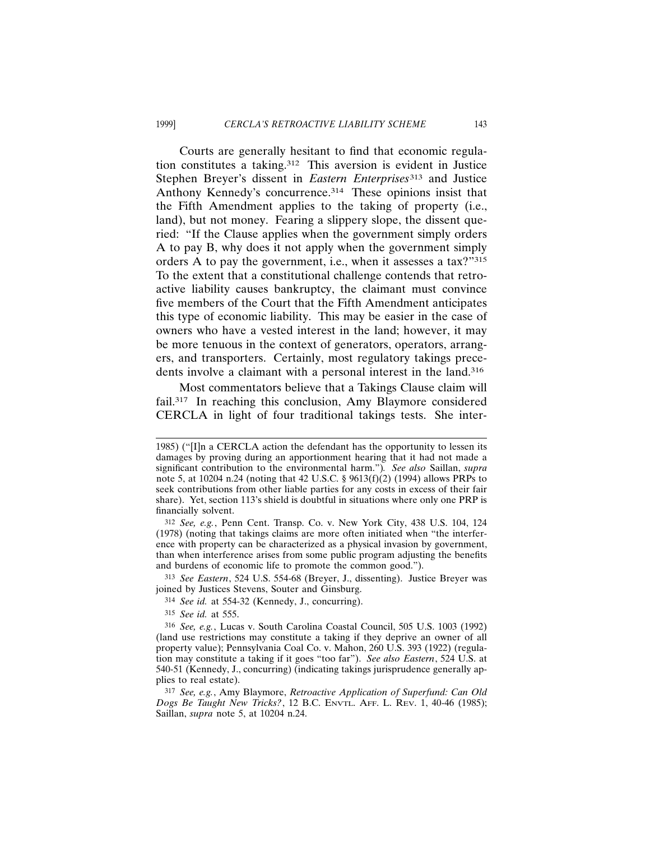Courts are generally hesitant to find that economic regulation constitutes a taking.312 This aversion is evident in Justice Stephen Breyer's dissent in *Eastern Enterprises*313 and Justice Anthony Kennedy's concurrence.314 These opinions insist that the Fifth Amendment applies to the taking of property (i.e., land), but not money. Fearing a slippery slope, the dissent queried: "If the Clause applies when the government simply orders A to pay B, why does it not apply when the government simply orders A to pay the government, i.e., when it assesses a tax?"315 To the extent that a constitutional challenge contends that retroactive liability causes bankruptcy, the claimant must convince five members of the Court that the Fifth Amendment anticipates this type of economic liability. This may be easier in the case of owners who have a vested interest in the land; however, it may be more tenuous in the context of generators, operators, arrangers, and transporters. Certainly, most regulatory takings precedents involve a claimant with a personal interest in the land.316

Most commentators believe that a Takings Clause claim will fail.<sup>317</sup> In reaching this conclusion, Amy Blaymore considered CERCLA in light of four traditional takings tests. She inter-

<sup>1985) (&</sup>quot;[I]n a CERCLA action the defendant has the opportunity to lessen its damages by proving during an apportionment hearing that it had not made a significant contribution to the environmental harm.")*. See also* Saillan, *supra* note 5, at 10204 n.24 (noting that 42 U.S.C. § 9613(f)(2) (1994) allows PRPs to seek contributions from other liable parties for any costs in excess of their fair share). Yet, section 113's shield is doubtful in situations where only one PRP is financially solvent.

<sup>312</sup> *See, e.g.*, Penn Cent. Transp. Co. v. New York City, 438 U.S. 104, 124 (1978) (noting that takings claims are more often initiated when "the interference with property can be characterized as a physical invasion by government, than when interference arises from some public program adjusting the benefits and burdens of economic life to promote the common good.").

<sup>313</sup> *See Eastern*, 524 U.S. 554-68 (Breyer, J., dissenting). Justice Breyer was joined by Justices Stevens, Souter and Ginsburg.

<sup>314</sup> *See id.* at 554-32 (Kennedy, J., concurring).

<sup>315</sup> *See id.* at 555.

<sup>316</sup> *See, e.g.*, Lucas v. South Carolina Coastal Council, 505 U.S. 1003 (1992) (land use restrictions may constitute a taking if they deprive an owner of all property value); Pennsylvania Coal Co. v. Mahon, 260 U.S. 393 (1922) (regulation may constitute a taking if it goes "too far"). *See also Eastern*, 524 U.S. at 540-51 (Kennedy, J., concurring) (indicating takings jurisprudence generally applies to real estate).

<sup>317</sup> *See, e.g.*, Amy Blaymore, *Retroactive Application of Superfund: Can Old Dogs Be Taught New Tricks?*, 12 B.C. ENVTL. AFF. L. REV. 1, 40-46 (1985); Saillan, *supra* note 5, at 10204 n.24.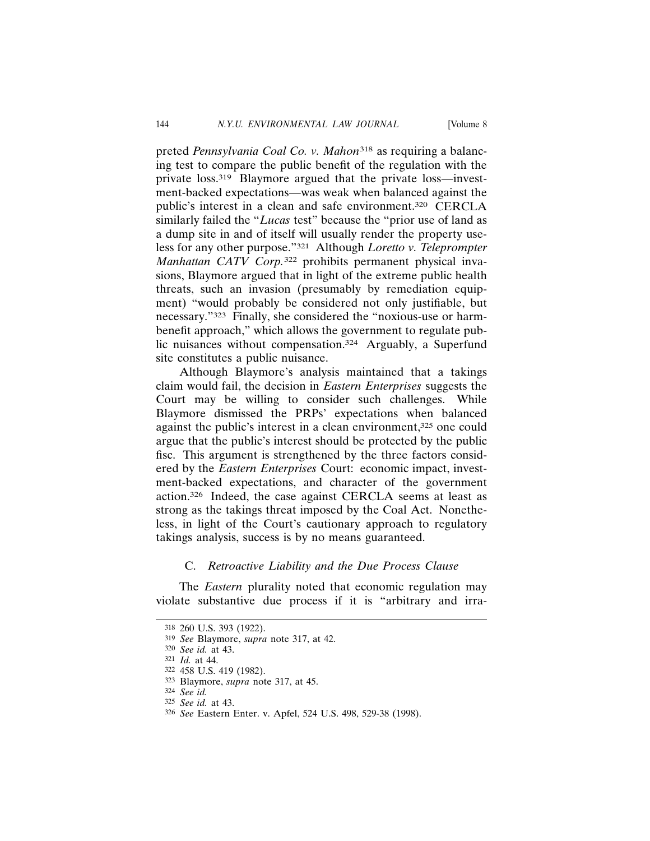preted *Pennsylvania Coal Co. v. Mahon*<sup>318</sup> as requiring a balancing test to compare the public benefit of the regulation with the private loss.319 Blaymore argued that the private loss—investment-backed expectations—was weak when balanced against the public's interest in a clean and safe environment.320 CERCLA similarly failed the "*Lucas* test" because the "prior use of land as a dump site in and of itself will usually render the property useless for any other purpose."321 Although *Loretto v. Teleprompter Manhattan CATV Corp.*322 prohibits permanent physical invasions, Blaymore argued that in light of the extreme public health threats, such an invasion (presumably by remediation equipment) "would probably be considered not only justifiable, but necessary."323 Finally, she considered the "noxious-use or harmbenefit approach," which allows the government to regulate public nuisances without compensation.<sup>324</sup> Arguably, a Superfund site constitutes a public nuisance.

Although Blaymore's analysis maintained that a takings claim would fail, the decision in *Eastern Enterprises* suggests the Court may be willing to consider such challenges. While Blaymore dismissed the PRPs' expectations when balanced against the public's interest in a clean environment,<sup>325</sup> one could argue that the public's interest should be protected by the public fisc. This argument is strengthened by the three factors considered by the *Eastern Enterprises* Court: economic impact, investment-backed expectations, and character of the government action.326 Indeed, the case against CERCLA seems at least as strong as the takings threat imposed by the Coal Act. Nonetheless, in light of the Court's cautionary approach to regulatory takings analysis, success is by no means guaranteed.

## C. *Retroactive Liability and the Due Process Clause*

The *Eastern* plurality noted that economic regulation may violate substantive due process if it is "arbitrary and irra-

<sup>318</sup> 260 U.S. 393 (1922).

<sup>319</sup> *See* Blaymore, *supra* note 317, at 42.

<sup>320</sup> *See id.* at 43.

<sup>321</sup> *Id.* at 44.

<sup>322</sup> 458 U.S. 419 (1982).

<sup>323</sup> Blaymore, *supra* note 317, at 45.

<sup>324</sup> *See id.*

<sup>325</sup> *See id.* at 43.

<sup>326</sup> *See* Eastern Enter. v. Apfel, 524 U.S. 498, 529-38 (1998).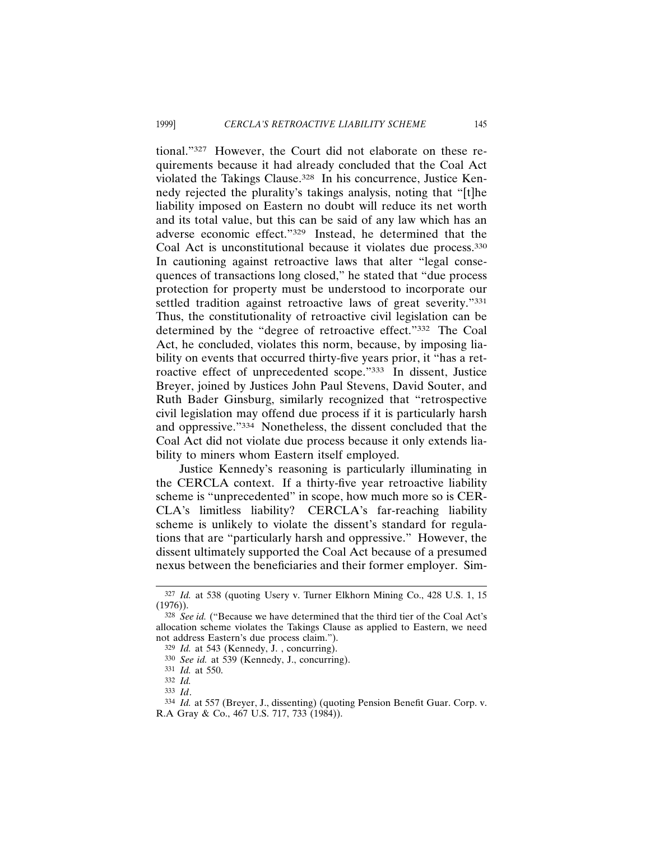tional."327 However, the Court did not elaborate on these requirements because it had already concluded that the Coal Act violated the Takings Clause.328 In his concurrence, Justice Kennedy rejected the plurality's takings analysis, noting that "[t]he liability imposed on Eastern no doubt will reduce its net worth and its total value, but this can be said of any law which has an adverse economic effect."329 Instead, he determined that the Coal Act is unconstitutional because it violates due process.330 In cautioning against retroactive laws that alter "legal consequences of transactions long closed," he stated that "due process protection for property must be understood to incorporate our settled tradition against retroactive laws of great severity."331 Thus, the constitutionality of retroactive civil legislation can be determined by the "degree of retroactive effect."332 The Coal Act, he concluded, violates this norm, because, by imposing liability on events that occurred thirty-five years prior, it "has a retroactive effect of unprecedented scope."333 In dissent, Justice Breyer, joined by Justices John Paul Stevens, David Souter, and Ruth Bader Ginsburg, similarly recognized that "retrospective civil legislation may offend due process if it is particularly harsh and oppressive."334 Nonetheless, the dissent concluded that the Coal Act did not violate due process because it only extends liability to miners whom Eastern itself employed.

Justice Kennedy's reasoning is particularly illuminating in the CERCLA context. If a thirty-five year retroactive liability scheme is "unprecedented" in scope, how much more so is CER-CLA's limitless liability? CERCLA's far-reaching liability scheme is unlikely to violate the dissent's standard for regulations that are "particularly harsh and oppressive." However, the dissent ultimately supported the Coal Act because of a presumed nexus between the beneficiaries and their former employer. Sim-

<sup>327</sup> *Id.* at 538 (quoting Usery v. Turner Elkhorn Mining Co., 428 U.S. 1, 15 (1976)).

<sup>&</sup>lt;sup>328</sup> *See id.* ("Because we have determined that the third tier of the Coal Act's allocation scheme violates the Takings Clause as applied to Eastern, we need not address Eastern's due process claim.").

<sup>329</sup> *Id.* at 543 (Kennedy, J. , concurring).

<sup>330</sup> *See id.* at 539 (Kennedy, J., concurring).

<sup>331</sup> *Id.* at 550.

<sup>332</sup> *Id.*

<sup>333</sup> *Id*.

<sup>334</sup> *Id.* at 557 (Breyer, J., dissenting) (quoting Pension Benefit Guar. Corp. v. R.A Gray & Co., 467 U.S. 717, 733 (1984)).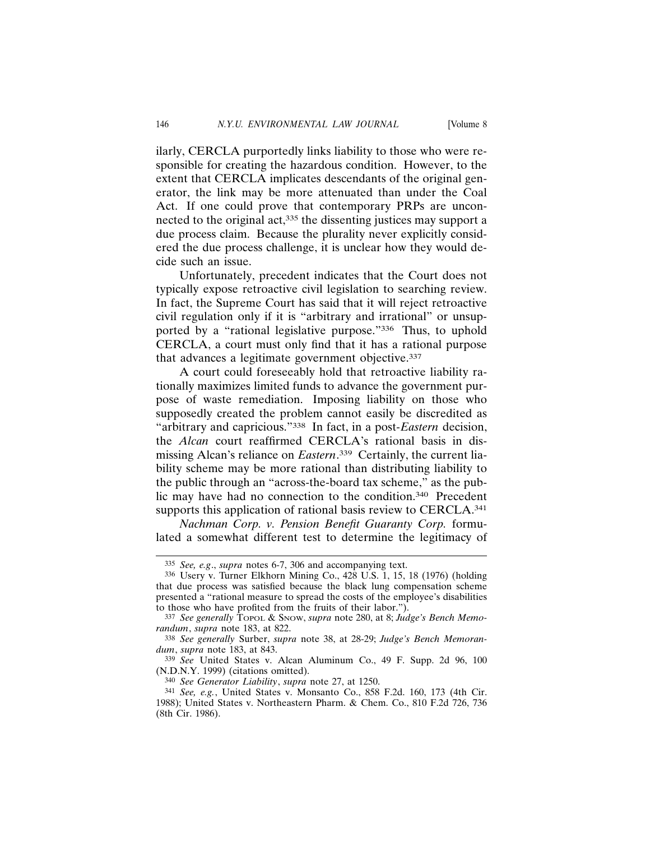ilarly, CERCLA purportedly links liability to those who were responsible for creating the hazardous condition. However, to the extent that CERCLA implicates descendants of the original generator, the link may be more attenuated than under the Coal Act. If one could prove that contemporary PRPs are unconnected to the original act,<sup>335</sup> the dissenting justices may support a due process claim. Because the plurality never explicitly considered the due process challenge, it is unclear how they would decide such an issue.

Unfortunately, precedent indicates that the Court does not typically expose retroactive civil legislation to searching review. In fact, the Supreme Court has said that it will reject retroactive civil regulation only if it is "arbitrary and irrational" or unsupported by a "rational legislative purpose."336 Thus, to uphold CERCLA, a court must only find that it has a rational purpose that advances a legitimate government objective.337

A court could foreseeably hold that retroactive liability rationally maximizes limited funds to advance the government purpose of waste remediation. Imposing liability on those who supposedly created the problem cannot easily be discredited as "arbitrary and capricious."338 In fact, in a post-*Eastern* decision, the *Alcan* court reaffirmed CERCLA's rational basis in dismissing Alcan's reliance on *Eastern*. 339 Certainly, the current liability scheme may be more rational than distributing liability to the public through an "across-the-board tax scheme," as the public may have had no connection to the condition.340 Precedent supports this application of rational basis review to CERCLA.<sup>341</sup>

*Nachman Corp. v. Pension Benefit Guaranty Corp.* formulated a somewhat different test to determine the legitimacy of

340 *See Generator Liability*, *supra* note 27, at 1250.

<sup>335</sup> *See, e.g*., *supra* notes 6-7, 306 and accompanying text.

<sup>336</sup> Usery v. Turner Elkhorn Mining Co., 428 U.S. 1, 15, 18 (1976) (holding that due process was satisfied because the black lung compensation scheme presented a "rational measure to spread the costs of the employee's disabilities to those who have profited from the fruits of their labor.").

<sup>337</sup> *See generally* TOPOL & SNOW, *supra* note 280, at 8; *Judge's Bench Memorandum*, *supra* note 183, at 822.

<sup>338</sup> *See generally* Surber, *supra* note 38, at 28-29; *Judge's Bench Memorandum*, *supra* note 183, at 843.

<sup>339</sup> *See* United States v. Alcan Aluminum Co., 49 F. Supp. 2d 96, 100 (N.D.N.Y. 1999) (citations omitted).

<sup>341</sup> *See, e.g.*, United States v. Monsanto Co., 858 F.2d. 160, 173 (4th Cir. 1988); United States v. Northeastern Pharm. & Chem. Co., 810 F.2d 726, 736 (8th Cir. 1986).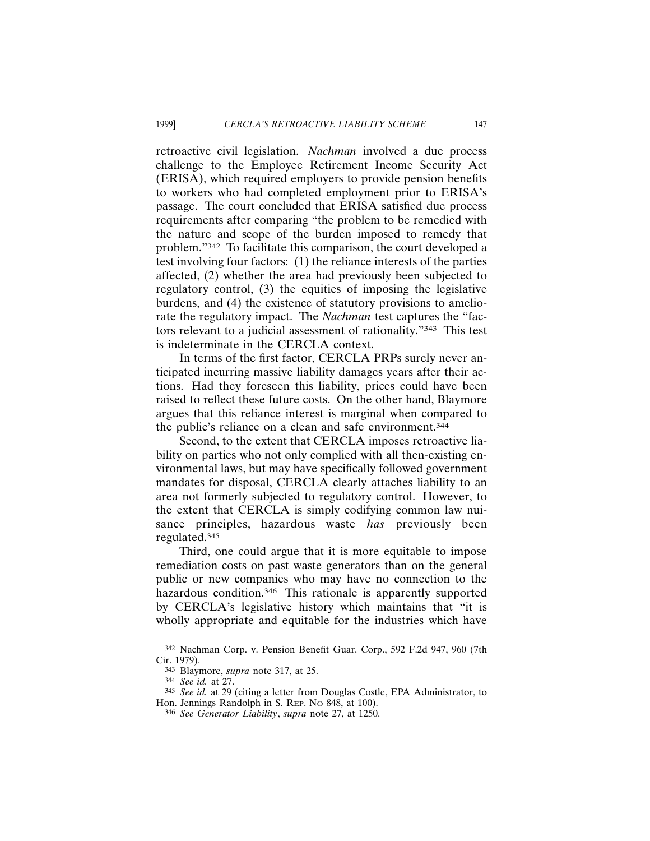retroactive civil legislation. *Nachman* involved a due process challenge to the Employee Retirement Income Security Act (ERISA), which required employers to provide pension benefits to workers who had completed employment prior to ERISA's passage. The court concluded that ERISA satisfied due process requirements after comparing "the problem to be remedied with the nature and scope of the burden imposed to remedy that problem."342 To facilitate this comparison, the court developed a test involving four factors: (1) the reliance interests of the parties affected, (2) whether the area had previously been subjected to regulatory control, (3) the equities of imposing the legislative burdens, and (4) the existence of statutory provisions to ameliorate the regulatory impact. The *Nachman* test captures the "factors relevant to a judicial assessment of rationality."343 This test is indeterminate in the CERCLA context.

In terms of the first factor, CERCLA PRPs surely never anticipated incurring massive liability damages years after their actions. Had they foreseen this liability, prices could have been raised to reflect these future costs. On the other hand, Blaymore argues that this reliance interest is marginal when compared to the public's reliance on a clean and safe environment.344

Second, to the extent that CERCLA imposes retroactive liability on parties who not only complied with all then-existing environmental laws, but may have specifically followed government mandates for disposal, CERCLA clearly attaches liability to an area not formerly subjected to regulatory control. However, to the extent that CERCLA is simply codifying common law nuisance principles, hazardous waste *has* previously been regulated.345

Third, one could argue that it is more equitable to impose remediation costs on past waste generators than on the general public or new companies who may have no connection to the hazardous condition.<sup>346</sup> This rationale is apparently supported by CERCLA's legislative history which maintains that "it is wholly appropriate and equitable for the industries which have

<sup>342</sup> Nachman Corp. v. Pension Benefit Guar. Corp., 592 F.2d 947, 960 (7th Cir. 1979).

<sup>343</sup> Blaymore, *supra* note 317, at 25.

<sup>344</sup> *See id.* at 27.

<sup>345</sup> *See id.* at 29 (citing a letter from Douglas Costle, EPA Administrator, to Hon. Jennings Randolph in S. REP. NO 848, at 100).

<sup>346</sup> *See Generator Liability*, *supra* note 27, at 1250.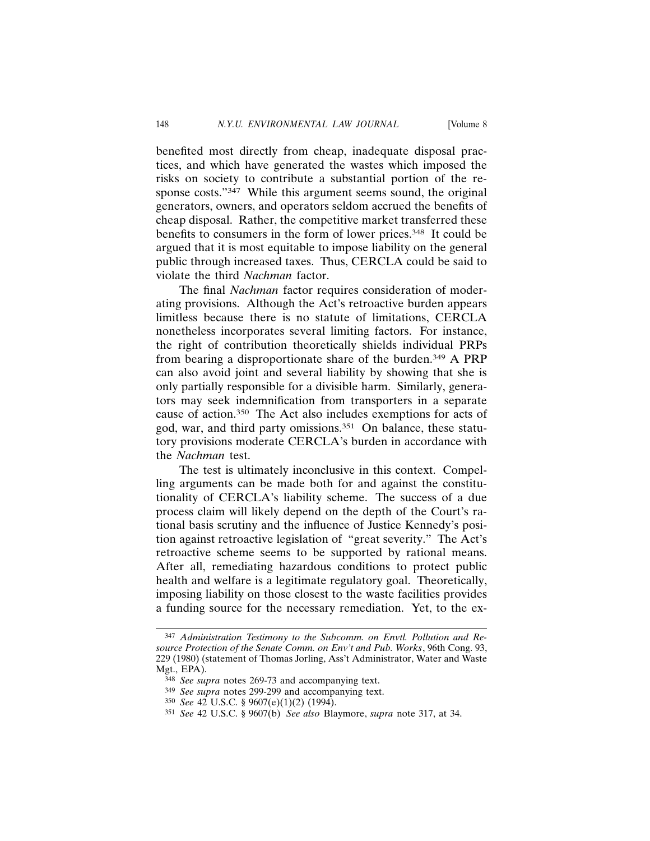benefited most directly from cheap, inadequate disposal practices, and which have generated the wastes which imposed the risks on society to contribute a substantial portion of the response costs."<sup>347</sup> While this argument seems sound, the original generators, owners, and operators seldom accrued the benefits of cheap disposal. Rather, the competitive market transferred these benefits to consumers in the form of lower prices.348 It could be argued that it is most equitable to impose liability on the general public through increased taxes. Thus, CERCLA could be said to violate the third *Nachman* factor.

The final *Nachman* factor requires consideration of moderating provisions. Although the Act's retroactive burden appears limitless because there is no statute of limitations, CERCLA nonetheless incorporates several limiting factors. For instance, the right of contribution theoretically shields individual PRPs from bearing a disproportionate share of the burden.349 A PRP can also avoid joint and several liability by showing that she is only partially responsible for a divisible harm. Similarly, generators may seek indemnification from transporters in a separate cause of action.350 The Act also includes exemptions for acts of god, war, and third party omissions.351 On balance, these statutory provisions moderate CERCLA's burden in accordance with the *Nachman* test.

The test is ultimately inconclusive in this context. Compelling arguments can be made both for and against the constitutionality of CERCLA's liability scheme. The success of a due process claim will likely depend on the depth of the Court's rational basis scrutiny and the influence of Justice Kennedy's position against retroactive legislation of "great severity." The Act's retroactive scheme seems to be supported by rational means. After all, remediating hazardous conditions to protect public health and welfare is a legitimate regulatory goal. Theoretically, imposing liability on those closest to the waste facilities provides a funding source for the necessary remediation. Yet, to the ex-

<sup>347</sup> *Administration Testimony to the Subcomm. on Envtl. Pollution and Resource Protection of the Senate Comm. on Env't and Pub. Works*, 96th Cong. 93, 229 (1980) (statement of Thomas Jorling, Ass't Administrator, Water and Waste Mgt., EPA).

<sup>348</sup> *See supra* notes 269-73 and accompanying text.

<sup>349</sup> *See supra* notes 299-299 and accompanying text.

<sup>350</sup> *See* 42 U.S.C. § 9607(e)(1)(2) (1994).

<sup>351</sup> *See* 42 U.S.C. § 9607(b) *See also* Blaymore, *supra* note 317, at 34.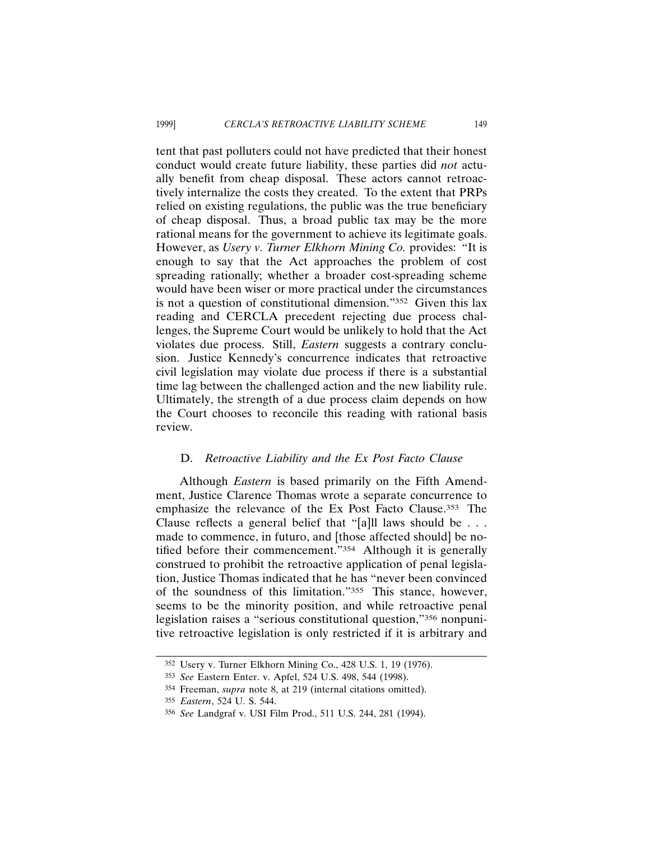tent that past polluters could not have predicted that their honest conduct would create future liability, these parties did *not* actually benefit from cheap disposal. These actors cannot retroactively internalize the costs they created. To the extent that PRPs relied on existing regulations, the public was the true beneficiary of cheap disposal. Thus, a broad public tax may be the more rational means for the government to achieve its legitimate goals. However, as *Usery v. Turner Elkhorn Mining Co.* provides: "It is enough to say that the Act approaches the problem of cost spreading rationally; whether a broader cost-spreading scheme would have been wiser or more practical under the circumstances is not a question of constitutional dimension."352 Given this lax reading and CERCLA precedent rejecting due process challenges, the Supreme Court would be unlikely to hold that the Act violates due process. Still, *Eastern* suggests a contrary conclusion. Justice Kennedy's concurrence indicates that retroactive civil legislation may violate due process if there is a substantial time lag between the challenged action and the new liability rule. Ultimately, the strength of a due process claim depends on how the Court chooses to reconcile this reading with rational basis review.

## D. *Retroactive Liability and the Ex Post Facto Clause*

Although *Eastern* is based primarily on the Fifth Amendment, Justice Clarence Thomas wrote a separate concurrence to emphasize the relevance of the Ex Post Facto Clause.353 The Clause reflects a general belief that "[a]ll laws should be . . . made to commence, in futuro, and [those affected should] be notified before their commencement."354 Although it is generally construed to prohibit the retroactive application of penal legislation, Justice Thomas indicated that he has "never been convinced of the soundness of this limitation."355 This stance, however, seems to be the minority position, and while retroactive penal legislation raises a "serious constitutional question,"356 nonpunitive retroactive legislation is only restricted if it is arbitrary and

<sup>352</sup> Usery v. Turner Elkhorn Mining Co., 428 U.S. 1, 19 (1976).

<sup>353</sup> *See* Eastern Enter. v. Apfel, 524 U.S. 498, 544 (1998).

<sup>354</sup> Freeman, *supra* note 8, at 219 (internal citations omitted).

<sup>355</sup> *Eastern*, 524 U. S. 544.

<sup>356</sup> *See* Landgraf v. USI Film Prod., 511 U.S. 244, 281 (1994).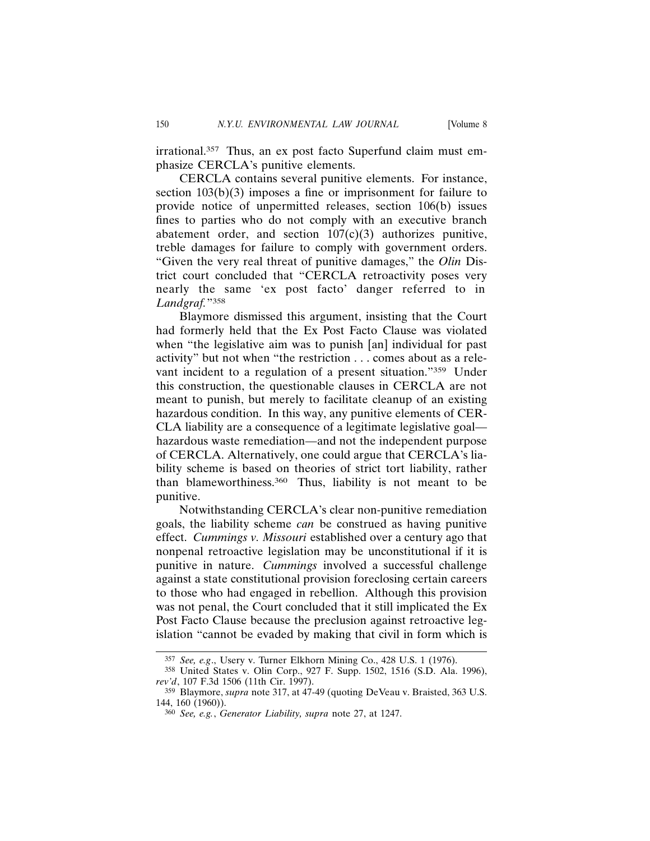irrational.<sup>357</sup> Thus, an ex post facto Superfund claim must emphasize CERCLA's punitive elements.

CERCLA contains several punitive elements. For instance, section  $103(b)(3)$  imposes a fine or imprisonment for failure to provide notice of unpermitted releases, section 106(b) issues fines to parties who do not comply with an executive branch abatement order, and section  $107(c)(3)$  authorizes punitive, treble damages for failure to comply with government orders. "Given the very real threat of punitive damages," the *Olin* District court concluded that "CERCLA retroactivity poses very nearly the same 'ex post facto' danger referred to in *Landgraf.*"358

Blaymore dismissed this argument, insisting that the Court had formerly held that the Ex Post Facto Clause was violated when "the legislative aim was to punish [an] individual for past activity" but not when "the restriction . . . comes about as a relevant incident to a regulation of a present situation."359 Under this construction, the questionable clauses in CERCLA are not meant to punish, but merely to facilitate cleanup of an existing hazardous condition. In this way, any punitive elements of CER-CLA liability are a consequence of a legitimate legislative goal hazardous waste remediation—and not the independent purpose of CERCLA. Alternatively, one could argue that CERCLA's liability scheme is based on theories of strict tort liability, rather than blameworthiness.360 Thus, liability is not meant to be punitive.

Notwithstanding CERCLA's clear non-punitive remediation goals, the liability scheme *can* be construed as having punitive effect. *Cummings v. Missouri* established over a century ago that nonpenal retroactive legislation may be unconstitutional if it is punitive in nature. *Cummings* involved a successful challenge against a state constitutional provision foreclosing certain careers to those who had engaged in rebellion. Although this provision was not penal, the Court concluded that it still implicated the Ex Post Facto Clause because the preclusion against retroactive legislation "cannot be evaded by making that civil in form which is

<sup>357</sup> *See, e.g*., Usery v. Turner Elkhorn Mining Co., 428 U.S. 1 (1976).

<sup>358</sup> United States v. Olin Corp., 927 F. Supp. 1502, 1516 (S.D. Ala. 1996), *rev'd*, 107 F.3d 1506 (11th Cir. 1997).

<sup>359</sup> Blaymore, *supra* note 317, at 47-49 (quoting DeVeau v. Braisted, 363 U.S. 144, 160 (1960)).

<sup>360</sup> *See, e.g.*, *Generator Liability, supra* note 27, at 1247.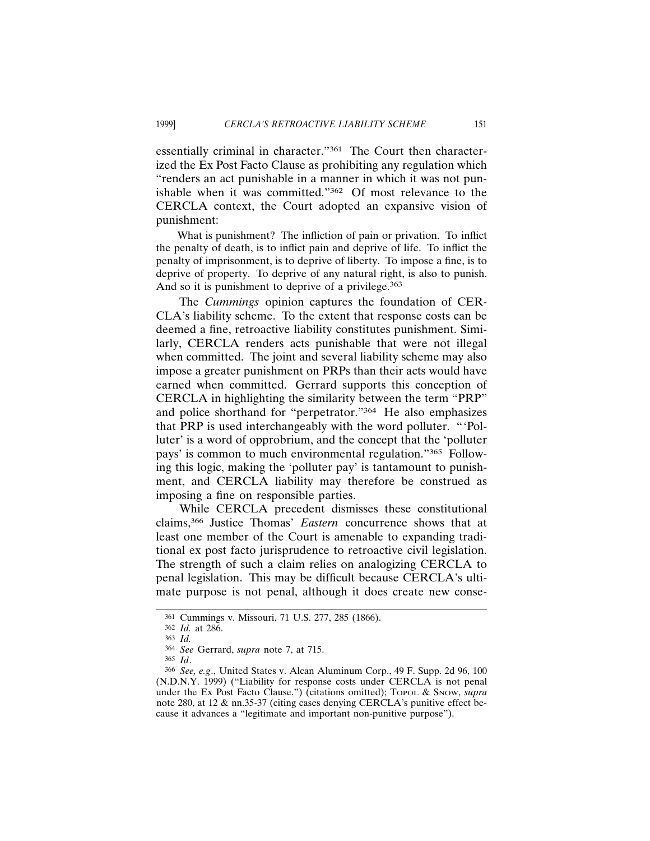essentially criminal in character."361 The Court then characterized the Ex Post Facto Clause as prohibiting any regulation which "renders an act punishable in a manner in which it was not punishable when it was committed."362 Of most relevance to the CERCLA context, the Court adopted an expansive vision of punishment:

What is punishment? The infliction of pain or privation. To inflict the penalty of death, is to inflict pain and deprive of life. To inflict the penalty of imprisonment, is to deprive of liberty. To impose a fine, is to deprive of property. To deprive of any natural right, is also to punish. And so it is punishment to deprive of a privilege.<sup>363</sup>

The *Cummings* opinion captures the foundation of CER-CLA's liability scheme. To the extent that response costs can be deemed a fine, retroactive liability constitutes punishment. Similarly, CERCLA renders acts punishable that were not illegal when committed. The joint and several liability scheme may also impose a greater punishment on PRPs than their acts would have earned when committed. Gerrard supports this conception of CERCLA in highlighting the similarity between the term "PRP" and police shorthand for "perpetrator."364 He also emphasizes that PRP is used interchangeably with the word polluter. "'Polluter' is a word of opprobrium, and the concept that the 'polluter pays' is common to much environmental regulation."365 Following this logic, making the 'polluter pay' is tantamount to punishment, and CERCLA liability may therefore be construed as imposing a fine on responsible parties.

While CERCLA precedent dismisses these constitutional claims,366 Justice Thomas' *Eastern* concurrence shows that at least one member of the Court is amenable to expanding traditional ex post facto jurisprudence to retroactive civil legislation. The strength of such a claim relies on analogizing CERCLA to penal legislation. This may be difficult because CERCLA's ultimate purpose is not penal, although it does create new conse-

<sup>361</sup> Cummings v. Missouri, 71 U.S. 277, 285 (1866).

<sup>362</sup> *Id.* at 286.

<sup>363</sup> *Id.*

<sup>364</sup> *See* Gerrard, *supra* note 7, at 715.

<sup>365</sup> *Id*.

<sup>366</sup> *See, e.g*., United States v. Alcan Aluminum Corp., 49 F. Supp. 2d 96, 100 (N.D.N.Y. 1999) ("Liability for response costs under CERCLA is not penal under the Ex Post Facto Clause.") (citations omitted); Topol & Snow, *supra* note 280, at 12 & nn.35-37 (citing cases denying CERCLA's punitive effect because it advances a "legitimate and important non-punitive purpose").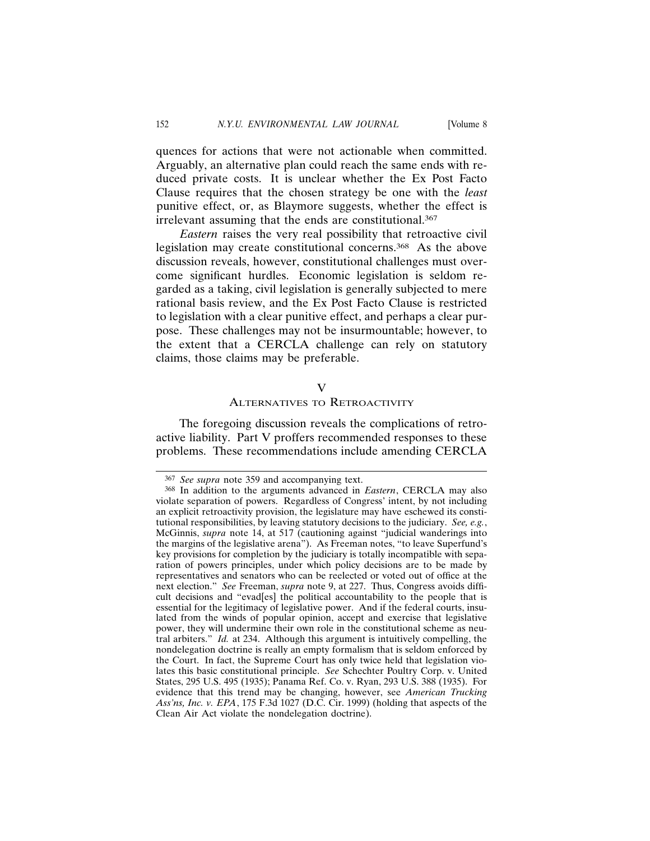quences for actions that were not actionable when committed. Arguably, an alternative plan could reach the same ends with reduced private costs. It is unclear whether the Ex Post Facto Clause requires that the chosen strategy be one with the *least* punitive effect, or, as Blaymore suggests, whether the effect is irrelevant assuming that the ends are constitutional.367

*Eastern* raises the very real possibility that retroactive civil legislation may create constitutional concerns.368 As the above discussion reveals, however, constitutional challenges must overcome significant hurdles. Economic legislation is seldom regarded as a taking, civil legislation is generally subjected to mere rational basis review, and the Ex Post Facto Clause is restricted to legislation with a clear punitive effect, and perhaps a clear purpose. These challenges may not be insurmountable; however, to the extent that a CERCLA challenge can rely on statutory claims, those claims may be preferable.

#### V

## ALTERNATIVES TO RETROACTIVITY

The foregoing discussion reveals the complications of retroactive liability. Part V proffers recommended responses to these problems. These recommendations include amending CERCLA

<sup>367</sup> *See supra* note 359 and accompanying text.

<sup>368</sup> In addition to the arguments advanced in *Eastern*, CERCLA may also violate separation of powers. Regardless of Congress' intent, by not including an explicit retroactivity provision, the legislature may have eschewed its constitutional responsibilities, by leaving statutory decisions to the judiciary. *See, e.g.*, McGinnis, *supra* note 14, at 517 (cautioning against "judicial wanderings into the margins of the legislative arena"). As Freeman notes, "to leave Superfund's key provisions for completion by the judiciary is totally incompatible with separation of powers principles, under which policy decisions are to be made by representatives and senators who can be reelected or voted out of office at the next election." *See* Freeman, *supra* note 9, at 227. Thus, Congress avoids difficult decisions and "evad[es] the political accountability to the people that is essential for the legitimacy of legislative power. And if the federal courts, insulated from the winds of popular opinion, accept and exercise that legislative power, they will undermine their own role in the constitutional scheme as neutral arbiters." *Id.* at 234. Although this argument is intuitively compelling, the nondelegation doctrine is really an empty formalism that is seldom enforced by the Court. In fact, the Supreme Court has only twice held that legislation violates this basic constitutional principle. *See* Schechter Poultry Corp. v. United States, 295 U.S. 495 (1935); Panama Ref. Co. v. Ryan, 293 U.S. 388 (1935). For evidence that this trend may be changing, however, see *American Trucking Ass'ns, Inc. v. EPA*, 175 F.3d 1027 (D.C. Cir. 1999) (holding that aspects of the Clean Air Act violate the nondelegation doctrine).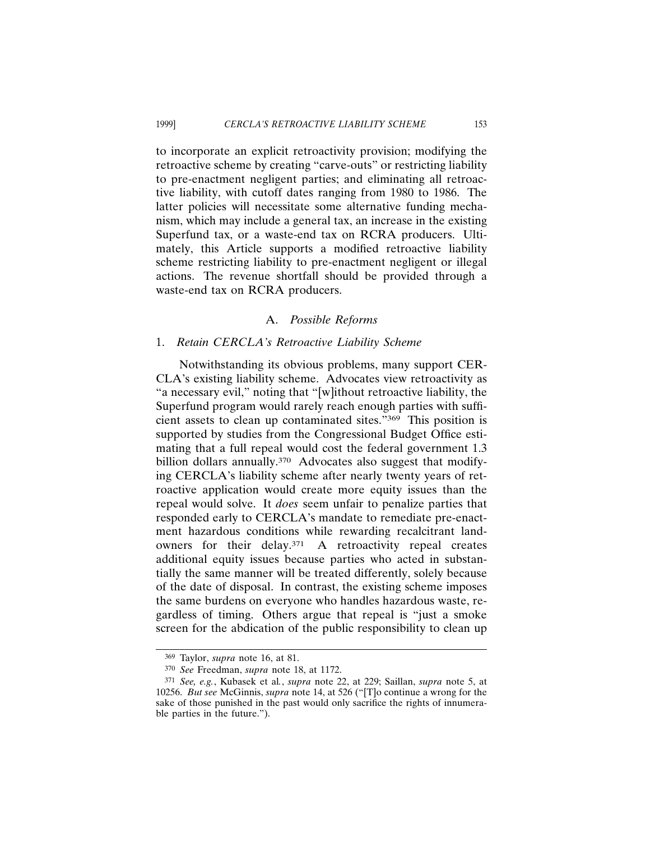to incorporate an explicit retroactivity provision; modifying the retroactive scheme by creating "carve-outs" or restricting liability to pre-enactment negligent parties; and eliminating all retroactive liability, with cutoff dates ranging from 1980 to 1986. The latter policies will necessitate some alternative funding mechanism, which may include a general tax, an increase in the existing Superfund tax, or a waste-end tax on RCRA producers. Ultimately, this Article supports a modified retroactive liability scheme restricting liability to pre-enactment negligent or illegal actions. The revenue shortfall should be provided through a waste-end tax on RCRA producers.

## A. *Possible Reforms*

### 1. *Retain CERCLA's Retroactive Liability Scheme*

Notwithstanding its obvious problems, many support CER-CLA's existing liability scheme. Advocates view retroactivity as "a necessary evil," noting that "[w]ithout retroactive liability, the Superfund program would rarely reach enough parties with sufficient assets to clean up contaminated sites."369 This position is supported by studies from the Congressional Budget Office estimating that a full repeal would cost the federal government 1.3 billion dollars annually.<sup>370</sup> Advocates also suggest that modifying CERCLA's liability scheme after nearly twenty years of retroactive application would create more equity issues than the repeal would solve. It *does* seem unfair to penalize parties that responded early to CERCLA's mandate to remediate pre-enactment hazardous conditions while rewarding recalcitrant landowners for their delay.371 A retroactivity repeal creates additional equity issues because parties who acted in substantially the same manner will be treated differently, solely because of the date of disposal. In contrast, the existing scheme imposes the same burdens on everyone who handles hazardous waste, regardless of timing. Others argue that repeal is "just a smoke screen for the abdication of the public responsibility to clean up

<sup>369</sup> Taylor, *supra* note 16, at 81.

<sup>370</sup> *See* Freedman, *supra* note 18, at 1172.

<sup>371</sup> *See, e.g.*, Kubasek et al*.*, *supra* note 22, at 229; Saillan, *supra* note 5, at 10256. *But see* McGinnis, *supra* note 14, at 526 ("[T]o continue a wrong for the sake of those punished in the past would only sacrifice the rights of innumerable parties in the future.").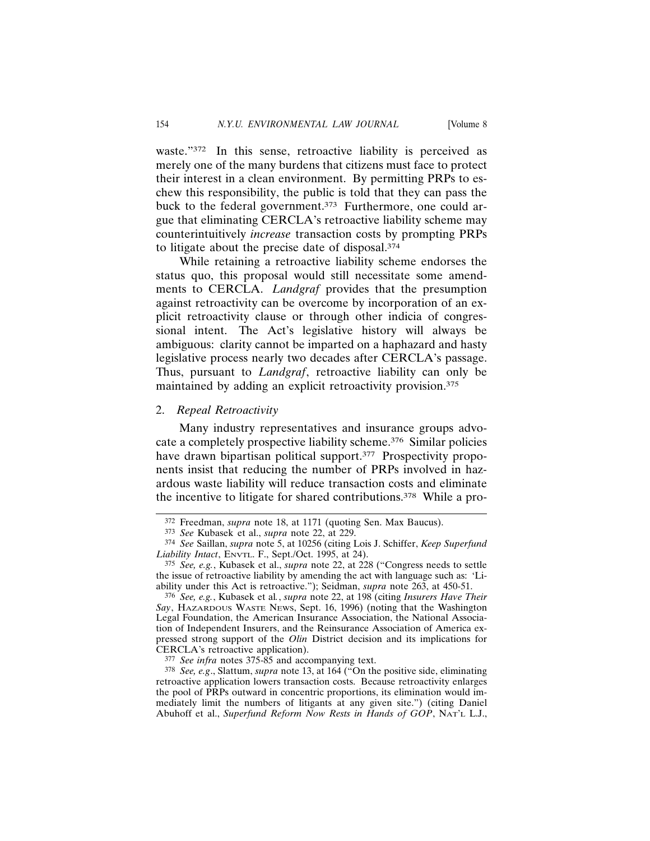waste."372 In this sense, retroactive liability is perceived as merely one of the many burdens that citizens must face to protect their interest in a clean environment. By permitting PRPs to eschew this responsibility, the public is told that they can pass the buck to the federal government.<sup>373</sup> Furthermore, one could argue that eliminating CERCLA's retroactive liability scheme may counterintuitively *increase* transaction costs by prompting PRPs to litigate about the precise date of disposal.374

While retaining a retroactive liability scheme endorses the status quo, this proposal would still necessitate some amendments to CERCLA. *Landgraf* provides that the presumption against retroactivity can be overcome by incorporation of an explicit retroactivity clause or through other indicia of congressional intent. The Act's legislative history will always be ambiguous: clarity cannot be imparted on a haphazard and hasty legislative process nearly two decades after CERCLA's passage. Thus, pursuant to *Landgraf*, retroactive liability can only be maintained by adding an explicit retroactivity provision.375

#### 2. *Repeal Retroactivity*

Many industry representatives and insurance groups advocate a completely prospective liability scheme.376 Similar policies have drawn bipartisan political support.<sup>377</sup> Prospectivity proponents insist that reducing the number of PRPs involved in hazardous waste liability will reduce transaction costs and eliminate the incentive to litigate for shared contributions.378 While a pro-

<sup>372</sup> Freedman, *supra* note 18, at 1171 (quoting Sen. Max Baucus).

<sup>373</sup> *See* Kubasek et al., *supra* note 22, at 229.

<sup>374</sup> *See* Saillan, *supra* note 5, at 10256 (citing Lois J. Schiffer, *Keep Superfund Liability Intact*, ENVTL. F., Sept./Oct. 1995, at 24).

<sup>375</sup> *See, e.g.*, Kubasek et al., *supra* note 22, at 228 ("Congress needs to settle the issue of retroactive liability by amending the act with language such as: 'Liability under this Act is retroactive."); Seidman, *supra* note 263, at 450-51.

<sup>376</sup> *See, e.g.*, Kubasek et al*.*, *supra* note 22, at 198 (citing *Insurers Have Their Say*, HAZARDOUS WASTE NEWS, Sept. 16, 1996) (noting that the Washington Legal Foundation, the American Insurance Association, the National Association of Independent Insurers, and the Reinsurance Association of America expressed strong support of the *Olin* District decision and its implications for CERCLA's retroactive application).

<sup>377</sup> *See infra* notes 375-85 and accompanying text.

<sup>378</sup> *See, e.g*., Slattum, *supra* note 13, at 164 ("On the positive side, eliminating retroactive application lowers transaction costs. Because retroactivity enlarges the pool of PRPs outward in concentric proportions, its elimination would immediately limit the numbers of litigants at any given site.") (citing Daniel Abuhoff et al., *Superfund Reform Now Rests in Hands of GOP*, NAT'L L.J.,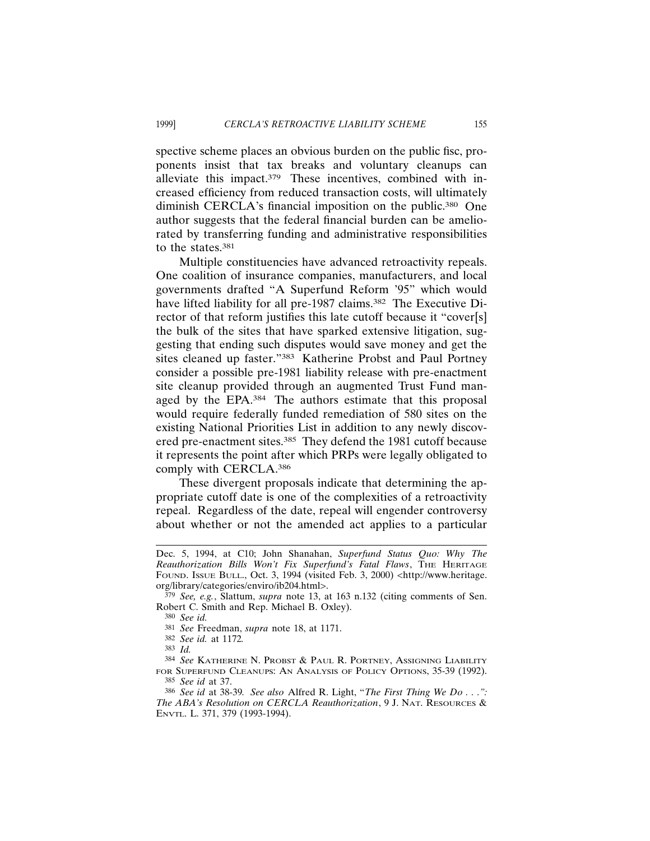spective scheme places an obvious burden on the public fisc, proponents insist that tax breaks and voluntary cleanups can alleviate this impact. $379$  These incentives, combined with increased efficiency from reduced transaction costs, will ultimately diminish CERCLA's financial imposition on the public.<sup>380</sup> One author suggests that the federal financial burden can be ameliorated by transferring funding and administrative responsibilities to the states.381

Multiple constituencies have advanced retroactivity repeals. One coalition of insurance companies, manufacturers, and local governments drafted "A Superfund Reform '95" which would have lifted liability for all pre-1987 claims.<sup>382</sup> The Executive Director of that reform justifies this late cutoff because it "cover[s] the bulk of the sites that have sparked extensive litigation, suggesting that ending such disputes would save money and get the sites cleaned up faster."383 Katherine Probst and Paul Portney consider a possible pre-1981 liability release with pre-enactment site cleanup provided through an augmented Trust Fund managed by the EPA.384 The authors estimate that this proposal would require federally funded remediation of 580 sites on the existing National Priorities List in addition to any newly discovered pre-enactment sites.385 They defend the 1981 cutoff because it represents the point after which PRPs were legally obligated to comply with CERCLA.386

These divergent proposals indicate that determining the appropriate cutoff date is one of the complexities of a retroactivity repeal. Regardless of the date, repeal will engender controversy about whether or not the amended act applies to a particular

380 *See id.*

383 *Id.*

384 *See* KATHERINE N. PROBST & PAUL R. PORTNEY, ASSIGNING LIABILITY FOR SUPERFUND CLEANUPS: AN ANALYSIS OF POLICY OPTIONS, 35-39 (1992). 385 *See id* at 37.

Dec. 5, 1994, at C10; John Shanahan, *Superfund Status Quo: Why The Reauthorization Bills Won't Fix Superfund's Fatal Flaws*, THE HERITAGE FOUND. ISSUE BULL., Oct. 3, 1994 (visited Feb. 3, 2000) <http://www.heritage. org/library/categories/enviro/ib204.html>.

<sup>379</sup> *See, e.g.*, Slattum, *supra* note 13, at 163 n.132 (citing comments of Sen. Robert C. Smith and Rep. Michael B. Oxley).

<sup>381</sup> *See* Freedman, *supra* note 18, at 1171.

<sup>382</sup> *See id.* at 1172*.*

<sup>386</sup> *See id* at 38-39*. See also* Alfred R. Light, "*The First Thing We Do . . .": The ABA's Resolution on CERCLA Reauthorization*, 9 J. NAT. RESOURCES & ENVTL. L. 371, 379 (1993-1994).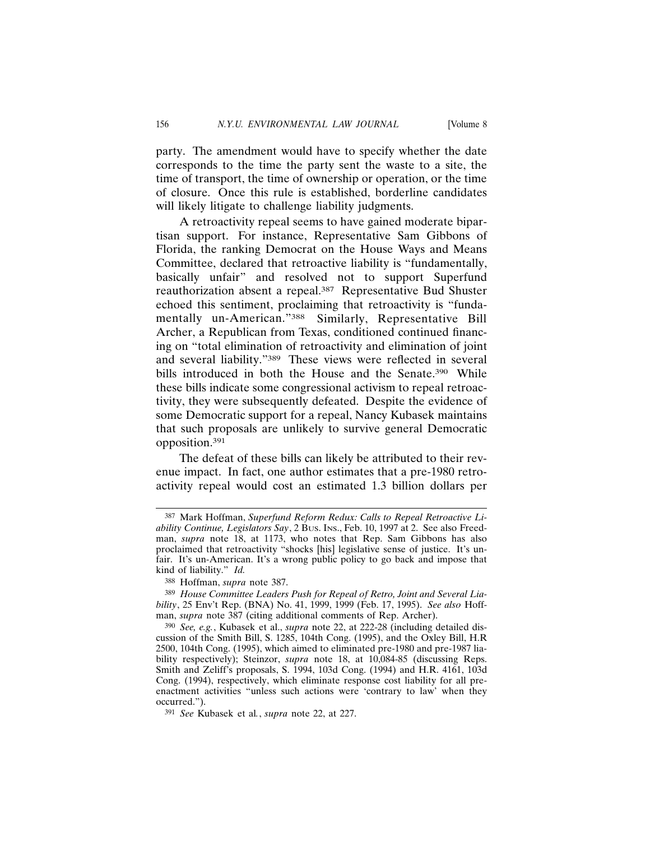party. The amendment would have to specify whether the date corresponds to the time the party sent the waste to a site, the time of transport, the time of ownership or operation, or the time of closure. Once this rule is established, borderline candidates will likely litigate to challenge liability judgments.

A retroactivity repeal seems to have gained moderate bipartisan support. For instance, Representative Sam Gibbons of Florida, the ranking Democrat on the House Ways and Means Committee, declared that retroactive liability is "fundamentally, basically unfair" and resolved not to support Superfund reauthorization absent a repeal.<sup>387</sup> Representative Bud Shuster echoed this sentiment, proclaiming that retroactivity is "fundamentally un-American."388 Similarly, Representative Bill Archer, a Republican from Texas, conditioned continued financing on "total elimination of retroactivity and elimination of joint and several liability."389 These views were reflected in several bills introduced in both the House and the Senate.<sup>390</sup> While these bills indicate some congressional activism to repeal retroactivity, they were subsequently defeated. Despite the evidence of some Democratic support for a repeal, Nancy Kubasek maintains that such proposals are unlikely to survive general Democratic opposition.391

The defeat of these bills can likely be attributed to their revenue impact. In fact, one author estimates that a pre-1980 retroactivity repeal would cost an estimated 1.3 billion dollars per

<sup>387</sup> Mark Hoffman, *Superfund Reform Redux: Calls to Repeal Retroactive Liability Continue, Legislators Say*, 2 BUS. INS., Feb. 10, 1997 at 2. See also Freedman, *supra* note 18, at 1173, who notes that Rep. Sam Gibbons has also proclaimed that retroactivity "shocks [his] legislative sense of justice. It's unfair. It's un-American. It's a wrong public policy to go back and impose that kind of liability." *Id.*

<sup>388</sup> Hoffman, *supra* note 387.

<sup>389</sup> *House Committee Leaders Push for Repeal of Retro, Joint and Several Liability*, 25 Env't Rep. (BNA) No. 41, 1999, 1999 (Feb. 17, 1995). *See also* Hoffman, *supra* note 387 (citing additional comments of Rep. Archer).

<sup>390</sup> *See, e.g.*, Kubasek et al., *supra* note 22, at 222-28 (including detailed discussion of the Smith Bill, S. 1285, 104th Cong. (1995), and the Oxley Bill, H.R 2500, 104th Cong. (1995), which aimed to eliminated pre-1980 and pre-1987 liability respectively); Steinzor, *supra* note 18, at 10,084-85 (discussing Reps. Smith and Zeliff's proposals, S. 1994, 103d Cong. (1994) and H.R. 4161, 103d Cong. (1994), respectively, which eliminate response cost liability for all preenactment activities "unless such actions were 'contrary to law' when they occurred.").

<sup>391</sup> *See* Kubasek et al*.*, *supra* note 22, at 227.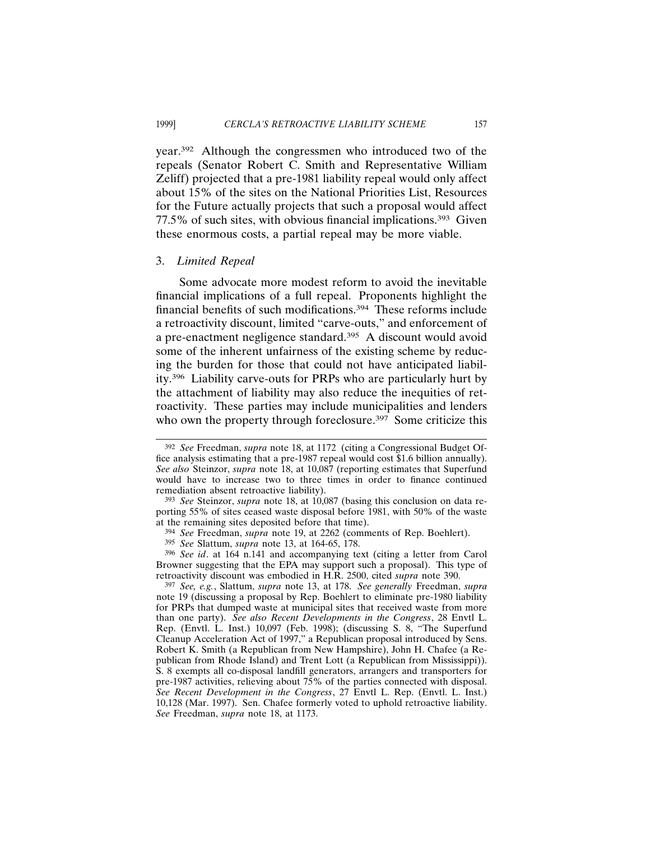year.392 Although the congressmen who introduced two of the repeals (Senator Robert C. Smith and Representative William Zeliff) projected that a pre-1981 liability repeal would only affect about 15% of the sites on the National Priorities List, Resources for the Future actually projects that such a proposal would affect 77.5% of such sites, with obvious financial implications.393 Given these enormous costs, a partial repeal may be more viable.

## 3. *Limited Repeal*

Some advocate more modest reform to avoid the inevitable financial implications of a full repeal. Proponents highlight the financial benefits of such modifications.394 These reforms include a retroactivity discount, limited "carve-outs," and enforcement of a pre-enactment negligence standard.395 A discount would avoid some of the inherent unfairness of the existing scheme by reducing the burden for those that could not have anticipated liability.396 Liability carve-outs for PRPs who are particularly hurt by the attachment of liability may also reduce the inequities of retroactivity. These parties may include municipalities and lenders who own the property through foreclosure.<sup>397</sup> Some criticize this

395 *See* Slattum, *supra* note 13, at 164-65, 178.

396 *See id*. at 164 n.141 and accompanying text (citing a letter from Carol Browner suggesting that the EPA may support such a proposal). This type of retroactivity discount was embodied in H.R. 2500, cited *supra* note 390.

<sup>392</sup> *See* Freedman, *supra* note 18, at 1172 (citing a Congressional Budget Office analysis estimating that a pre-1987 repeal would cost \$1.6 billion annually). *See also* Steinzor, *supra* note 18, at 10,087 (reporting estimates that Superfund would have to increase two to three times in order to finance continued remediation absent retroactive liability).

<sup>393</sup> *See* Steinzor, *supra* note 18, at 10,087 (basing this conclusion on data reporting 55% of sites ceased waste disposal before 1981, with 50% of the waste at the remaining sites deposited before that time).

<sup>394</sup> *See* Freedman, *supra* note 19, at 2262 (comments of Rep. Boehlert).

<sup>397</sup> *See, e.g.*, Slattum, *supra* note 13, at 178. *See generally* Freedman, *supra* note 19 (discussing a proposal by Rep. Boehlert to eliminate pre-1980 liability for PRPs that dumped waste at municipal sites that received waste from more than one party). *See also Recent Developments in the Congress*, 28 Envtl L. Rep. (Envtl. L. Inst.) 10,097 (Feb. 1998); (discussing S. 8, "The Superfund Cleanup Acceleration Act of 1997," a Republican proposal introduced by Sens. Robert K. Smith (a Republican from New Hampshire), John H. Chafee (a Republican from Rhode Island) and Trent Lott (a Republican from Mississippi)). S. 8 exempts all co-disposal landfill generators, arrangers and transporters for pre-1987 activities, relieving about 75% of the parties connected with disposal. *See Recent Development in the Congress*, 27 Envtl L. Rep. (Envtl. L. Inst.) 10,128 (Mar. 1997). Sen. Chafee formerly voted to uphold retroactive liability. *See* Freedman, *supra* note 18, at 1173.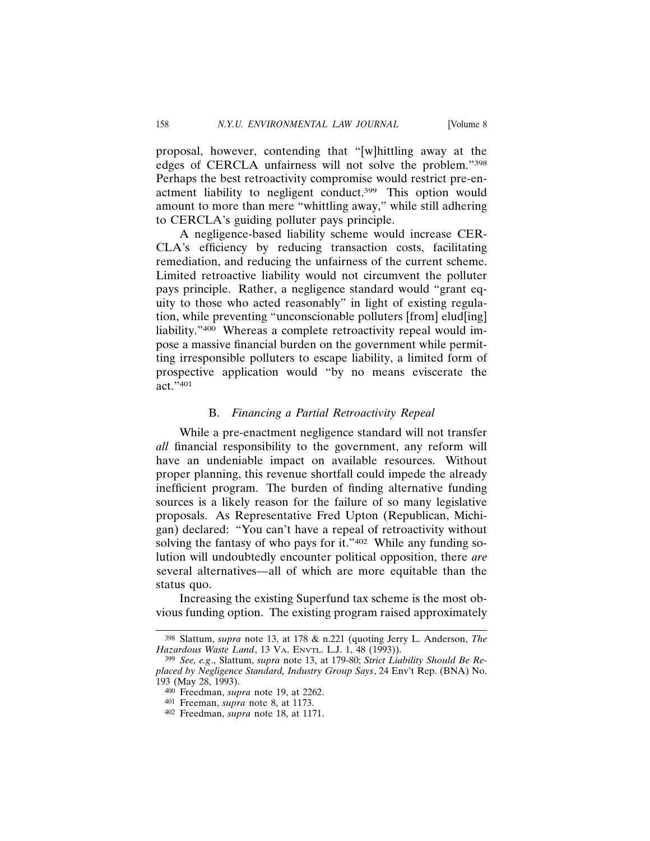proposal, however, contending that "[w]hittling away at the edges of CERCLA unfairness will not solve the problem."398 Perhaps the best retroactivity compromise would restrict pre-enactment liability to negligent conduct.399 This option would amount to more than mere "whittling away," while still adhering to CERCLA's guiding polluter pays principle.

A negligence-based liability scheme would increase CER-CLA's efficiency by reducing transaction costs, facilitating remediation, and reducing the unfairness of the current scheme. Limited retroactive liability would not circumvent the polluter pays principle. Rather, a negligence standard would "grant equity to those who acted reasonably" in light of existing regulation, while preventing "unconscionable polluters [from] elud[ing] liability."400 Whereas a complete retroactivity repeal would impose a massive financial burden on the government while permitting irresponsible polluters to escape liability, a limited form of prospective application would "by no means eviscerate the  $\arct$ .  $\frac{1}{401}$ 

## B. *Financing a Partial Retroactivity Repeal*

While a pre-enactment negligence standard will not transfer *all* financial responsibility to the government, any reform will have an undeniable impact on available resources. Without proper planning, this revenue shortfall could impede the already inefficient program. The burden of finding alternative funding sources is a likely reason for the failure of so many legislative proposals. As Representative Fred Upton (Republican, Michigan) declared: "You can't have a repeal of retroactivity without solving the fantasy of who pays for it."<sup>402</sup> While any funding solution will undoubtedly encounter political opposition, there *are* several alternatives—all of which are more equitable than the status quo.

Increasing the existing Superfund tax scheme is the most obvious funding option. The existing program raised approximately

<sup>398</sup> Slattum, *supra* note 13, at 178 & n.221 (quoting Jerry L. Anderson, *The Hazardous Waste Land*, 13 VA. ENVTL. L.J. 1, 48 (1993)).

<sup>399</sup> *See, e.g*., Slattum, *supra* note 13, at 179-80; *Strict Liability Should Be Replaced by Negligence Standard, Industry Group Says*, 24 Env't Rep. (BNA) No. 193 (May 28, 1993).

<sup>400</sup> Freedman, *supra* note 19, at 2262.

<sup>401</sup> Freeman, *supra* note 8, at 1173.

<sup>402</sup> Freedman, *supra* note 18, at 1171.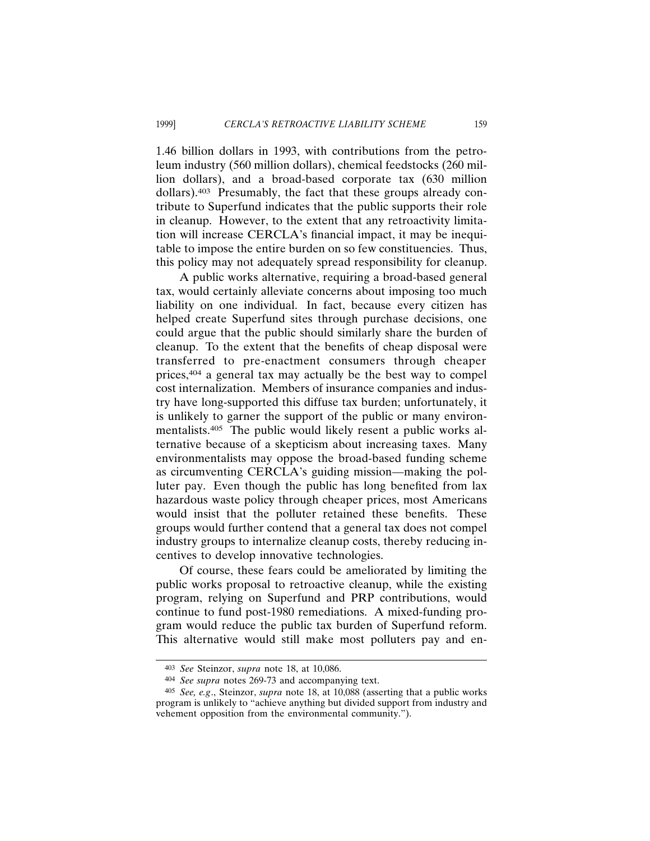1.46 billion dollars in 1993, with contributions from the petroleum industry (560 million dollars), chemical feedstocks (260 million dollars), and a broad-based corporate tax (630 million dollars).403 Presumably, the fact that these groups already contribute to Superfund indicates that the public supports their role in cleanup. However, to the extent that any retroactivity limitation will increase CERCLA's financial impact, it may be inequitable to impose the entire burden on so few constituencies. Thus, this policy may not adequately spread responsibility for cleanup.

A public works alternative, requiring a broad-based general tax, would certainly alleviate concerns about imposing too much liability on one individual. In fact, because every citizen has helped create Superfund sites through purchase decisions, one could argue that the public should similarly share the burden of cleanup. To the extent that the benefits of cheap disposal were transferred to pre-enactment consumers through cheaper prices,404 a general tax may actually be the best way to compel cost internalization. Members of insurance companies and industry have long-supported this diffuse tax burden; unfortunately, it is unlikely to garner the support of the public or many environmentalists.405 The public would likely resent a public works alternative because of a skepticism about increasing taxes. Many environmentalists may oppose the broad-based funding scheme as circumventing CERCLA's guiding mission—making the polluter pay. Even though the public has long benefited from lax hazardous waste policy through cheaper prices, most Americans would insist that the polluter retained these benefits. These groups would further contend that a general tax does not compel industry groups to internalize cleanup costs, thereby reducing incentives to develop innovative technologies.

Of course, these fears could be ameliorated by limiting the public works proposal to retroactive cleanup, while the existing program, relying on Superfund and PRP contributions, would continue to fund post-1980 remediations. A mixed-funding program would reduce the public tax burden of Superfund reform. This alternative would still make most polluters pay and en-

<sup>403</sup> *See* Steinzor, *supra* note 18, at 10,086.

<sup>404</sup> *See supra* notes 269-73 and accompanying text.

<sup>405</sup> *See, e.g*., Steinzor, *supra* note 18, at 10,088 (asserting that a public works program is unlikely to "achieve anything but divided support from industry and vehement opposition from the environmental community.").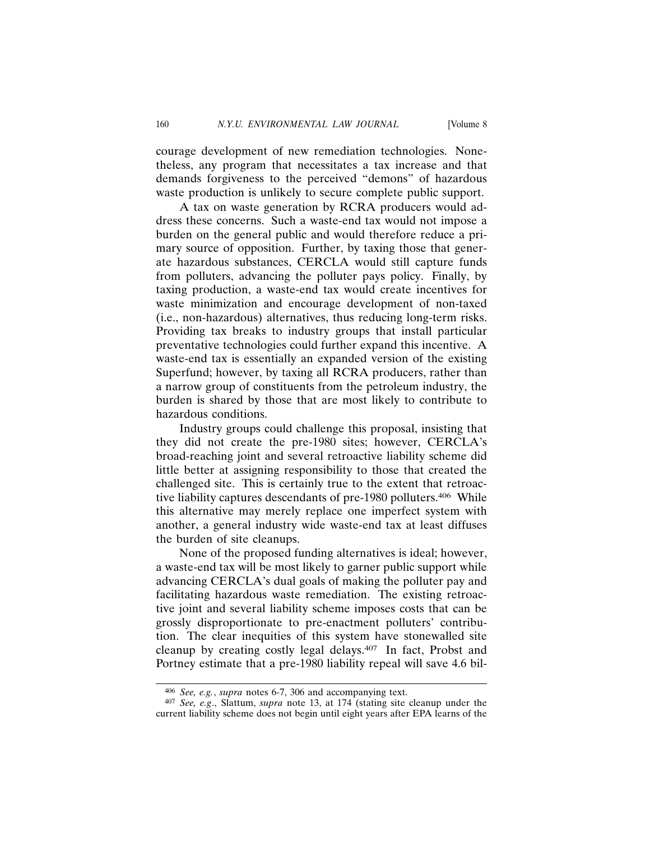courage development of new remediation technologies. Nonetheless, any program that necessitates a tax increase and that demands forgiveness to the perceived "demons" of hazardous waste production is unlikely to secure complete public support.

A tax on waste generation by RCRA producers would address these concerns. Such a waste-end tax would not impose a burden on the general public and would therefore reduce a primary source of opposition. Further, by taxing those that generate hazardous substances, CERCLA would still capture funds from polluters, advancing the polluter pays policy. Finally, by taxing production, a waste-end tax would create incentives for waste minimization and encourage development of non-taxed (i.e., non-hazardous) alternatives, thus reducing long-term risks. Providing tax breaks to industry groups that install particular preventative technologies could further expand this incentive. A waste-end tax is essentially an expanded version of the existing Superfund; however, by taxing all RCRA producers, rather than a narrow group of constituents from the petroleum industry, the burden is shared by those that are most likely to contribute to hazardous conditions.

Industry groups could challenge this proposal, insisting that they did not create the pre-1980 sites; however, CERCLA's broad-reaching joint and several retroactive liability scheme did little better at assigning responsibility to those that created the challenged site. This is certainly true to the extent that retroactive liability captures descendants of pre-1980 polluters.406 While this alternative may merely replace one imperfect system with another, a general industry wide waste-end tax at least diffuses the burden of site cleanups.

None of the proposed funding alternatives is ideal; however, a waste-end tax will be most likely to garner public support while advancing CERCLA's dual goals of making the polluter pay and facilitating hazardous waste remediation. The existing retroactive joint and several liability scheme imposes costs that can be grossly disproportionate to pre-enactment polluters' contribution. The clear inequities of this system have stonewalled site cleanup by creating costly legal delays.407 In fact, Probst and Portney estimate that a pre-1980 liability repeal will save 4.6 bil-

<sup>406</sup> *See, e.g.*, *supra* notes 6-7, 306 and accompanying text.

<sup>407</sup> *See, e.g*., Slattum, *supra* note 13, at 174 (stating site cleanup under the current liability scheme does not begin until eight years after EPA learns of the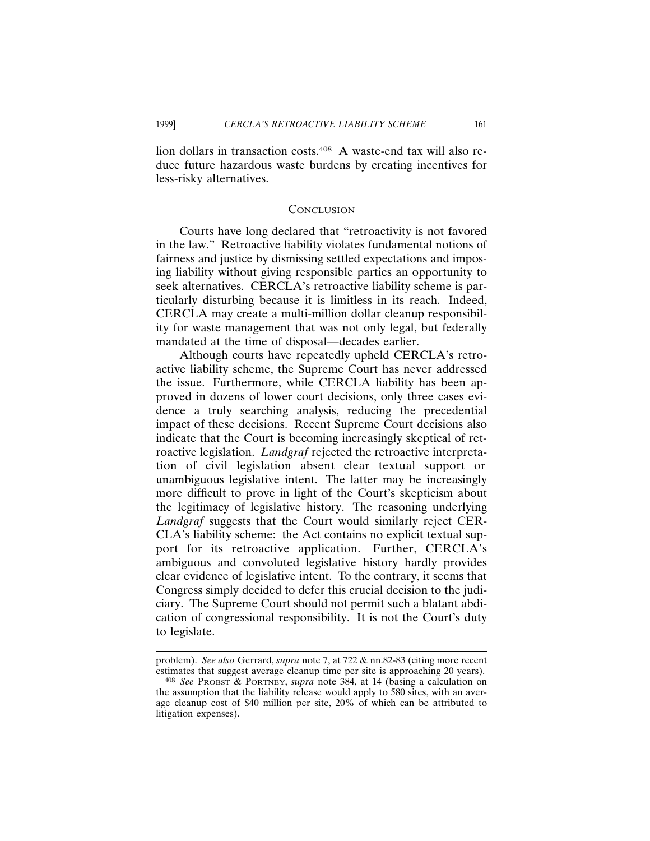lion dollars in transaction costs.408 A waste-end tax will also reduce future hazardous waste burdens by creating incentives for less-risky alternatives.

## **CONCLUSION**

Courts have long declared that "retroactivity is not favored in the law." Retroactive liability violates fundamental notions of fairness and justice by dismissing settled expectations and imposing liability without giving responsible parties an opportunity to seek alternatives. CERCLA's retroactive liability scheme is particularly disturbing because it is limitless in its reach. Indeed, CERCLA may create a multi-million dollar cleanup responsibility for waste management that was not only legal, but federally mandated at the time of disposal—decades earlier.

Although courts have repeatedly upheld CERCLA's retroactive liability scheme, the Supreme Court has never addressed the issue. Furthermore, while CERCLA liability has been approved in dozens of lower court decisions, only three cases evidence a truly searching analysis, reducing the precedential impact of these decisions. Recent Supreme Court decisions also indicate that the Court is becoming increasingly skeptical of retroactive legislation. *Landgraf* rejected the retroactive interpretation of civil legislation absent clear textual support or unambiguous legislative intent. The latter may be increasingly more difficult to prove in light of the Court's skepticism about the legitimacy of legislative history. The reasoning underlying *Landgraf* suggests that the Court would similarly reject CER-CLA's liability scheme: the Act contains no explicit textual support for its retroactive application. Further, CERCLA's ambiguous and convoluted legislative history hardly provides clear evidence of legislative intent. To the contrary, it seems that Congress simply decided to defer this crucial decision to the judiciary. The Supreme Court should not permit such a blatant abdication of congressional responsibility. It is not the Court's duty to legislate.

problem). *See also* Gerrard, *supra* note 7, at 722 & nn.82-83 (citing more recent estimates that suggest average cleanup time per site is approaching 20 years).

<sup>408</sup> *See* PROBST & PORTNEY, *supra* note 384, at 14 (basing a calculation on the assumption that the liability release would apply to 580 sites, with an average cleanup cost of \$40 million per site, 20% of which can be attributed to litigation expenses).